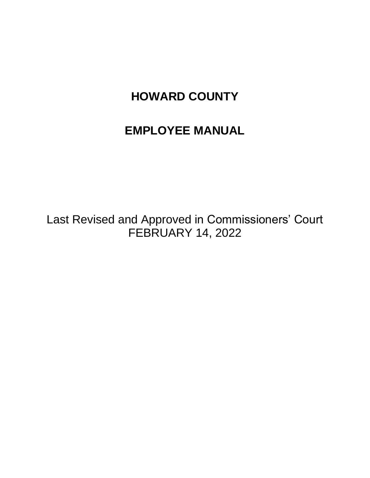# **EMPLOYEE MANUAL**

Last Revised and Approved in Commissioners' Court FEBRUARY 14, 2022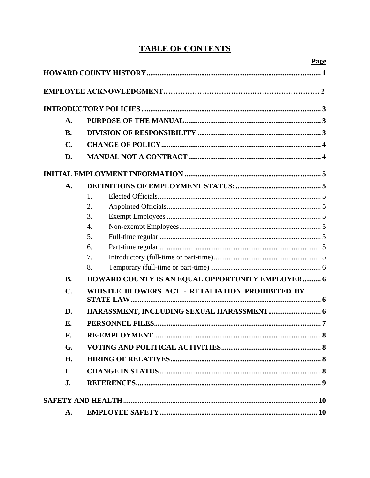# **TABLE OF CONTENTS**

|                | Page                                             |  |  |  |  |
|----------------|--------------------------------------------------|--|--|--|--|
|                |                                                  |  |  |  |  |
|                |                                                  |  |  |  |  |
|                |                                                  |  |  |  |  |
| A.             |                                                  |  |  |  |  |
| <b>B.</b>      |                                                  |  |  |  |  |
| C.             |                                                  |  |  |  |  |
| D.             |                                                  |  |  |  |  |
|                |                                                  |  |  |  |  |
| A.             |                                                  |  |  |  |  |
|                | 1.                                               |  |  |  |  |
|                | 2.                                               |  |  |  |  |
|                | 3.                                               |  |  |  |  |
|                | $\overline{4}$ .                                 |  |  |  |  |
|                | 5.                                               |  |  |  |  |
|                | 6.                                               |  |  |  |  |
|                | 7.                                               |  |  |  |  |
|                | 8.                                               |  |  |  |  |
| <b>B.</b>      | HOWARD COUNTY IS AN EQUAL OPPORTUNITY EMPLOYER 6 |  |  |  |  |
| $\mathbf{C}$ . | WHISTLE BLOWERS ACT - RETALIATION PROHIBITED BY  |  |  |  |  |
|                |                                                  |  |  |  |  |
| D.             |                                                  |  |  |  |  |
| E.             |                                                  |  |  |  |  |
| F.             |                                                  |  |  |  |  |
| G.             |                                                  |  |  |  |  |
| H.             |                                                  |  |  |  |  |
| I.             |                                                  |  |  |  |  |
| J.             |                                                  |  |  |  |  |
|                |                                                  |  |  |  |  |
| A.             |                                                  |  |  |  |  |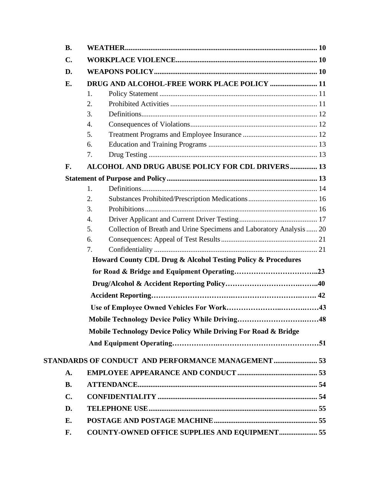| <b>B.</b>      |                  |                                                                      |  |
|----------------|------------------|----------------------------------------------------------------------|--|
| $\mathbf{C}$ . |                  |                                                                      |  |
| D.             |                  |                                                                      |  |
| Е.             |                  | DRUG AND ALCOHOL-FREE WORK PLACE POLICY  11                          |  |
|                | 1.               |                                                                      |  |
|                | 2.               |                                                                      |  |
|                | 3.               |                                                                      |  |
|                | 4.               |                                                                      |  |
|                | 5.               |                                                                      |  |
|                | 6.               |                                                                      |  |
|                | 7.               |                                                                      |  |
| F.             |                  | ALCOHOL AND DRUG ABUSE POLICY FOR CDL DRIVERS 13                     |  |
|                |                  |                                                                      |  |
|                | 1.               |                                                                      |  |
|                | 2.               |                                                                      |  |
|                | 3.               |                                                                      |  |
|                | $\overline{4}$ . |                                                                      |  |
|                | 5.               | Collection of Breath and Urine Specimens and Laboratory Analysis  20 |  |
|                | 6.               |                                                                      |  |
|                | 7.               |                                                                      |  |
|                |                  | Howard County CDL Drug & Alcohol Testing Policy & Procedures         |  |
|                |                  |                                                                      |  |
|                |                  |                                                                      |  |
|                |                  |                                                                      |  |
|                |                  |                                                                      |  |
|                |                  |                                                                      |  |
|                |                  | Mobile Technology Device Policy While Driving For Road & Bridge      |  |
|                |                  |                                                                      |  |
|                |                  |                                                                      |  |
|                |                  | STANDARDS OF CONDUCT AND PERFORMANCE MANAGEMENT 53                   |  |
| A.             |                  |                                                                      |  |
| <b>B.</b>      |                  |                                                                      |  |
| $\mathbf{C}$ . |                  |                                                                      |  |
| D.             |                  |                                                                      |  |
| E.             |                  |                                                                      |  |
| F.             |                  | <b>COUNTY-OWNED OFFICE SUPPLIES AND EQUIPMENT 55</b>                 |  |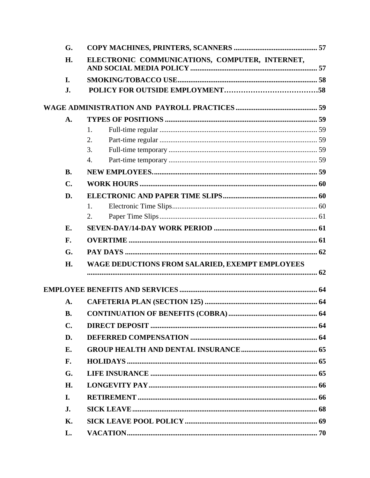| G.             |                                                 |  |
|----------------|-------------------------------------------------|--|
| H.             | ELECTRONIC COMMUNICATIONS, COMPUTER, INTERNET,  |  |
| I.             |                                                 |  |
| J.             |                                                 |  |
|                |                                                 |  |
| A.             |                                                 |  |
|                | 1.                                              |  |
|                | 2.                                              |  |
|                | 3.                                              |  |
|                | 4.                                              |  |
| <b>B.</b>      |                                                 |  |
| $\mathbf{C}$ . |                                                 |  |
| D.             |                                                 |  |
|                | 1.                                              |  |
|                | 2.                                              |  |
| <b>E.</b>      |                                                 |  |
| F.             |                                                 |  |
| G.             |                                                 |  |
| H.             | WAGE DEDUCTIONS FROM SALARIED, EXEMPT EMPLOYEES |  |
|                |                                                 |  |
|                |                                                 |  |
| A.             |                                                 |  |
| <b>B.</b>      |                                                 |  |
| $\mathbf{C}$ . |                                                 |  |
| D.             |                                                 |  |
| E.             |                                                 |  |
| F.             |                                                 |  |
| G.             |                                                 |  |
| H.             |                                                 |  |
| I.             |                                                 |  |
| J.             |                                                 |  |
| <b>K.</b>      |                                                 |  |
| L.             |                                                 |  |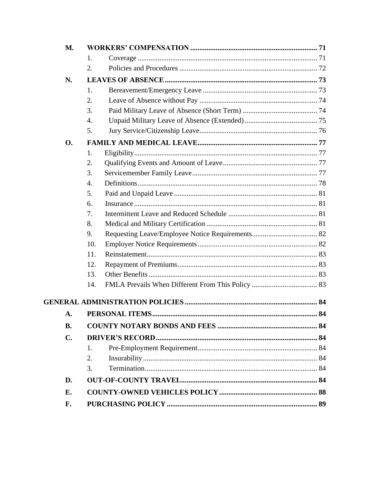|  | M.        |     |  |
|--|-----------|-----|--|
|  |           | 1.  |  |
|  |           | 2.  |  |
|  | N.        |     |  |
|  |           | 1.  |  |
|  |           | 2.  |  |
|  |           | 3.  |  |
|  |           | 4.  |  |
|  |           | 5.  |  |
|  | <b>O.</b> |     |  |
|  |           | 1.  |  |
|  |           | 2.  |  |
|  |           | 3.  |  |
|  |           | 4.  |  |
|  |           | 5.  |  |
|  |           | 6.  |  |
|  |           | 7.  |  |
|  |           | 8.  |  |
|  |           | 9.  |  |
|  |           | 10. |  |
|  |           | 11. |  |
|  |           | 12. |  |
|  |           | 13. |  |
|  |           | 14. |  |
|  |           |     |  |
|  | A.        |     |  |
|  | <b>B.</b> |     |  |
|  | C.        |     |  |
|  |           | 1.  |  |
|  |           | 2.  |  |
|  |           | 3.  |  |
|  | D.        |     |  |
|  | E.        |     |  |
|  | F.        |     |  |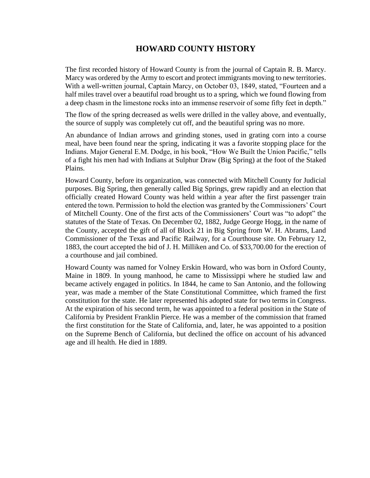# **HOWARD COUNTY HISTORY**

The first recorded history of Howard County is from the journal of Captain R. B. Marcy. Marcy was ordered by the Army to escort and protect immigrants moving to new territories. With a well-written journal, Captain Marcy, on October 03, 1849, stated, "Fourteen and a half miles travel over a beautiful road brought us to a spring, which we found flowing from a deep chasm in the limestone rocks into an immense reservoir of some fifty feet in depth."

The flow of the spring decreased as wells were drilled in the valley above, and eventually, the source of supply was completely cut off, and the beautiful spring was no more.

An abundance of Indian arrows and grinding stones, used in grating corn into a course meal, have been found near the spring, indicating it was a favorite stopping place for the Indians. Major General E.M. Dodge, in his book, "How We Built the Union Pacific," tells of a fight his men had with Indians at Sulphur Draw (Big Spring) at the foot of the Staked Plains.

Howard County, before its organization, was connected with Mitchell County for Judicial purposes. Big Spring, then generally called Big Springs, grew rapidly and an election that officially created Howard County was held within a year after the first passenger train entered the town. Permission to hold the election was granted by the Commissioners' Court of Mitchell County. One of the first acts of the Commissioners' Court was "to adopt" the statutes of the State of Texas. On December 02, 1882, Judge George Hogg, in the name of the County, accepted the gift of all of Block 21 in Big Spring from W. H. Abrams, Land Commissioner of the Texas and Pacific Railway, for a Courthouse site. On February 12, 1883, the court accepted the bid of J. H. Milliken and Co. of \$33,700.00 for the erection of a courthouse and jail combined.

Howard County was named for Volney Erskin Howard, who was born in Oxford County, Maine in 1809. In young manhood, he came to Mississippi where he studied law and became actively engaged in politics. In 1844, he came to San Antonio, and the following year, was made a member of the State Constitutional Committee, which framed the first constitution for the state. He later represented his adopted state for two terms in Congress. At the expiration of his second term, he was appointed to a federal position in the State of California by President Franklin Pierce. He was a member of the commission that framed the first constitution for the State of California, and, later, he was appointed to a position on the Supreme Bench of California, but declined the office on account of his advanced age and ill health. He died in 1889.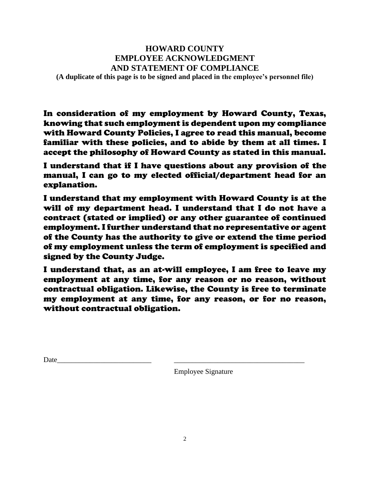# **HOWARD COUNTY EMPLOYEE ACKNOWLEDGMENT AND STATEMENT OF COMPLIANCE**

**(A duplicate of this page is to be signed and placed in the employee's personnel file)**

In consideration of my employment by Howard County, Texas, knowing that such employment is dependent upon my compliance with Howard County Policies, I agree to read this manual, become familiar with these policies, and to abide by them at all times. I accept the philosophy of Howard County as stated in this manual.

I understand that if I have questions about any provision of the manual, I can go to my elected official/department head for an explanation.

I understand that my employment with Howard County is at the will of my department head. I understand that I do not have a contract (stated or implied) or any other guarantee of continued employment. I further understand that no representative or agent of the County has the authority to give or extend the time period of my employment unless the term of employment is specified and signed by the County Judge.

I understand that, as an at-will employee, I am free to leave my employment at any time, for any reason or no reason, without contractual obligation. Likewise, the County is free to terminate my employment at any time, for any reason, or for no reason, without contractual obligation.

Date\_\_\_\_\_\_\_\_\_\_\_\_\_\_\_\_\_\_\_\_\_\_\_\_\_\_ \_\_\_\_\_\_\_\_\_\_\_\_\_\_\_\_\_\_\_\_\_\_\_\_\_\_\_\_\_\_\_\_\_\_\_\_

Employee Signature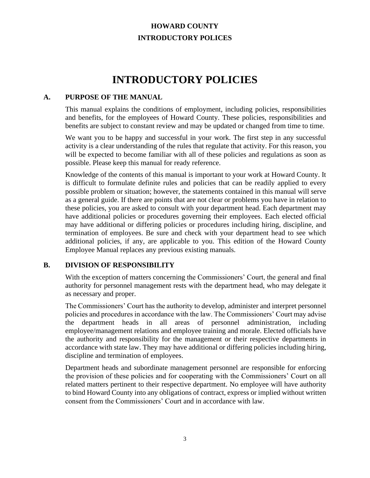# **HOWARD COUNTY INTRODUCTORY POLICES**

# **INTRODUCTORY POLICIES**

#### **A. PURPOSE OF THE MANUAL**

This manual explains the conditions of employment, including policies, responsibilities and benefits, for the employees of Howard County. These policies, responsibilities and benefits are subject to constant review and may be updated or changed from time to time.

We want you to be happy and successful in your work. The first step in any successful activity is a clear understanding of the rules that regulate that activity. For this reason, you will be expected to become familiar with all of these policies and regulations as soon as possible. Please keep this manual for ready reference.

Knowledge of the contents of this manual is important to your work at Howard County. It is difficult to formulate definite rules and policies that can be readily applied to every possible problem or situation; however, the statements contained in this manual will serve as a general guide. If there are points that are not clear or problems you have in relation to these policies, you are asked to consult with your department head. Each department may have additional policies or procedures governing their employees. Each elected official may have additional or differing policies or procedures including hiring, discipline, and termination of employees. Be sure and check with your department head to see which additional policies, if any, are applicable to you. This edition of the Howard County Employee Manual replaces any previous existing manuals.

#### **B. DIVISION OF RESPONSIBILITY**

With the exception of matters concerning the Commissioners' Court, the general and final authority for personnel management rests with the department head, who may delegate it as necessary and proper.

The Commissioners' Court has the authority to develop, administer and interpret personnel policies and procedures in accordance with the law. The Commissioners' Court may advise the department heads in all areas of personnel administration, including employee/management relations and employee training and morale. Elected officials have the authority and responsibility for the management or their respective departments in accordance with state law. They may have additional or differing policies including hiring, discipline and termination of employees.

Department heads and subordinate management personnel are responsible for enforcing the provision of these policies and for cooperating with the Commissioners' Court on all related matters pertinent to their respective department. No employee will have authority to bind Howard County into any obligations of contract, express or implied without written consent from the Commissioners' Court and in accordance with law.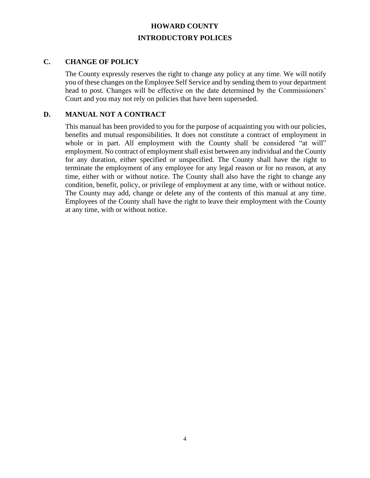# **HOWARD COUNTY INTRODUCTORY POLICES**

#### **C. CHANGE OF POLICY**

The County expressly reserves the right to change any policy at any time. We will notify you of these changes on the Employee Self Service and by sending them to your department head to post. Changes will be effective on the date determined by the Commissioners' Court and you may not rely on policies that have been superseded.

### **D. MANUAL NOT A CONTRACT**

This manual has been provided to you for the purpose of acquainting you with our policies, benefits and mutual responsibilities. It does not constitute a contract of employment in whole or in part. All employment with the County shall be considered "at will" employment. No contract of employment shall exist between any individual and the County for any duration, either specified or unspecified. The County shall have the right to terminate the employment of any employee for any legal reason or for no reason, at any time, either with or without notice. The County shall also have the right to change any condition, benefit, policy, or privilege of employment at any time, with or without notice. The County may add, change or delete any of the contents of this manual at any time. Employees of the County shall have the right to leave their employment with the County at any time, with or without notice.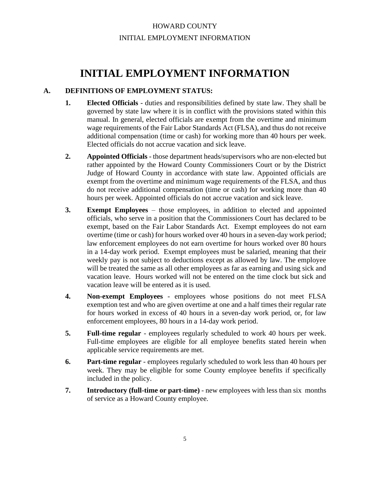# HOWARD COUNTY INITIAL EMPLOYMENT INFORMATION

# **INITIAL EMPLOYMENT INFORMATION**

# **A. DEFINITIONS OF EMPLOYMENT STATUS:**

- **1. Elected Officials** duties and responsibilities defined by state law. They shall be governed by state law where it is in conflict with the provisions stated within this manual. In general, elected officials are exempt from the overtime and minimum wage requirements of the Fair Labor Standards Act (FLSA), and thus do not receive additional compensation (time or cash) for working more than 40 hours per week. Elected officials do not accrue vacation and sick leave.
- **2. Appointed Officials** those department heads/supervisors who are non-elected but rather appointed by the Howard County Commissioners Court or by the District Judge of Howard County in accordance with state law. Appointed officials are exempt from the overtime and minimum wage requirements of the FLSA, and thus do not receive additional compensation (time or cash) for working more than 40 hours per week. Appointed officials do not accrue vacation and sick leave.
- **3. Exempt Employees**  those employees, in addition to elected and appointed officials, who serve in a position that the Commissioners Court has declared to be exempt, based on the Fair Labor Standards Act. Exempt employees do not earn overtime (time or cash) for hours worked over 40 hours in a seven-day work period; law enforcement employees do not earn overtime for hours worked over 80 hours in a 14-day work period. Exempt employees must be salaried, meaning that their weekly pay is not subject to deductions except as allowed by law. The employee will be treated the same as all other employees as far as earning and using sick and vacation leave. Hours worked will not be entered on the time clock but sick and vacation leave will be entered as it is used.
- **4. Non-exempt Employees** employees whose positions do not meet FLSA exemption test and who are given overtime at one and a half times their regular rate for hours worked in excess of 40 hours in a seven-day work period, or, for law enforcement employees, 80 hours in a 14-day work period.
- **5. Full-time regular** employees regularly scheduled to work 40 hours per week. Full-time employees are eligible for all employee benefits stated herein when applicable service requirements are met.
- **6. Part-time regular** employees regularly scheduled to work less than 40 hours per week. They may be eligible for some County employee benefits if specifically included in the policy.
- **7. Introductory (full-time or part-time)** new employees with less than six months of service as a Howard County employee.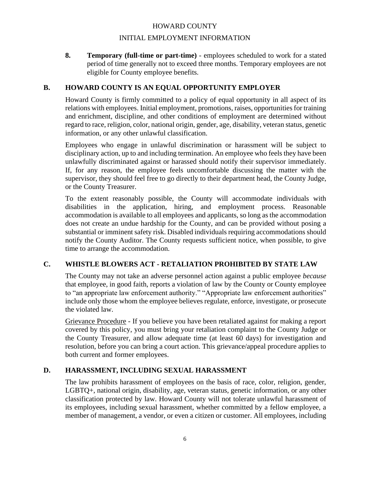#### INITIAL EMPLOYMENT INFORMATION

**8. Temporary (full-time or part-time)** - employees scheduled to work for a stated period of time generally not to exceed three months. Temporary employees are not eligible for County employee benefits.

#### **B. HOWARD COUNTY IS AN EQUAL OPPORTUNITY EMPLOYER**

Howard County is firmly committed to a policy of equal opportunity in all aspect of its relations with employees. Initial employment, promotions, raises, opportunities for training and enrichment, discipline, and other conditions of employment are determined without regard to race, religion, color, national origin, gender, age, disability, veteran status, genetic information, or any other unlawful classification.

Employees who engage in unlawful discrimination or harassment will be subject to disciplinary action, up to and including termination. An employee who feels they have been unlawfully discriminated against or harassed should notify their supervisor immediately. If, for any reason, the employee feels uncomfortable discussing the matter with the supervisor, they should feel free to go directly to their department head, the County Judge, or the County Treasurer.

To the extent reasonably possible, the County will accommodate individuals with disabilities in the application, hiring, and employment process. Reasonable accommodation is available to all employees and applicants, so long as the accommodation does not create an undue hardship for the County, and can be provided without posing a substantial or imminent safety risk. Disabled individuals requiring accommodations should notify the County Auditor. The County requests sufficient notice, when possible, to give time to arrange the accommodation.

### **C. WHISTLE BLOWERS ACT - RETALIATION PROHIBITED BY STATE LAW**

The County may not take an adverse personnel action against a public employee *because* that employee, in good faith, reports a violation of law by the County or County employee to "an appropriate law enforcement authority." "Appropriate law enforcement authorities" include only those whom the employee believes regulate, enforce, investigate, or prosecute the violated law.

Grievance Procedure - If you believe you have been retaliated against for making a report covered by this policy, you must bring your retaliation complaint to the County Judge or the County Treasurer, and allow adequate time (at least 60 days) for investigation and resolution, before you can bring a court action. This grievance/appeal procedure applies to both current and former employees.

#### **D. HARASSMENT, INCLUDING SEXUAL HARASSMENT**

The law prohibits harassment of employees on the basis of race, color, religion, gender, LGBTQ+, national origin, disability, age, veteran status, genetic information, or any other classification protected by law. Howard County will not tolerate unlawful harassment of its employees, including sexual harassment, whether committed by a fellow employee, a member of management, a vendor, or even a citizen or customer. All employees, including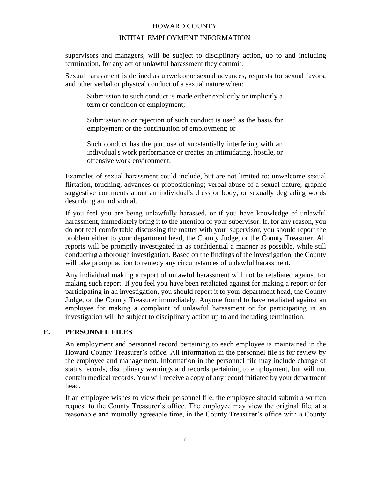#### INITIAL EMPLOYMENT INFORMATION

supervisors and managers, will be subject to disciplinary action, up to and including termination, for any act of unlawful harassment they commit.

Sexual harassment is defined as unwelcome sexual advances, requests for sexual favors, and other verbal or physical conduct of a sexual nature when:

Submission to such conduct is made either explicitly or implicitly a term or condition of employment;

Submission to or rejection of such conduct is used as the basis for employment or the continuation of employment; or

Such conduct has the purpose of substantially interfering with an individual's work performance or creates an intimidating, hostile, or offensive work environment.

Examples of sexual harassment could include, but are not limited to: unwelcome sexual flirtation, touching, advances or propositioning; verbal abuse of a sexual nature; graphic suggestive comments about an individual's dress or body; or sexually degrading words describing an individual.

If you feel you are being unlawfully harassed, or if you have knowledge of unlawful harassment, immediately bring it to the attention of your supervisor. If, for any reason, you do not feel comfortable discussing the matter with your supervisor, you should report the problem either to your department head, the County Judge, or the County Treasurer. All reports will be promptly investigated in as confidential a manner as possible, while still conducting a thorough investigation. Based on the findings of the investigation, the County will take prompt action to remedy any circumstances of unlawful harassment.

Any individual making a report of unlawful harassment will not be retaliated against for making such report. If you feel you have been retaliated against for making a report or for participating in an investigation, you should report it to your department head, the County Judge, or the County Treasurer immediately. Anyone found to have retaliated against an employee for making a complaint of unlawful harassment or for participating in an investigation will be subject to disciplinary action up to and including termination.

#### **E. PERSONNEL FILES**

An employment and personnel record pertaining to each employee is maintained in the Howard County Treasurer's office. All information in the personnel file is for review by the employee and management. Information in the personnel file may include change of status records, disciplinary warnings and records pertaining to employment, but will not contain medical records. You will receive a copy of any record initiated by your department head.

If an employee wishes to view their personnel file, the employee should submit a written request to the County Treasurer's office. The employee may view the original file, at a reasonable and mutually agreeable time, in the County Treasurer's office with a County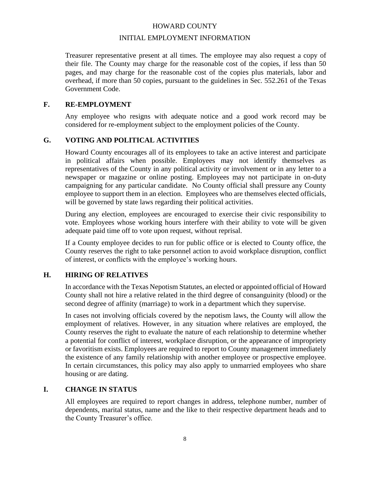#### INITIAL EMPLOYMENT INFORMATION

Treasurer representative present at all times. The employee may also request a copy of their file. The County may charge for the reasonable cost of the copies, if less than 50 pages, and may charge for the reasonable cost of the copies plus materials, labor and overhead, if more than 50 copies, pursuant to the guidelines in Sec. 552.261 of the Texas Government Code.

#### **F. RE-EMPLOYMENT**

Any employee who resigns with adequate notice and a good work record may be considered for re-employment subject to the employment policies of the County.

### **G. VOTING AND POLITICAL ACTIVITIES**

Howard County encourages all of its employees to take an active interest and participate in political affairs when possible. Employees may not identify themselves as representatives of the County in any political activity or involvement or in any letter to a newspaper or magazine or online posting. Employees may not participate in on-duty campaigning for any particular candidate. No County official shall pressure any County employee to support them in an election. Employees who are themselves elected officials, will be governed by state laws regarding their political activities.

During any election, employees are encouraged to exercise their civic responsibility to vote. Employees whose working hours interfere with their ability to vote will be given adequate paid time off to vote upon request, without reprisal.

If a County employee decides to run for public office or is elected to County office, the County reserves the right to take personnel action to avoid workplace disruption, conflict of interest, or conflicts with the employee's working hours.

#### **H. HIRING OF RELATIVES**

In accordance with the Texas Nepotism Statutes, an elected or appointed official of Howard County shall not hire a relative related in the third degree of consanguinity (blood) or the second degree of affinity (marriage) to work in a department which they supervise.

In cases not involving officials covered by the nepotism laws, the County will allow the employment of relatives. However, in any situation where relatives are employed, the County reserves the right to evaluate the nature of each relationship to determine whether a potential for conflict of interest, workplace disruption, or the appearance of impropriety or favoritism exists. Employees are required to report to County management immediately the existence of any family relationship with another employee or prospective employee. In certain circumstances, this policy may also apply to unmarried employees who share housing or are dating.

#### **I. CHANGE IN STATUS**

All employees are required to report changes in address, telephone number, number of dependents, marital status, name and the like to their respective department heads and to the County Treasurer's office.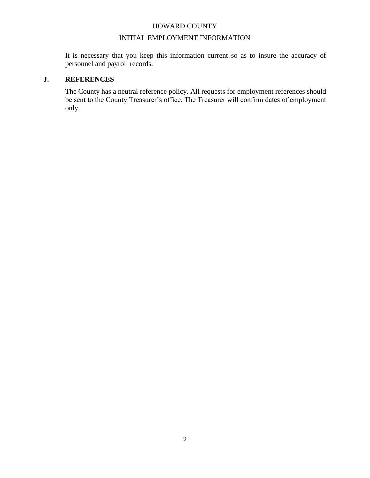#### INITIAL EMPLOYMENT INFORMATION

It is necessary that you keep this information current so as to insure the accuracy of personnel and payroll records.

#### **J. REFERENCES**

The County has a neutral reference policy. All requests for employment references should be sent to the County Treasurer's office. The Treasurer will confirm dates of employment only.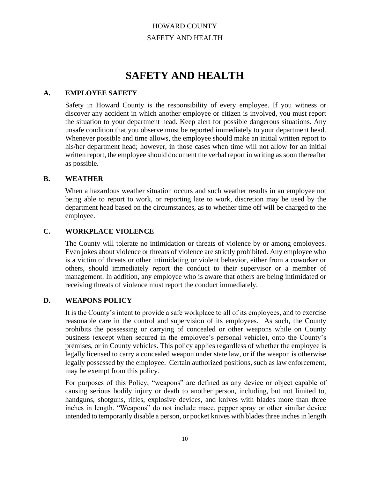# HOWARD COUNTY SAFETY AND HEALTH

# **SAFETY AND HEALTH**

#### **A. EMPLOYEE SAFETY**

Safety in Howard County is the responsibility of every employee. If you witness or discover any accident in which another employee or citizen is involved, you must report the situation to your department head. Keep alert for possible dangerous situations. Any unsafe condition that you observe must be reported immediately to your department head. Whenever possible and time allows, the employee should make an initial written report to his/her department head; however, in those cases when time will not allow for an initial written report, the employee should document the verbal report in writing as soon thereafter as possible.

#### **B. WEATHER**

When a hazardous weather situation occurs and such weather results in an employee not being able to report to work, or reporting late to work, discretion may be used by the department head based on the circumstances, as to whether time off will be charged to the employee.

#### **C. WORKPLACE VIOLENCE**

The County will tolerate no intimidation or threats of violence by or among employees. Even jokes about violence or threats of violence are strictly prohibited. Any employee who is a victim of threats or other intimidating or violent behavior, either from a coworker or others, should immediately report the conduct to their supervisor or a member of management. In addition, any employee who is aware that others are being intimidated or receiving threats of violence must report the conduct immediately.

#### **D. WEAPONS POLICY**

It is the County's intent to provide a safe workplace to all of its employees, and to exercise reasonable care in the control and supervision of its employees. As such, the County prohibits the possessing or carrying of concealed or other weapons while on County business (except when secured in the employee's personal vehicle), onto the County's premises, or in County vehicles. This policy applies regardless of whether the employee is legally licensed to carry a concealed weapon under state law, or if the weapon is otherwise legally possessed by the employee. Certain authorized positions, such as law enforcement, may be exempt from this policy.

For purposes of this Policy, "weapons" are defined as any device or object capable of causing serious bodily injury or death to another person, including, but not limited to, handguns, shotguns, rifles, explosive devices, and knives with blades more than three inches in length. "Weapons" do not include mace, pepper spray or other similar device intended to temporarily disable a person, or pocket knives with blades three inches in length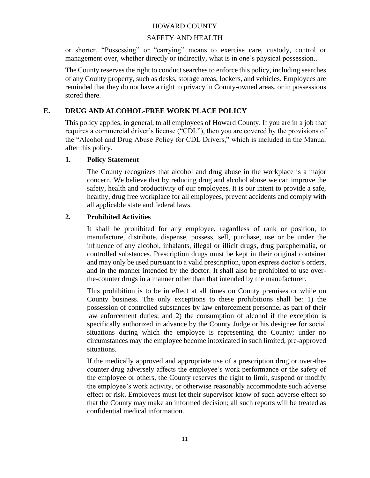#### SAFETY AND HEALTH

or shorter. "Possessing" or "carrying" means to exercise care, custody, control or management over, whether directly or indirectly, what is in one's physical possession..

The County reserves the right to conduct searches to enforce this policy, including searches of any County property, such as desks, storage areas, lockers, and vehicles. Employees are reminded that they do not have a right to privacy in County-owned areas, or in possessions stored there.

#### **E. DRUG AND ALCOHOL-FREE WORK PLACE POLICY**

This policy applies, in general, to all employees of Howard County. If you are in a job that requires a commercial driver's license ("CDL"), then you are covered by the provisions of the "Alcohol and Drug Abuse Policy for CDL Drivers," which is included in the Manual after this policy.

#### **1. Policy Statement**

The County recognizes that alcohol and drug abuse in the workplace is a major concern. We believe that by reducing drug and alcohol abuse we can improve the safety, health and productivity of our employees. It is our intent to provide a safe, healthy, drug free workplace for all employees, prevent accidents and comply with all applicable state and federal laws.

#### **2. Prohibited Activities**

It shall be prohibited for any employee, regardless of rank or position, to manufacture, distribute, dispense, possess, sell, purchase, use or be under the influence of any alcohol, inhalants, illegal or illicit drugs, drug paraphernalia, or controlled substances. Prescription drugs must be kept in their original container and may only be used pursuant to a valid prescription, upon express doctor's orders, and in the manner intended by the doctor. It shall also be prohibited to use overthe-counter drugs in a manner other than that intended by the manufacturer.

This prohibition is to be in effect at all times on County premises or while on County business. The only exceptions to these prohibitions shall be: 1) the possession of controlled substances by law enforcement personnel as part of their law enforcement duties; and 2) the consumption of alcohol if the exception is specifically authorized in advance by the County Judge or his designee for social situations during which the employee is representing the County; under no circumstances may the employee become intoxicated in such limited, pre-approved situations.

If the medically approved and appropriate use of a prescription drug or over-thecounter drug adversely affects the employee's work performance or the safety of the employee or others, the County reserves the right to limit, suspend or modify the employee's work activity, or otherwise reasonably accommodate such adverse effect or risk. Employees must let their supervisor know of such adverse effect so that the County may make an informed decision; all such reports will be treated as confidential medical information.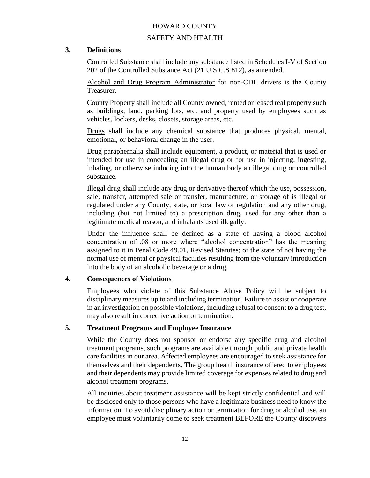## SAFETY AND HEALTH

#### **3. Definitions**

Controlled Substance shall include any substance listed in Schedules I-V of Section 202 of the Controlled Substance Act (21 U.S.C.S 812), as amended.

Alcohol and Drug Program Administrator for non-CDL drivers is the County Treasurer.

County Property shall include all County owned, rented or leased real property such as buildings, land, parking lots, etc. and property used by employees such as vehicles, lockers, desks, closets, storage areas, etc.

Drugs shall include any chemical substance that produces physical, mental, emotional, or behavioral change in the user.

Drug paraphernalia shall include equipment, a product, or material that is used or intended for use in concealing an illegal drug or for use in injecting, ingesting, inhaling, or otherwise inducing into the human body an illegal drug or controlled substance.

Illegal drug shall include any drug or derivative thereof which the use, possession, sale, transfer, attempted sale or transfer, manufacture, or storage of is illegal or regulated under any County, state, or local law or regulation and any other drug, including (but not limited to) a prescription drug, used for any other than a legitimate medical reason, and inhalants used illegally.

Under the influence shall be defined as a state of having a blood alcohol concentration of .08 or more where "alcohol concentration" has the meaning assigned to it in Penal Code 49.01, Revised Statutes; or the state of not having the normal use of mental or physical faculties resulting from the voluntary introduction into the body of an alcoholic beverage or a drug.

#### **4. Consequences of Violations**

Employees who violate of this Substance Abuse Policy will be subject to disciplinary measures up to and including termination. Failure to assist or cooperate in an investigation on possible violations, including refusal to consent to a drug test, may also result in corrective action or termination.

#### **5. Treatment Programs and Employee Insurance**

While the County does not sponsor or endorse any specific drug and alcohol treatment programs, such programs are available through public and private health care facilities in our area. Affected employees are encouraged to seek assistance for themselves and their dependents. The group health insurance offered to employees and their dependents may provide limited coverage for expenses related to drug and alcohol treatment programs.

All inquiries about treatment assistance will be kept strictly confidential and will be disclosed only to those persons who have a legitimate business need to know the information. To avoid disciplinary action or termination for drug or alcohol use, an employee must voluntarily come to seek treatment BEFORE the County discovers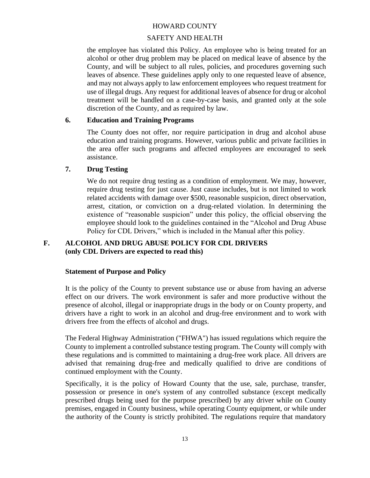#### SAFETY AND HEALTH

the employee has violated this Policy. An employee who is being treated for an alcohol or other drug problem may be placed on medical leave of absence by the County, and will be subject to all rules, policies, and procedures governing such leaves of absence. These guidelines apply only to one requested leave of absence, and may not always apply to law enforcement employees who request treatment for use of illegal drugs. Any request for additional leaves of absence for drug or alcohol treatment will be handled on a case-by-case basis, and granted only at the sole discretion of the County, and as required by law.

#### **6. Education and Training Programs**

The County does not offer, nor require participation in drug and alcohol abuse education and training programs. However, various public and private facilities in the area offer such programs and affected employees are encouraged to seek assistance.

#### **7. Drug Testing**

We do not require drug testing as a condition of employment. We may, however, require drug testing for just cause. Just cause includes, but is not limited to work related accidents with damage over \$500, reasonable suspicion, direct observation, arrest, citation, or conviction on a drug-related violation. In determining the existence of "reasonable suspicion" under this policy, the official observing the employee should look to the guidelines contained in the "Alcohol and Drug Abuse Policy for CDL Drivers," which is included in the Manual after this policy.

### **F. ALCOHOL AND DRUG ABUSE POLICY FOR CDL DRIVERS (only CDL Drivers are expected to read this)**

#### **Statement of Purpose and Policy**

It is the policy of the County to prevent substance use or abuse from having an adverse effect on our drivers. The work environment is safer and more productive without the presence of alcohol, illegal or inappropriate drugs in the body or on County property, and drivers have a right to work in an alcohol and drug-free environment and to work with drivers free from the effects of alcohol and drugs.

The Federal Highway Administration ("FHWA") has issued regulations which require the County to implement a controlled substance testing program. The County will comply with these regulations and is committed to maintaining a drug-free work place. All drivers are advised that remaining drug-free and medically qualified to drive are conditions of continued employment with the County.

Specifically, it is the policy of Howard County that the use, sale, purchase, transfer, possession or presence in one's system of any controlled substance (except medically prescribed drugs being used for the purpose prescribed) by any driver while on County premises, engaged in County business, while operating County equipment, or while under the authority of the County is strictly prohibited. The regulations require that mandatory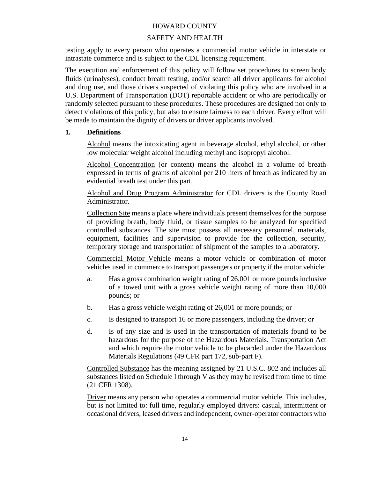#### SAFETY AND HEALTH

testing apply to every person who operates a commercial motor vehicle in interstate or intrastate commerce and is subject to the CDL licensing requirement.

The execution and enforcement of this policy will follow set procedures to screen body fluids (urinalyses), conduct breath testing, and/or search all driver applicants for alcohol and drug use, and those drivers suspected of violating this policy who are involved in a U.S. Department of Transportation (DOT) reportable accident or who are periodically or randomly selected pursuant to these procedures. These procedures are designed not only to detect violations of this policy, but also to ensure fairness to each driver. Every effort will be made to maintain the dignity of drivers or driver applicants involved.

#### **1. Definitions**

Alcohol means the intoxicating agent in beverage alcohol, ethyl alcohol, or other low molecular weight alcohol including methyl and isopropyl alcohol.

Alcohol Concentration (or content) means the alcohol in a volume of breath expressed in terms of grams of alcohol per 210 liters of breath as indicated by an evidential breath test under this part.

Alcohol and Drug Program Administrator for CDL drivers is the County Road Administrator.

Collection Site means a place where individuals present themselves for the purpose of providing breath, body fluid, or tissue samples to be analyzed for specified controlled substances. The site must possess all necessary personnel, materials, equipment, facilities and supervision to provide for the collection, security, temporary storage and transportation of shipment of the samples to a laboratory.

Commercial Motor Vehicle means a motor vehicle or combination of motor vehicles used in commerce to transport passengers or property if the motor vehicle:

- a. Has a gross combination weight rating of 26,001 or more pounds inclusive of a towed unit with a gross vehicle weight rating of more than 10,000 pounds; or
- b. Has a gross vehicle weight rating of 26,001 or more pounds; or
- c. Is designed to transport 16 or more passengers, including the driver; or
- d. Is of any size and is used in the transportation of materials found to be hazardous for the purpose of the Hazardous Materials. Transportation Act and which require the motor vehicle to be placarded under the Hazardous Materials Regulations (49 CFR part 172, sub-part F).

Controlled Substance has the meaning assigned by 21 U.S.C. 802 and includes all substances listed on Schedule I through V as they may be revised from time to time (21 CFR 1308).

Driver means any person who operates a commercial motor vehicle. This includes, but is not limited to: full time, regularly employed drivers: casual, intermittent or occasional drivers; leased drivers and independent, owner-operator contractors who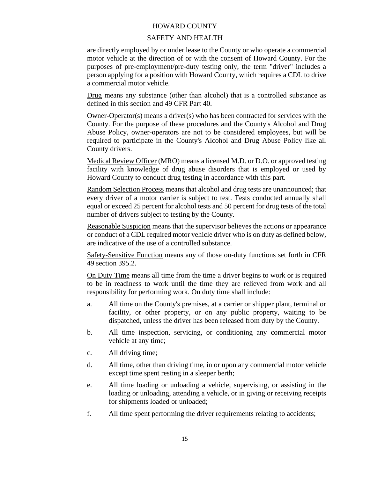#### SAFETY AND HEALTH

are directly employed by or under lease to the County or who operate a commercial motor vehicle at the direction of or with the consent of Howard County. For the purposes of pre-employment/pre-duty testing only, the term "driver" includes a person applying for a position with Howard County, which requires a CDL to drive a commercial motor vehicle.

Drug means any substance (other than alcohol) that is a controlled substance as defined in this section and 49 CFR Part 40.

Owner-Operator(s) means a driver(s) who has been contracted for services with the County. For the purpose of these procedures and the County's Alcohol and Drug Abuse Policy, owner-operators are not to be considered employees, but will be required to participate in the County's Alcohol and Drug Abuse Policy like all County drivers.

Medical Review Officer (MRO) means a licensed M.D. or D.O. or approved testing facility with knowledge of drug abuse disorders that is employed or used by Howard County to conduct drug testing in accordance with this part.

Random Selection Process means that alcohol and drug tests are unannounced; that every driver of a motor carrier is subject to test. Tests conducted annually shall equal or exceed 25 percent for alcohol tests and 50 percent for drug tests of the total number of drivers subject to testing by the County.

Reasonable Suspicion means that the supervisor believes the actions or appearance or conduct of a CDL required motor vehicle driver who is on duty as defined below, are indicative of the use of a controlled substance.

Safety-Sensitive Function means any of those on-duty functions set forth in CFR 49 section 395.2.

On Duty Time means all time from the time a driver begins to work or is required to be in readiness to work until the time they are relieved from work and all responsibility for performing work. On duty time shall include:

- a. All time on the County's premises, at a carrier or shipper plant, terminal or facility, or other property, or on any public property, waiting to be dispatched, unless the driver has been released from duty by the County.
- b. All time inspection, servicing, or conditioning any commercial motor vehicle at any time;
- c. All driving time;
- d. All time, other than driving time, in or upon any commercial motor vehicle except time spent resting in a sleeper berth;
- e. All time loading or unloading a vehicle, supervising, or assisting in the loading or unloading, attending a vehicle, or in giving or receiving receipts for shipments loaded or unloaded;
- f. All time spent performing the driver requirements relating to accidents;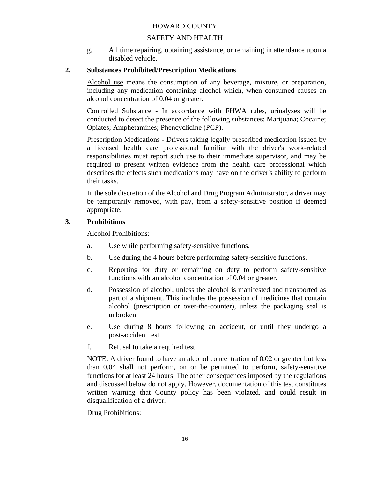### SAFETY AND HEALTH

g. All time repairing, obtaining assistance, or remaining in attendance upon a disabled vehicle.

#### **2. Substances Prohibited/Prescription Medications**

Alcohol use means the consumption of any beverage, mixture, or preparation, including any medication containing alcohol which, when consumed causes an alcohol concentration of 0.04 or greater.

Controlled Substance - In accordance with FHWA rules, urinalyses will be conducted to detect the presence of the following substances: Marijuana; Cocaine; Opiates; Amphetamines; Phencyclidine (PCP).

Prescription Medications - Drivers taking legally prescribed medication issued by a licensed health care professional familiar with the driver's work-related responsibilities must report such use to their immediate supervisor, and may be required to present written evidence from the health care professional which describes the effects such medications may have on the driver's ability to perform their tasks.

In the sole discretion of the Alcohol and Drug Program Administrator, a driver may be temporarily removed, with pay, from a safety-sensitive position if deemed appropriate.

#### **3. Prohibitions**

Alcohol Prohibitions:

- a. Use while performing safety-sensitive functions.
- b. Use during the 4 hours before performing safety-sensitive functions.
- c. Reporting for duty or remaining on duty to perform safety-sensitive functions with an alcohol concentration of 0.04 or greater.
- d. Possession of alcohol, unless the alcohol is manifested and transported as part of a shipment. This includes the possession of medicines that contain alcohol (prescription or over-the-counter), unless the packaging seal is unbroken.
- e. Use during 8 hours following an accident, or until they undergo a post-accident test.
- f. Refusal to take a required test.

NOTE: A driver found to have an alcohol concentration of 0.02 or greater but less than 0.04 shall not perform, on or be permitted to perform, safety-sensitive functions for at least 24 hours. The other consequences imposed by the regulations and discussed below do not apply. However, documentation of this test constitutes written warning that County policy has been violated, and could result in disqualification of a driver.

#### Drug Prohibitions: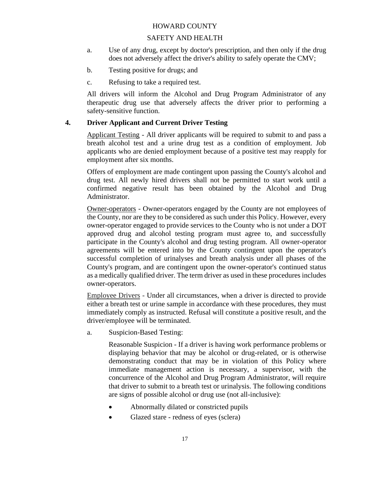#### SAFETY AND HEALTH

- a. Use of any drug, except by doctor's prescription, and then only if the drug does not adversely affect the driver's ability to safely operate the CMV;
- b. Testing positive for drugs; and
- c. Refusing to take a required test.

All drivers will inform the Alcohol and Drug Program Administrator of any therapeutic drug use that adversely affects the driver prior to performing a safety-sensitive function.

#### **4. Driver Applicant and Current Driver Testing**

Applicant Testing - All driver applicants will be required to submit to and pass a breath alcohol test and a urine drug test as a condition of employment. Job applicants who are denied employment because of a positive test may reapply for employment after six months.

Offers of employment are made contingent upon passing the County's alcohol and drug test. All newly hired drivers shall not be permitted to start work until a confirmed negative result has been obtained by the Alcohol and Drug Administrator.

Owner-operators - Owner-operators engaged by the County are not employees of the County, nor are they to be considered as such under this Policy. However, every owner-operator engaged to provide services to the County who is not under a DOT approved drug and alcohol testing program must agree to, and successfully participate in the County's alcohol and drug testing program. All owner-operator agreements will be entered into by the County contingent upon the operator's successful completion of urinalyses and breath analysis under all phases of the County's program, and are contingent upon the owner-operator's continued status as a medically qualified driver. The term driver as used in these procedures includes owner-operators.

Employee Drivers - Under all circumstances, when a driver is directed to provide either a breath test or urine sample in accordance with these procedures, they must immediately comply as instructed. Refusal will constitute a positive result, and the driver/employee will be terminated.

a. Suspicion-Based Testing:

Reasonable Suspicion - If a driver is having work performance problems or displaying behavior that may be alcohol or drug-related, or is otherwise demonstrating conduct that may be in violation of this Policy where immediate management action is necessary, a supervisor, with the concurrence of the Alcohol and Drug Program Administrator, will require that driver to submit to a breath test or urinalysis. The following conditions are signs of possible alcohol or drug use (not all-inclusive):

- Abnormally dilated or constricted pupils
- Glazed stare redness of eyes (sclera)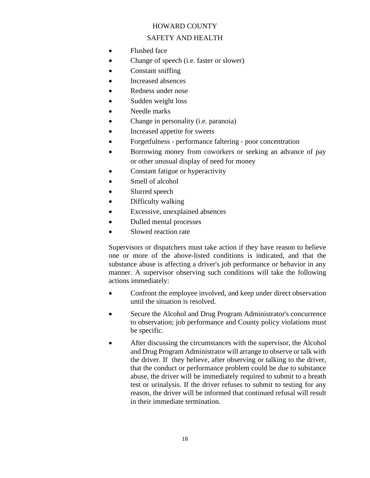#### SAFETY AND HEALTH

- Flushed face
- Change of speech (i.e. faster or slower)
- Constant sniffing
- Increased absences
- Redness under nose
- Sudden weight loss
- Needle marks
- Change in personality (i.e. paranoia)
- Increased appetite for sweets
- Forgetfulness performance faltering poor concentration
- Borrowing money from coworkers or seeking an advance of pay or other unusual display of need for money
- Constant fatigue or hyperactivity
- Smell of alcohol
- Slurred speech
- Difficulty walking
- Excessive, unexplained absences
- Dulled mental processes
- Slowed reaction rate

Supervisors or dispatchers must take action if they have reason to believe one or more of the above-listed conditions is indicated, and that the substance abuse is affecting a driver's job performance or behavior in any manner. A supervisor observing such conditions will take the following actions immediately:

- Confront the employee involved, and keep under direct observation until the situation is resolved.
- Secure the Alcohol and Drug Program Administrator's concurrence to observation; job performance and County policy violations must be specific.
- After discussing the circumstances with the supervisor, the Alcohol and Drug Program Administrator will arrange to observe or talk with the driver. If they believe, after observing or talking to the driver, that the conduct or performance problem could be due to substance abuse, the driver will be immediately required to submit to a breath test or urinalysis. If the driver refuses to submit to testing for any reason, the driver will be informed that continued refusal will result in their immediate termination.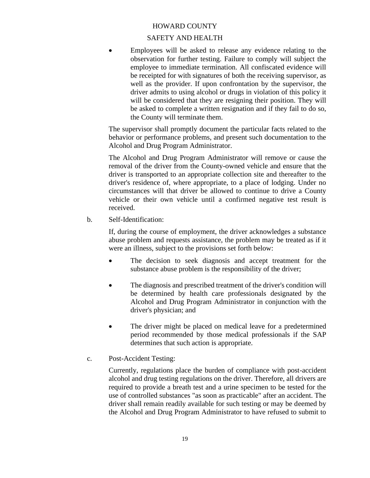#### SAFETY AND HEALTH

Employees will be asked to release any evidence relating to the observation for further testing. Failure to comply will subject the employee to immediate termination. All confiscated evidence will be receipted for with signatures of both the receiving supervisor, as well as the provider. If upon confrontation by the supervisor, the driver admits to using alcohol or drugs in violation of this policy it will be considered that they are resigning their position. They will be asked to complete a written resignation and if they fail to do so, the County will terminate them.

The supervisor shall promptly document the particular facts related to the behavior or performance problems, and present such documentation to the Alcohol and Drug Program Administrator.

The Alcohol and Drug Program Administrator will remove or cause the removal of the driver from the County-owned vehicle and ensure that the driver is transported to an appropriate collection site and thereafter to the driver's residence of, where appropriate, to a place of lodging. Under no circumstances will that driver be allowed to continue to drive a County vehicle or their own vehicle until a confirmed negative test result is received.

b. Self-Identification:

If, during the course of employment, the driver acknowledges a substance abuse problem and requests assistance, the problem may be treated as if it were an illness, subject to the provisions set forth below:

- The decision to seek diagnosis and accept treatment for the substance abuse problem is the responsibility of the driver;
- The diagnosis and prescribed treatment of the driver's condition will be determined by health care professionals designated by the Alcohol and Drug Program Administrator in conjunction with the driver's physician; and
- The driver might be placed on medical leave for a predetermined period recommended by those medical professionals if the SAP determines that such action is appropriate.
- c. Post-Accident Testing:

Currently, regulations place the burden of compliance with post-accident alcohol and drug testing regulations on the driver. Therefore, all drivers are required to provide a breath test and a urine specimen to be tested for the use of controlled substances "as soon as practicable" after an accident. The driver shall remain readily available for such testing or may be deemed by the Alcohol and Drug Program Administrator to have refused to submit to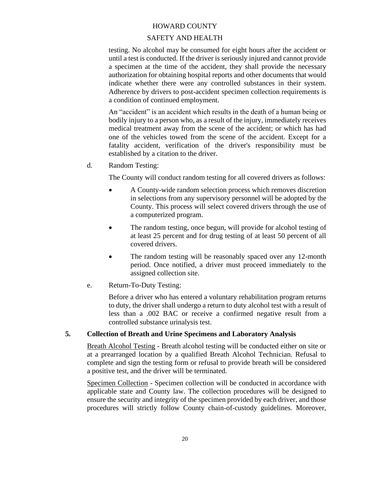#### SAFETY AND HEALTH

testing. No alcohol may be consumed for eight hours after the accident or until a test is conducted. If the driver is seriously injured and cannot provide a specimen at the time of the accident, they shall provide the necessary authorization for obtaining hospital reports and other documents that would indicate whether there were any controlled substances in their system. Adherence by drivers to post-accident specimen collection requirements is a condition of continued employment.

An "accident" is an accident which results in the death of a human being or bodily injury to a person who, as a result of the injury, immediately receives medical treatment away from the scene of the accident; or which has had one of the vehicles towed from the scene of the accident. Except for a fatality accident, verification of the driver's responsibility must be established by a citation to the driver.

d. Random Testing:

The County will conduct random testing for all covered drivers as follows:

- A County-wide random selection process which removes discretion in selections from any supervisory personnel will be adopted by the County. This process will select covered drivers through the use of a computerized program.
- The random testing, once begun, will provide for alcohol testing of at least 25 percent and for drug testing of at least 50 percent of all covered drivers.
- The random testing will be reasonably spaced over any 12-month period. Once notified, a driver must proceed immediately to the assigned collection site.
- e. Return-To-Duty Testing:

Before a driver who has entered a voluntary rehabilitation program returns to duty, the driver shall undergo a return to duty alcohol test with a result of less than a .002 BAC or receive a confirmed negative result from a controlled substance urinalysis test.

#### **5. Collection of Breath and Urine Specimens and Laboratory Analysis**

Breath Alcohol Testing - Breath alcohol testing will be conducted either on site or at a prearranged location by a qualified Breath Alcohol Technician. Refusal to complete and sign the testing form or refusal to provide breath will be considered a positive test, and the driver will be terminated.

Specimen Collection - Specimen collection will be conducted in accordance with applicable state and County law. The collection procedures will be designed to ensure the security and integrity of the specimen provided by each driver, and those procedures will strictly follow County chain-of-custody guidelines. Moreover,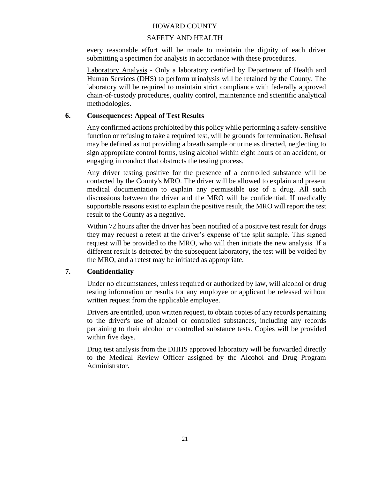#### SAFETY AND HEALTH

every reasonable effort will be made to maintain the dignity of each driver submitting a specimen for analysis in accordance with these procedures.

Laboratory Analysis - Only a laboratory certified by Department of Health and Human Services (DHS) to perform urinalysis will be retained by the County. The laboratory will be required to maintain strict compliance with federally approved chain-of-custody procedures, quality control, maintenance and scientific analytical methodologies.

#### **6. Consequences: Appeal of Test Results**

Any confirmed actions prohibited by this policy while performing a safety-sensitive function or refusing to take a required test, will be grounds for termination. Refusal may be defined as not providing a breath sample or urine as directed, neglecting to sign appropriate control forms, using alcohol within eight hours of an accident, or engaging in conduct that obstructs the testing process.

Any driver testing positive for the presence of a controlled substance will be contacted by the County's MRO. The driver will be allowed to explain and present medical documentation to explain any permissible use of a drug. All such discussions between the driver and the MRO will be confidential. If medically supportable reasons exist to explain the positive result, the MRO will report the test result to the County as a negative.

Within 72 hours after the driver has been notified of a positive test result for drugs they may request a retest at the driver's expense of the split sample. This signed request will be provided to the MRO, who will then initiate the new analysis. If a different result is detected by the subsequent laboratory, the test will be voided by the MRO, and a retest may be initiated as appropriate.

### **7. Confidentiality**

Under no circumstances, unless required or authorized by law, will alcohol or drug testing information or results for any employee or applicant be released without written request from the applicable employee.

Drivers are entitled, upon written request, to obtain copies of any records pertaining to the driver's use of alcohol or controlled substances, including any records pertaining to their alcohol or controlled substance tests. Copies will be provided within five days.

Drug test analysis from the DHHS approved laboratory will be forwarded directly to the Medical Review Officer assigned by the Alcohol and Drug Program Administrator.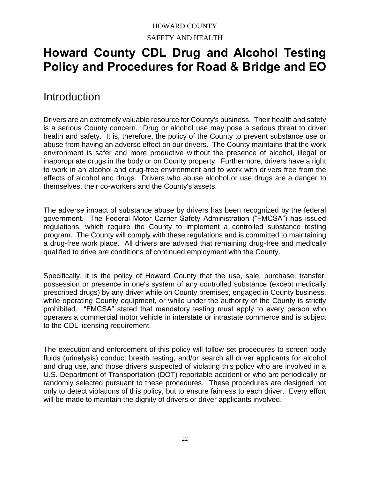# HOWARD COUNTY SAFETY AND HEALTH

# **Howard County CDL Drug and Alcohol Testing Policy and Procedures for Road & Bridge and EO**

# **Introduction**

Drivers are an extremely valuable resource for County's business. Their health and safety is a serious County concern. Drug or alcohol use may pose a serious threat to driver health and safety. It is, therefore, the policy of the County to prevent substance use or abuse from having an adverse effect on our drivers. The County maintains that the work environment is safer and more productive without the presence of alcohol, illegal or inappropriate drugs in the body or on County property. Furthermore, drivers have a right to work in an alcohol and drug-free environment and to work with drivers free from the effects of alcohol and drugs. Drivers who abuse alcohol or use drugs are a danger to themselves, their co-workers and the County's assets.

The adverse impact of substance abuse by drivers has been recognized by the federal government. The Federal Motor Carrier Safety Administration ("FMCSA") has issued regulations, which require the County to implement a controlled substance testing program. The County will comply with these regulations and is committed to maintaining a drug-free work place. All drivers are advised that remaining drug-free and medically qualified to drive are conditions of continued employment with the County.

Specifically, it is the policy of Howard County that the use, sale, purchase, transfer, possession or presence in one's system of any controlled substance (except medically prescribed drugs) by any driver while on County premises, engaged in County business, while operating County equipment, or while under the authority of the County is strictly prohibited. "FMCSA" stated that mandatory testing must apply to every person who operates a commercial motor vehicle in interstate or intrastate commerce and is subject to the CDL licensing requirement.

The execution and enforcement of this policy will follow set procedures to screen body fluids (urinalysis) conduct breath testing, and/or search all driver applicants for alcohol and drug use, and those drivers suspected of violating this policy who are involved in a U.S. Department of Transportation (DOT) reportable accident or who are periodically or randomly selected pursuant to these procedures. These procedures are designed not only to detect violations of this policy, but to ensure fairness to each driver. Every effort will be made to maintain the dignity of drivers or driver applicants involved.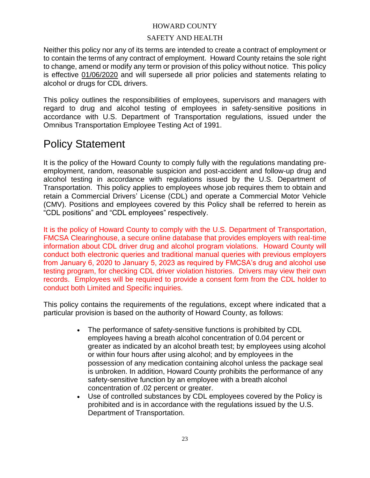#### SAFETY AND HEALTH

Neither this policy nor any of its terms are intended to create a contract of employment or to contain the terms of any contract of employment. Howard County retains the sole right to change, amend or modify any term or provision of this policy without notice. This policy is effective 01/06/2020 and will supersede all prior policies and statements relating to alcohol or drugs for CDL drivers.

This policy outlines the responsibilities of employees, supervisors and managers with regard to drug and alcohol testing of employees in safety-sensitive positions in accordance with U.S. Department of Transportation regulations, issued under the Omnibus Transportation Employee Testing Act of 1991.

# Policy Statement

It is the policy of the Howard County to comply fully with the regulations mandating preemployment, random, reasonable suspicion and post-accident and follow-up drug and alcohol testing in accordance with regulations issued by the U.S. Department of Transportation. This policy applies to employees whose job requires them to obtain and retain a Commercial Drivers' License (CDL) and operate a Commercial Motor Vehicle (CMV). Positions and employees covered by this Policy shall be referred to herein as "CDL positions" and "CDL employees" respectively.

It is the policy of Howard County to comply with the U.S. Department of Transportation, FMCSA Clearinghouse, a secure online database that provides employers with real-time information about CDL driver drug and alcohol program violations. Howard County will conduct both electronic queries and traditional manual queries with previous employers from January 6, 2020 to January 5, 2023 as required by FMCSA's drug and alcohol use testing program, for checking CDL driver violation histories. Drivers may view their own records. Employees will be required to provide a consent form from the CDL holder to conduct both Limited and Specific inquiries.

This policy contains the requirements of the regulations, except where indicated that a particular provision is based on the authority of Howard County, as follows:

- The performance of safety-sensitive functions is prohibited by CDL employees having a breath alcohol concentration of 0.04 percent or greater as indicated by an alcohol breath test; by employees using alcohol or within four hours after using alcohol; and by employees in the possession of any medication containing alcohol unless the package seal is unbroken. In addition, Howard County prohibits the performance of any safety-sensitive function by an employee with a breath alcohol concentration of .02 percent or greater.
- Use of controlled substances by CDL employees covered by the Policy is prohibited and is in accordance with the regulations issued by the U.S. Department of Transportation.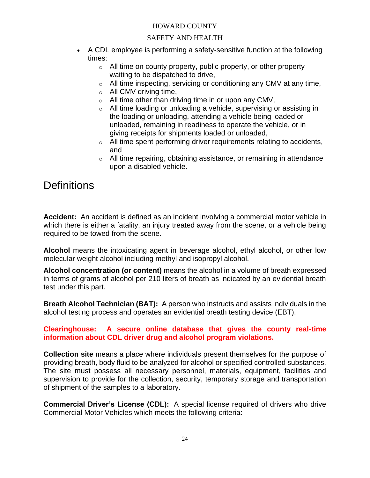# SAFETY AND HEALTH

- A CDL employee is performing a safety-sensitive function at the following times:
	- o All time on county property, public property, or other property waiting to be dispatched to drive,
	- o All time inspecting, servicing or conditioning any CMV at any time,
	- $\circ$  All CMV driving time,
	- $\circ$  All time other than driving time in or upon any CMV,
	- o All time loading or unloading a vehicle, supervising or assisting in the loading or unloading, attending a vehicle being loaded or unloaded, remaining in readiness to operate the vehicle, or in giving receipts for shipments loaded or unloaded,
	- $\circ$  All time spent performing driver requirements relating to accidents, and
	- o All time repairing, obtaining assistance, or remaining in attendance upon a disabled vehicle.

# **Definitions**

**Accident:** An accident is defined as an incident involving a commercial motor vehicle in which there is either a fatality, an injury treated away from the scene, or a vehicle being required to be towed from the scene.

**Alcohol** means the intoxicating agent in beverage alcohol, ethyl alcohol, or other low molecular weight alcohol including methyl and isopropyl alcohol.

**Alcohol concentration (or content)** means the alcohol in a volume of breath expressed in terms of grams of alcohol per 210 liters of breath as indicated by an evidential breath test under this part.

**Breath Alcohol Technician (BAT):** A person who instructs and assists individuals in the alcohol testing process and operates an evidential breath testing device (EBT).

# **Clearinghouse: A secure online database that gives the county real-time information about CDL driver drug and alcohol program violations.**

**Collection site** means a place where individuals present themselves for the purpose of providing breath, body fluid to be analyzed for alcohol or specified controlled substances. The site must possess all necessary personnel, materials, equipment, facilities and supervision to provide for the collection, security, temporary storage and transportation of shipment of the samples to a laboratory.

**Commercial Driver's License (CDL):** A special license required of drivers who drive Commercial Motor Vehicles which meets the following criteria: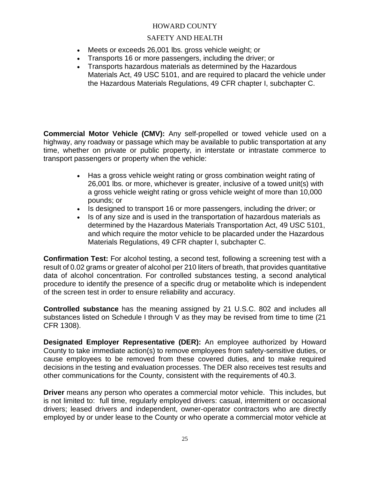### SAFETY AND HEALTH

- Meets or exceeds 26,001 lbs. gross vehicle weight; or
- Transports 16 or more passengers, including the driver; or
- Transports hazardous materials as determined by the Hazardous Materials Act, 49 USC 5101, and are required to placard the vehicle under the Hazardous Materials Regulations, 49 CFR chapter I, subchapter C.

**Commercial Motor Vehicle (CMV):** Any self-propelled or towed vehicle used on a highway, any roadway or passage which may be available to public transportation at any time, whether on private or public property, in interstate or intrastate commerce to transport passengers or property when the vehicle:

- Has a gross vehicle weight rating or gross combination weight rating of 26,001 lbs. or more, whichever is greater, inclusive of a towed unit(s) with a gross vehicle weight rating or gross vehicle weight of more than 10,000 pounds; or
- Is designed to transport 16 or more passengers, including the driver; or
- Is of any size and is used in the transportation of hazardous materials as determined by the Hazardous Materials Transportation Act, 49 USC 5101, and which require the motor vehicle to be placarded under the Hazardous Materials Regulations, 49 CFR chapter I, subchapter C.

**Confirmation Test:** For alcohol testing, a second test, following a screening test with a result of 0.02 grams or greater of alcohol per 210 liters of breath, that provides quantitative data of alcohol concentration. For controlled substances testing, a second analytical procedure to identify the presence of a specific drug or metabolite which is independent of the screen test in order to ensure reliability and accuracy.

**Controlled substance** has the meaning assigned by 21 U.S.C. 802 and includes all substances listed on Schedule I through V as they may be revised from time to time (21 CFR 1308).

**Designated Employer Representative (DER):** An employee authorized by Howard County to take immediate action(s) to remove employees from safety-sensitive duties, or cause employees to be removed from these covered duties, and to make required decisions in the testing and evaluation processes. The DER also receives test results and other communications for the County, consistent with the requirements of 40.3.

**Driver** means any person who operates a commercial motor vehicle. This includes, but is not limited to: full time, regularly employed drivers: casual, intermittent or occasional drivers; leased drivers and independent, owner-operator contractors who are directly employed by or under lease to the County or who operate a commercial motor vehicle at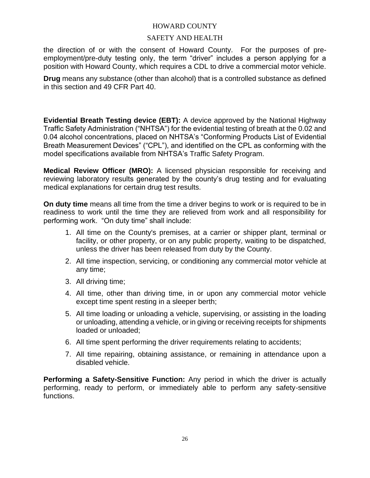#### SAFETY AND HEALTH

the direction of or with the consent of Howard County. For the purposes of preemployment/pre-duty testing only, the term "driver" includes a person applying for a position with Howard County, which requires a CDL to drive a commercial motor vehicle.

**Drug** means any substance (other than alcohol) that is a controlled substance as defined in this section and 49 CFR Part 40.

**Evidential Breath Testing device (EBT):** A device approved by the National Highway Traffic Safety Administration ("NHTSA") for the evidential testing of breath at the 0.02 and 0.04 alcohol concentrations, placed on NHTSA's "Conforming Products List of Evidential Breath Measurement Devices" ("CPL"), and identified on the CPL as conforming with the model specifications available from NHTSA's Traffic Safety Program.

**Medical Review Officer (MRO):** A licensed physician responsible for receiving and reviewing laboratory results generated by the county's drug testing and for evaluating medical explanations for certain drug test results.

**On duty time** means all time from the time a driver begins to work or is required to be in readiness to work until the time they are relieved from work and all responsibility for performing work. "On duty time" shall include:

- 1. All time on the County's premises, at a carrier or shipper plant, terminal or facility, or other property, or on any public property, waiting to be dispatched, unless the driver has been released from duty by the County.
- 2. All time inspection, servicing, or conditioning any commercial motor vehicle at any time;
- 3. All driving time;
- 4. All time, other than driving time, in or upon any commercial motor vehicle except time spent resting in a sleeper berth;
- 5. All time loading or unloading a vehicle, supervising, or assisting in the loading or unloading, attending a vehicle, or in giving or receiving receipts for shipments loaded or unloaded;
- 6. All time spent performing the driver requirements relating to accidents;
- 7. All time repairing, obtaining assistance, or remaining in attendance upon a disabled vehicle.

**Performing a Safety-Sensitive Function:** Any period in which the driver is actually performing, ready to perform, or immediately able to perform any safety-sensitive functions.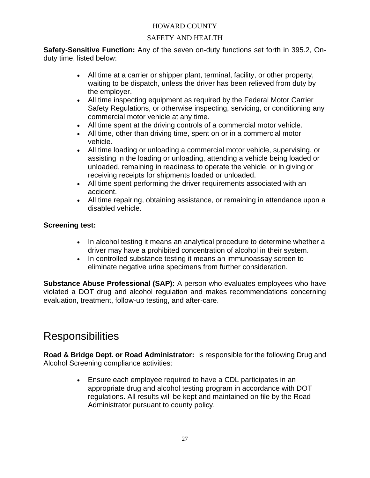# SAFETY AND HEALTH

**Safety-Sensitive Function:** Any of the seven on-duty functions set forth in 395.2, Onduty time, listed below:

- All time at a carrier or shipper plant, terminal, facility, or other property, waiting to be dispatch, unless the driver has been relieved from duty by the employer.
- All time inspecting equipment as required by the Federal Motor Carrier Safety Regulations, or otherwise inspecting, servicing, or conditioning any commercial motor vehicle at any time.
- All time spent at the driving controls of a commercial motor vehicle.
- All time, other than driving time, spent on or in a commercial motor vehicle.
- All time loading or unloading a commercial motor vehicle, supervising, or assisting in the loading or unloading, attending a vehicle being loaded or unloaded, remaining in readiness to operate the vehicle, or in giving or receiving receipts for shipments loaded or unloaded.
- All time spent performing the driver requirements associated with an accident.
- All time repairing, obtaining assistance, or remaining in attendance upon a disabled vehicle.

# **Screening test:**

- In alcohol testing it means an analytical procedure to determine whether a driver may have a prohibited concentration of alcohol in their system.
- In controlled substance testing it means an immunoassay screen to eliminate negative urine specimens from further consideration.

**Substance Abuse Professional (SAP):** A person who evaluates employees who have violated a DOT drug and alcohol regulation and makes recommendations concerning evaluation, treatment, follow-up testing, and after-care.

# **Responsibilities**

**Road & Bridge Dept. or Road Administrator:** is responsible for the following Drug and Alcohol Screening compliance activities:

> • Ensure each employee required to have a CDL participates in an appropriate drug and alcohol testing program in accordance with DOT regulations. All results will be kept and maintained on file by the Road Administrator pursuant to county policy.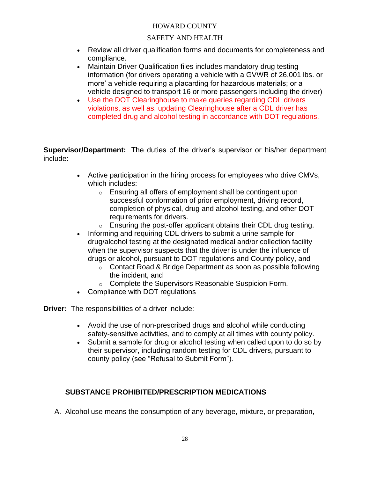# SAFETY AND HEALTH

- Review all driver qualification forms and documents for completeness and compliance.
- Maintain Driver Qualification files includes mandatory drug testing information (for drivers operating a vehicle with a GVWR of 26,001 lbs. or more' a vehicle requiring a placarding for hazardous materials; or a vehicle designed to transport 16 or more passengers including the driver)
- Use the DOT Clearinghouse to make queries regarding CDL drivers violations, as well as, updating Clearinghouse after a CDL driver has completed drug and alcohol testing in accordance with DOT regulations.

**Supervisor/Department:** The duties of the driver's supervisor or his/her department include:

- Active participation in the hiring process for employees who drive CMVs, which includes:
	- $\circ$  Ensuring all offers of employment shall be contingent upon successful conformation of prior employment, driving record, completion of physical, drug and alcohol testing, and other DOT requirements for drivers.
	- $\circ$  Ensuring the post-offer applicant obtains their CDL drug testing.
- Informing and requiring CDL drivers to submit a urine sample for drug/alcohol testing at the designated medical and/or collection facility when the supervisor suspects that the driver is under the influence of drugs or alcohol, pursuant to DOT regulations and County policy, and
	- o Contact Road & Bridge Department as soon as possible following the incident, and
	- o Complete the Supervisors Reasonable Suspicion Form.
- Compliance with DOT regulations

**Driver:** The responsibilities of a driver include:

- Avoid the use of non-prescribed drugs and alcohol while conducting safety-sensitive activities, and to comply at all times with county policy.
- Submit a sample for drug or alcohol testing when called upon to do so by their supervisor, including random testing for CDL drivers, pursuant to county policy (see "Refusal to Submit Form").

### **SUBSTANCE PROHIBITED/PRESCRIPTION MEDICATIONS**

A. Alcohol use means the consumption of any beverage, mixture, or preparation,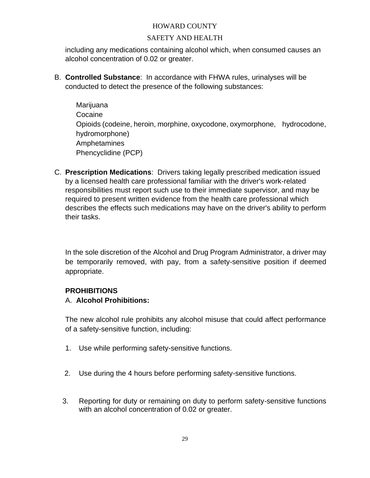# SAFETY AND HEALTH

including any medications containing alcohol which, when consumed causes an alcohol concentration of 0.02 or greater.

B. **Controlled Substance**: In accordance with FHWA rules, urinalyses will be conducted to detect the presence of the following substances:

Marijuana Cocaine Opioids (codeine, heroin, morphine, oxycodone, oxymorphone, hydrocodone, hydromorphone) Amphetamines Phencyclidine (PCP)

C. **Prescription Medications**: Drivers taking legally prescribed medication issued by a licensed health care professional familiar with the driver's work-related responsibilities must report such use to their immediate supervisor, and may be required to present written evidence from the health care professional which describes the effects such medications may have on the driver's ability to perform their tasks.

In the sole discretion of the Alcohol and Drug Program Administrator, a driver may be temporarily removed, with pay, from a safety-sensitive position if deemed appropriate.

### **PROHIBITIONS**

# A. **Alcohol Prohibitions:**

The new alcohol rule prohibits any alcohol misuse that could affect performance of a safety-sensitive function, including:

- 1. Use while performing safety-sensitive functions.
- 2. Use during the 4 hours before performing safety-sensitive functions.
- 3. Reporting for duty or remaining on duty to perform safety-sensitive functions with an alcohol concentration of 0.02 or greater.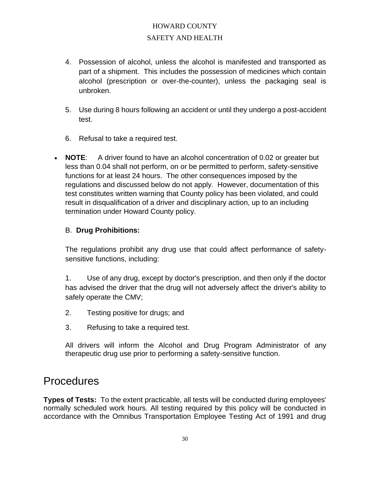# HOWARD COUNTY SAFETY AND HEALTH

- 4. Possession of alcohol, unless the alcohol is manifested and transported as part of a shipment. This includes the possession of medicines which contain alcohol (prescription or over-the-counter), unless the packaging seal is unbroken.
- 5. Use during 8 hours following an accident or until they undergo a post-accident test.
- 6. Refusal to take a required test.
- **NOTE**: A driver found to have an alcohol concentration of 0.02 or greater but less than 0.04 shall not perform, on or be permitted to perform, safety-sensitive functions for at least 24 hours. The other consequences imposed by the regulations and discussed below do not apply. However, documentation of this test constitutes written warning that County policy has been violated, and could result in disqualification of a driver and disciplinary action, up to an including termination under Howard County policy.

# B. **Drug Prohibitions:**

The regulations prohibit any drug use that could affect performance of safetysensitive functions, including:

1. Use of any drug, except by doctor's prescription, and then only if the doctor has advised the driver that the drug will not adversely affect the driver's ability to safely operate the CMV;

- 2. Testing positive for drugs; and
- 3. Refusing to take a required test.

All drivers will inform the Alcohol and Drug Program Administrator of any therapeutic drug use prior to performing a safety-sensitive function.

# **Procedures**

**Types of Tests:** To the extent practicable, all tests will be conducted during employees' normally scheduled work hours. All testing required by this policy will be conducted in accordance with the Omnibus Transportation Employee Testing Act of 1991 and drug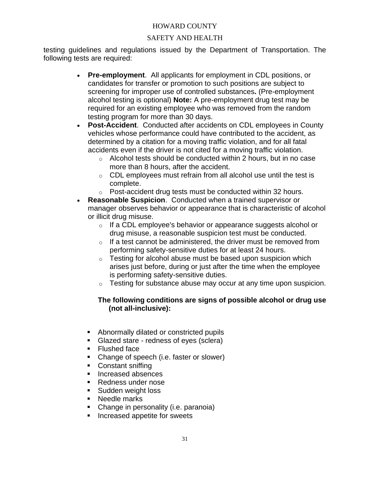# SAFETY AND HEALTH

testing guidelines and regulations issued by the Department of Transportation. The following tests are required:

- **Pre-employment**. All applicants for employment in CDL positions, or candidates for transfer or promotion to such positions are subject to screening for improper use of controlled substances**.** (Pre-employment alcohol testing is optional) **Note:** A pre-employment drug test may be required for an existing employee who was removed from the random testing program for more than 30 days.
- **Post-Accident**. Conducted after accidents on CDL employees in County vehicles whose performance could have contributed to the accident, as determined by a citation for a moving traffic violation, and for all fatal accidents even if the driver is not cited for a moving traffic violation.
	- o Alcohol tests should be conducted within 2 hours, but in no case more than 8 hours, after the accident.
	- $\circ$  CDL employees must refrain from all alcohol use until the test is complete.
	- o Post-accident drug tests must be conducted within 32 hours.
- **Reasonable Suspicion**. Conducted when a trained supervisor or manager observes behavior or appearance that is characteristic of alcohol or illicit drug misuse.
	- o If a CDL employee's behavior or appearance suggests alcohol or drug misuse, a reasonable suspicion test must be conducted.
	- $\circ$  If a test cannot be administered, the driver must be removed from performing safety-sensitive duties for at least 24 hours.
	- $\circ$  Testing for alcohol abuse must be based upon suspicion which arises just before, during or just after the time when the employee is performing safety-sensitive duties.
	- o Testing for substance abuse may occur at any time upon suspicion.

# **The following conditions are signs of possible alcohol or drug use (not all-inclusive):**

- Abnormally dilated or constricted pupils
- Glazed stare redness of eyes (sclera)
- Flushed face
- Change of speech (i.e. faster or slower)
- Constant sniffing
- Increased absences
- Redness under nose
- Sudden weight loss
- Needle marks
- Change in personality (i.e. paranoia)
- Increased appetite for sweets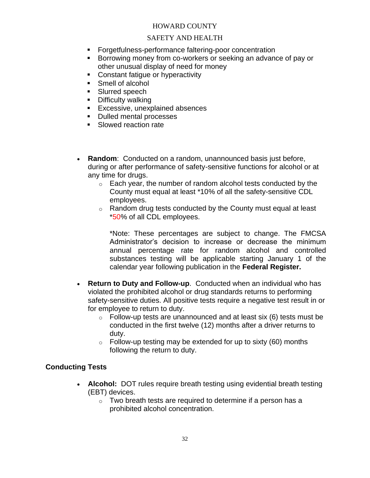## SAFETY AND HEALTH

- Forgetfulness-performance faltering-poor concentration
- Borrowing money from co-workers or seeking an advance of pay or other unusual display of need for money
- Constant fatique or hyperactivity
- Smell of alcohol
- **Example 3** Slurred speech
- Difficulty walking
- **Excessive, unexplained absences**
- Dulled mental processes
- Slowed reaction rate
- **Random**: Conducted on a random, unannounced basis just before, during or after performance of safety-sensitive functions for alcohol or at any time for drugs.
	- o Each year, the number of random alcohol tests conducted by the County must equal at least \*10% of all the safety-sensitive CDL employees.
	- o Random drug tests conducted by the County must equal at least \*50% of all CDL employees.

\*Note: These percentages are subject to change. The FMCSA Administrator's decision to increase or decrease the minimum annual percentage rate for random alcohol and controlled substances testing will be applicable starting January 1 of the calendar year following publication in the **Federal Register.**

- **Return to Duty and Follow-up**. Conducted when an individual who has violated the prohibited alcohol or drug standards returns to performing safety-sensitive duties. All positive tests require a negative test result in or for employee to return to duty.
	- $\circ$  Follow-up tests are unannounced and at least six (6) tests must be conducted in the first twelve (12) months after a driver returns to duty.
	- $\circ$  Follow-up testing may be extended for up to sixty (60) months following the return to duty.

## **Conducting Tests**

- **Alcohol:** DOT rules require breath testing using evidential breath testing (EBT) devices.
	- $\circ$  Two breath tests are required to determine if a person has a prohibited alcohol concentration.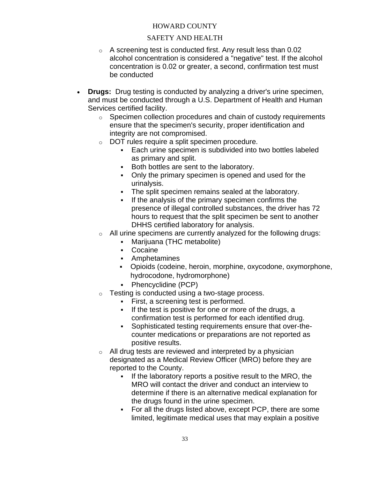## SAFETY AND HEALTH

- $\circ$  A screening test is conducted first. Any result less than 0.02 alcohol concentration is considered a "negative" test. If the alcohol concentration is 0.02 or greater, a second, confirmation test must be conducted
- **Drugs:** Drug testing is conducted by analyzing a driver's urine specimen, and must be conducted through a U.S. Department of Health and Human Services certified facility.
	- o Specimen collection procedures and chain of custody requirements ensure that the specimen's security, proper identification and integrity are not compromised.
	- o DOT rules require a split specimen procedure.
		- Each urine specimen is subdivided into two bottles labeled as primary and split.
		- Both bottles are sent to the laboratory.
		- Only the primary specimen is opened and used for the urinalysis.
		- The split specimen remains sealed at the laboratory.
		- If the analysis of the primary specimen confirms the presence of illegal controlled substances, the driver has 72 hours to request that the split specimen be sent to another DHHS certified laboratory for analysis.
	- o All urine specimens are currently analyzed for the following drugs:
		- Marijuana (THC metabolite)
		- Cocaine
		- Amphetamines
		- Opioids (codeine, heroin, morphine, oxycodone, oxymorphone, hydrocodone, hydromorphone)
		- Phencyclidine (PCP)
	- o Testing is conducted using a two-stage process.
		- **•** First, a screening test is performed.
		- If the test is positive for one or more of the drugs, a confirmation test is performed for each identified drug.
		- Sophisticated testing requirements ensure that over-thecounter medications or preparations are not reported as positive results.
	- o All drug tests are reviewed and interpreted by a physician designated as a Medical Review Officer (MRO) before they are reported to the County.
		- If the laboratory reports a positive result to the MRO, the MRO will contact the driver and conduct an interview to determine if there is an alternative medical explanation for the drugs found in the urine specimen.
		- For all the drugs listed above, except PCP, there are some limited, legitimate medical uses that may explain a positive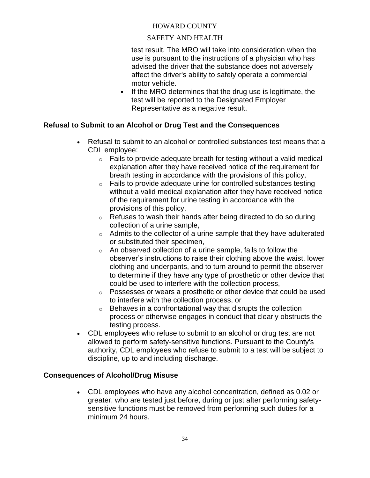## SAFETY AND HEALTH

test result. The MRO will take into consideration when the use is pursuant to the instructions of a physician who has advised the driver that the substance does not adversely affect the driver's ability to safely operate a commercial motor vehicle.

**.** If the MRO determines that the drug use is legitimate, the test will be reported to the Designated Employer Representative as a negative result.

## **Refusal to Submit to an Alcohol or Drug Test and the Consequences**

- Refusal to submit to an alcohol or controlled substances test means that a CDL employee:
	- $\circ$  Fails to provide adequate breath for testing without a valid medical explanation after they have received notice of the requirement for breath testing in accordance with the provisions of this policy,
	- o Fails to provide adequate urine for controlled substances testing without a valid medical explanation after they have received notice of the requirement for urine testing in accordance with the provisions of this policy,
	- o Refuses to wash their hands after being directed to do so during collection of a urine sample,
	- o Admits to the collector of a urine sample that they have adulterated or substituted their specimen,
	- o An observed collection of a urine sample, fails to follow the observer's instructions to raise their clothing above the waist, lower clothing and underpants, and to turn around to permit the observer to determine if they have any type of prosthetic or other device that could be used to interfere with the collection process,
	- o Possesses or wears a prosthetic or other device that could be used to interfere with the collection process, or
	- $\circ$  Behaves in a confrontational way that disrupts the collection process or otherwise engages in conduct that clearly obstructs the testing process.
- CDL employees who refuse to submit to an alcohol or drug test are not allowed to perform safety-sensitive functions. Pursuant to the County's authority, CDL employees who refuse to submit to a test will be subject to discipline, up to and including discharge.

## **Consequences of Alcohol/Drug Misuse**

• CDL employees who have any alcohol concentration, defined as 0.02 or greater, who are tested just before, during or just after performing safetysensitive functions must be removed from performing such duties for a minimum 24 hours.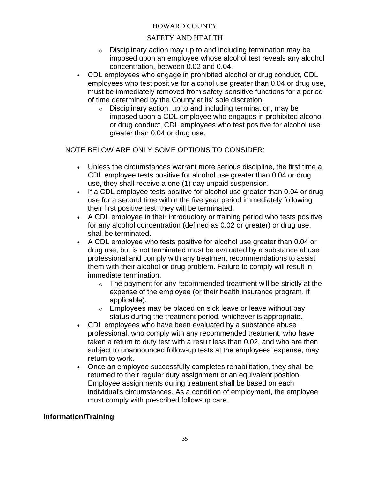## SAFETY AND HEALTH

- $\circ$  Disciplinary action may up to and including termination may be imposed upon an employee whose alcohol test reveals any alcohol concentration, between 0.02 and 0.04.
- CDL employees who engage in prohibited alcohol or drug conduct, CDL employees who test positive for alcohol use greater than 0.04 or drug use, must be immediately removed from safety-sensitive functions for a period of time determined by the County at its' sole discretion.
	- $\circ$  Disciplinary action, up to and including termination, may be imposed upon a CDL employee who engages in prohibited alcohol or drug conduct, CDL employees who test positive for alcohol use greater than 0.04 or drug use.

NOTE BELOW ARE ONLY SOME OPTIONS TO CONSIDER:

- Unless the circumstances warrant more serious discipline, the first time a CDL employee tests positive for alcohol use greater than 0.04 or drug use, they shall receive a one (1) day unpaid suspension.
- If a CDL employee tests positive for alcohol use greater than 0.04 or drug use for a second time within the five year period immediately following their first positive test, they will be terminated.
- A CDL employee in their introductory or training period who tests positive for any alcohol concentration (defined as 0.02 or greater) or drug use, shall be terminated.
- A CDL employee who tests positive for alcohol use greater than 0.04 or drug use, but is not terminated must be evaluated by a substance abuse professional and comply with any treatment recommendations to assist them with their alcohol or drug problem. Failure to comply will result in immediate termination.
	- $\circ$  The payment for any recommended treatment will be strictly at the expense of the employee (or their health insurance program, if applicable).
	- $\circ$  Employees may be placed on sick leave or leave without pay status during the treatment period, whichever is appropriate.
- CDL employees who have been evaluated by a substance abuse professional, who comply with any recommended treatment, who have taken a return to duty test with a result less than 0.02, and who are then subject to unannounced follow-up tests at the employees' expense, may return to work.
- Once an employee successfully completes rehabilitation, they shall be returned to their regular duty assignment or an equivalent position. Employee assignments during treatment shall be based on each individual's circumstances. As a condition of employment, the employee must comply with prescribed follow-up care.

## **Information/Training**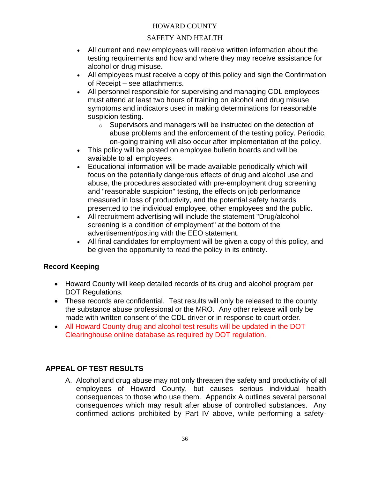## SAFETY AND HEALTH

- All current and new employees will receive written information about the testing requirements and how and where they may receive assistance for alcohol or drug misuse.
- All employees must receive a copy of this policy and sign the Confirmation of Receipt – see attachments.
- All personnel responsible for supervising and managing CDL employees must attend at least two hours of training on alcohol and drug misuse symptoms and indicators used in making determinations for reasonable suspicion testing.
	- o Supervisors and managers will be instructed on the detection of abuse problems and the enforcement of the testing policy. Periodic, on-going training will also occur after implementation of the policy.
- This policy will be posted on employee bulletin boards and will be available to all employees.
- Educational information will be made available periodically which will focus on the potentially dangerous effects of drug and alcohol use and abuse, the procedures associated with pre-employment drug screening and "reasonable suspicion" testing, the effects on job performance measured in loss of productivity, and the potential safety hazards presented to the individual employee, other employees and the public.
- All recruitment advertising will include the statement "Drug/alcohol screening is a condition of employment" at the bottom of the advertisement/posting with the EEO statement.
- All final candidates for employment will be given a copy of this policy, and be given the opportunity to read the policy in its entirety.

## **Record Keeping**

- Howard County will keep detailed records of its drug and alcohol program per DOT Regulations.
- These records are confidential. Test results will only be released to the county, the substance abuse professional or the MRO. Any other release will only be made with written consent of the CDL driver or in response to court order.
- All Howard County drug and alcohol test results will be updated in the DOT Clearinghouse online database as required by DOT regulation.

## **APPEAL OF TEST RESULTS**

A. Alcohol and drug abuse may not only threaten the safety and productivity of all employees of Howard County, but causes serious individual health consequences to those who use them. Appendix A outlines several personal consequences which may result after abuse of controlled substances. Any confirmed actions prohibited by Part IV above, while performing a safety-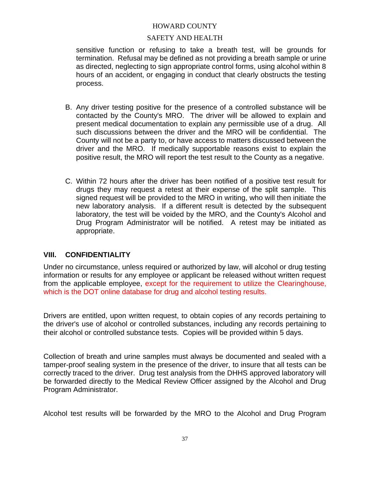## SAFETY AND HEALTH

sensitive function or refusing to take a breath test, will be grounds for termination. Refusal may be defined as not providing a breath sample or urine as directed, neglecting to sign appropriate control forms, using alcohol within 8 hours of an accident, or engaging in conduct that clearly obstructs the testing process.

- B. Any driver testing positive for the presence of a controlled substance will be contacted by the County's MRO. The driver will be allowed to explain and present medical documentation to explain any permissible use of a drug. All such discussions between the driver and the MRO will be confidential. The County will not be a party to, or have access to matters discussed between the driver and the MRO. If medically supportable reasons exist to explain the positive result, the MRO will report the test result to the County as a negative.
- C. Within 72 hours after the driver has been notified of a positive test result for drugs they may request a retest at their expense of the split sample. This signed request will be provided to the MRO in writing, who will then initiate the new laboratory analysis. If a different result is detected by the subsequent laboratory, the test will be voided by the MRO, and the County's Alcohol and Drug Program Administrator will be notified. A retest may be initiated as appropriate.

## **VIII. CONFIDENTIALITY**

Under no circumstance, unless required or authorized by law, will alcohol or drug testing information or results for any employee or applicant be released without written request from the applicable employee, except for the requirement to utilize the Clearinghouse, which is the DOT online database for drug and alcohol testing results.

Drivers are entitled, upon written request, to obtain copies of any records pertaining to the driver's use of alcohol or controlled substances, including any records pertaining to their alcohol or controlled substance tests. Copies will be provided within 5 days.

Collection of breath and urine samples must always be documented and sealed with a tamper-proof sealing system in the presence of the driver, to insure that all tests can be correctly traced to the driver. Drug test analysis from the DHHS approved laboratory will be forwarded directly to the Medical Review Officer assigned by the Alcohol and Drug Program Administrator.

Alcohol test results will be forwarded by the MRO to the Alcohol and Drug Program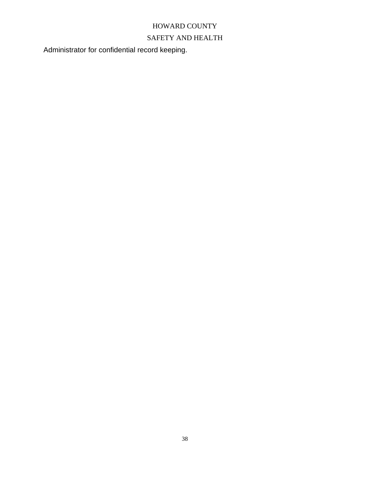## SAFETY AND HEALTH

Administrator for confidential record keeping.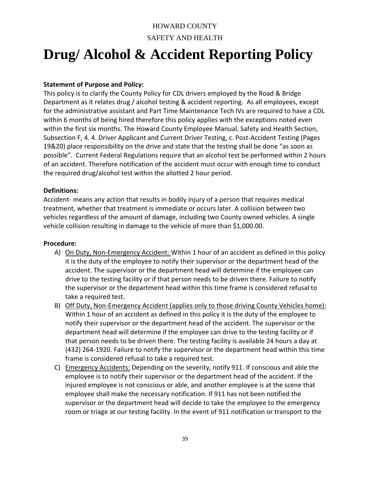## HOWARD COUNTY SAFETY AND HEALTH

# **Drug/ Alcohol & Accident Reporting Policy**

## **Statement of Purpose and Policy:**

This policy is to clarify the County Policy for CDL drivers employed by the Road & Bridge Department as it relates drug / alcohol testing & accident reporting. As all employees, except for the administrative assistant and Part Time Maintenance Tech IVs are required to have a CDL within 6 months of being hired therefore this policy applies with the exceptions noted even within the first six months. The Howard County Employee Manual, Safety and Health Section, Subsection F, 4. 4. Driver Applicant and Current Driver Testing, c. Post-Accident Testing (Pages 19&20) place responsibility on the drive and state that the testing shall be done "as soon as possible". Current Federal Regulations require that an alcohol test be performed within 2 hours of an accident. Therefore notification of the accident must occur with enough time to conduct the required drug/alcohol test within the allotted 2 hour period.

## **Definitions:**

Accident- means any action that results in bodily injury of a person that requires medical treatment, whether that treatment is immediate or occurs later. A collision between two vehicles regardless of the amount of damage, including two County owned vehicles. A single vehicle collision resulting in damage to the vehicle of more than \$1,000.00.

## **Procedure:**

- A) On Duty, Non-Emergency Accident: Within 1 hour of an accident as defined in this policy it is the duty of the employee to notify their supervisor or the department head of the accident. The supervisor or the department head will determine if the employee can drive to the testing facility or if that person needs to be driven there. Failure to notify the supervisor or the department head within this time frame is considered refusal to take a required test.
- B) Off Duty, Non-Emergency Accident (applies only to those driving County Vehicles home): Within 1 hour of an accident as defined in this policy it is the duty of the employee to notify their supervisor or the department head of the accident. The supervisor or the department head will determine if the employee can drive to the testing facility or if that person needs to be driven there. The testing facility is available 24 hours a day at (432) 264-1920. Failure to notify the supervisor or the department head within this time frame is considered refusal to take a required test.
- C) Emergency Accidents: Depending on the severity, notify 911. If conscious and able the employee is to notify their supervisor or the department head of the accident. If the injured employee is not conscious or able, and another employee is at the scene that employee shall make the necessary notification. If 911 has not been notified the supervisor or the department head will decide to take the employee to the emergency room or triage at our testing facility. In the event of 911 notification or transport to the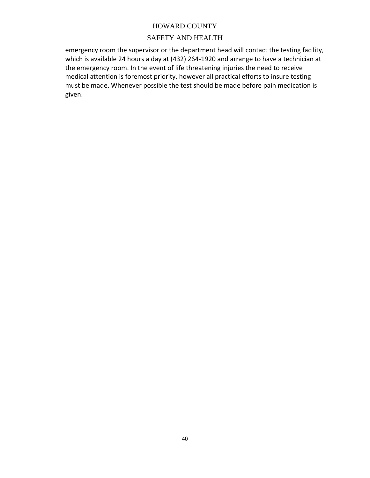## SAFETY AND HEALTH

emergency room the supervisor or the department head will contact the testing facility, which is available 24 hours a day at (432) 264-1920 and arrange to have a technician at the emergency room. In the event of life threatening injuries the need to receive medical attention is foremost priority, however all practical efforts to insure testing must be made. Whenever possible the test should be made before pain medication is given.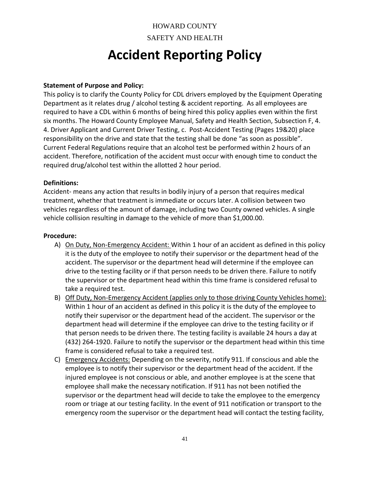# HOWARD COUNTY SAFETY AND HEALTH

# **Accident Reporting Policy**

## **Statement of Purpose and Policy:**

This policy is to clarify the County Policy for CDL drivers employed by the Equipment Operating Department as it relates drug / alcohol testing & accident reporting. As all employees are required to have a CDL within 6 months of being hired this policy applies even within the first six months. The Howard County Employee Manual, Safety and Health Section, Subsection F, 4. 4. Driver Applicant and Current Driver Testing, c. Post-Accident Testing (Pages 19&20) place responsibility on the drive and state that the testing shall be done "as soon as possible". Current Federal Regulations require that an alcohol test be performed within 2 hours of an accident. Therefore, notification of the accident must occur with enough time to conduct the required drug/alcohol test within the allotted 2 hour period.

## **Definitions:**

Accident- means any action that results in bodily injury of a person that requires medical treatment, whether that treatment is immediate or occurs later. A collision between two vehicles regardless of the amount of damage, including two County owned vehicles. A single vehicle collision resulting in damage to the vehicle of more than \$1,000.00.

## **Procedure:**

- A) On Duty, Non-Emergency Accident: Within 1 hour of an accident as defined in this policy it is the duty of the employee to notify their supervisor or the department head of the accident. The supervisor or the department head will determine if the employee can drive to the testing facility or if that person needs to be driven there. Failure to notify the supervisor or the department head within this time frame is considered refusal to take a required test.
- B) Off Duty, Non-Emergency Accident (applies only to those driving County Vehicles home): Within 1 hour of an accident as defined in this policy it is the duty of the employee to notify their supervisor or the department head of the accident. The supervisor or the department head will determine if the employee can drive to the testing facility or if that person needs to be driven there. The testing facility is available 24 hours a day at (432) 264-1920. Failure to notify the supervisor or the department head within this time frame is considered refusal to take a required test.
- C) Emergency Accidents: Depending on the severity, notify 911. If conscious and able the employee is to notify their supervisor or the department head of the accident. If the injured employee is not conscious or able, and another employee is at the scene that employee shall make the necessary notification. If 911 has not been notified the supervisor or the department head will decide to take the employee to the emergency room or triage at our testing facility. In the event of 911 notification or transport to the emergency room the supervisor or the department head will contact the testing facility,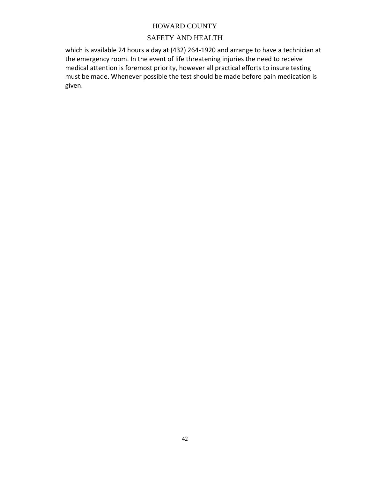## SAFETY AND HEALTH

which is available 24 hours a day at (432) 264-1920 and arrange to have a technician at the emergency room. In the event of life threatening injuries the need to receive medical attention is foremost priority, however all practical efforts to insure testing must be made. Whenever possible the test should be made before pain medication is given.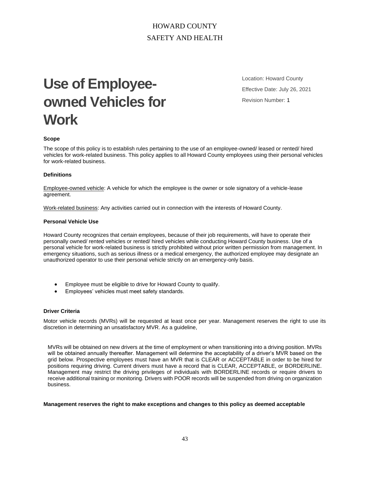## HOWARD COUNTY SAFETY AND HEALTH

# **Use of Employeeowned Vehicles for Work**

Location: Howard County Effective Date: July 26, 2021 Revision Number: 1

#### **Scope**

The scope of this policy is to establish rules pertaining to the use of an employee-owned/ leased or rented/ hired vehicles for work-related business. This policy applies to all Howard County employees using their personal vehicles for work-related business.

#### **Definitions**

Employee-owned vehicle: A vehicle for which the employee is the owner or sole signatory of a vehicle-lease agreement.

Work-related business: Any activities carried out in connection with the interests of Howard County.

#### **Personal Vehicle Use**

Howard County recognizes that certain employees, because of their job requirements, will have to operate their personally owned/ rented vehicles or rented/ hired vehicles while conducting Howard County business. Use of a personal vehicle for work-related business is strictly prohibited without prior written permission from management. In emergency situations, such as serious illness or a medical emergency, the authorized employee may designate an unauthorized operator to use their personal vehicle strictly on an emergency-only basis.

- Employee must be eligible to drive for Howard County to qualify.
- Employees' vehicles must meet safety standards.

#### **Driver Criteria**

Motor vehicle records (MVRs) will be requested at least once per year. Management reserves the right to use its discretion in determining an unsatisfactory MVR. As a guideline,

MVRs will be obtained on new drivers at the time of employment or when transitioning into a driving position. MVRs will be obtained annually thereafter. Management will determine the acceptability of a driver's MVR based on the grid below. Prospective employees must have an MVR that is CLEAR or ACCEPTABLE in order to be hired for positions requiring driving. Current drivers must have a record that is CLEAR, ACCEPTABLE, or BORDERLINE. Management may restrict the driving privileges of individuals with BORDERLINE records or require drivers to receive additional training or monitoring. Drivers with POOR records will be suspended from driving on organization business.

#### **Management reserves the right to make exceptions and changes to this policy as deemed acceptable**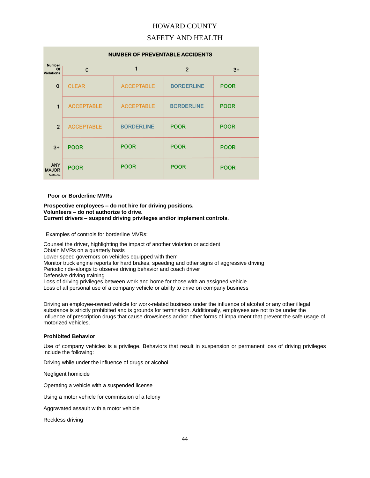## SAFETY AND HEALTH

| <b>NUMBER OF PREVENTABLE ACCIDENTS</b>       |                   |                   |                   |             |  |
|----------------------------------------------|-------------------|-------------------|-------------------|-------------|--|
| <b>Number</b><br>Of<br><b>Violations</b>     | $\Omega$          | 1                 | $\overline{2}$    | $3+$        |  |
| $\Omega$                                     | <b>CLEAR</b>      | <b>ACCEPTABLE</b> | <b>BORDERLINE</b> | <b>POOR</b> |  |
| 1                                            | <b>ACCEPTABLE</b> | <b>ACCEPTABLE</b> | <b>BORDERLINE</b> | <b>POOR</b> |  |
| $\mathcal{P}$                                | <b>ACCEPTABLE</b> | <b>BORDERLINE</b> | <b>POOR</b>       | <b>POOR</b> |  |
| $3+$                                         | <b>POOR</b>       | <b>POOR</b>       | <b>POOR</b>       | <b>POOR</b> |  |
| <b>ANY</b><br><b>MAJOR</b><br>Past Five Yrs. | <b>POOR</b>       | <b>POOR</b>       | <b>POOR</b>       | <b>POOR</b> |  |

#### **Poor or Borderline MVRs**

#### **Prospective employees – do not hire for driving positions. Volunteers – do not authorize to drive. Current drivers – suspend driving privileges and/or implement controls.**

Examples of controls for borderline MVRs:

Counsel the driver, highlighting the impact of another violation or accident Obtain MVRs on a quarterly basis Lower speed governors on vehicles equipped with them Monitor truck engine reports for hard brakes, speeding and other signs of aggressive driving Periodic ride-alongs to observe driving behavior and coach driver Defensive driving training Loss of driving privileges between work and home for those with an assigned vehicle Loss of all personal use of a company vehicle or ability to drive on company business

Driving an employee-owned vehicle for work-related business under the influence of alcohol or any other illegal substance is strictly prohibited and is grounds for termination. Additionally, employees are not to be under the influence of prescription drugs that cause drowsiness and/or other forms of impairment that prevent the safe usage of motorized vehicles.

#### **Prohibited Behavior**

Use of company vehicles is a privilege. Behaviors that result in suspension or permanent loss of driving privileges include the following:

Driving while under the influence of drugs or alcohol

Negligent homicide

Operating a vehicle with a suspended license

Using a motor vehicle for commission of a felony

Aggravated assault with a motor vehicle

Reckless driving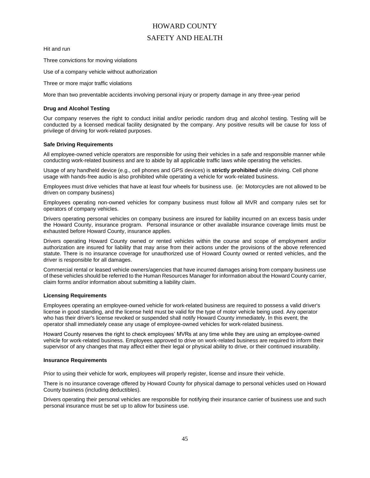## SAFETY AND HEALTH

Hit and run

Three convictions for moving violations

Use of a company vehicle without authorization

Three or more major traffic violations

More than two preventable accidents involving personal injury or property damage in any three-year period

#### **Drug and Alcohol Testing**

Our company reserves the right to conduct initial and/or periodic random drug and alcohol testing. Testing will be conducted by a licensed medical facility designated by the company. Any positive results will be cause for loss of privilege of driving for work-related purposes.

#### **Safe Driving Requirements**

All employee-owned vehicle operators are responsible for using their vehicles in a safe and responsible manner while conducting work-related business and are to abide by all applicable traffic laws while operating the vehicles.

Usage of any handheld device (e.g., cell phones and GPS devices) is **strictly prohibited** while driving. Cell phone usage with hands-free audio is also prohibited while operating a vehicle for work-related business.

Employees must drive vehicles that have at least four wheels for business use. (ie: Motorcycles are not allowed to be driven on company business)

Employees operating non-owned vehicles for company business must follow all MVR and company rules set for operators of company vehicles.

Drivers operating personal vehicles on company business are insured for liability incurred on an excess basis under the Howard County, insurance program. Personal insurance or other available insurance coverage limits must be exhausted before Howard County, insurance applies.

Drivers operating Howard County owned or rented vehicles within the course and scope of employment and/or authorization are insured for liability that may arise from their actions under the provisions of the above referenced statute. There is no insurance coverage for unauthorized use of Howard County owned or rented vehicles, and the driver is responsible for all damages.

Commercial rental or leased vehicle owners/agencies that have incurred damages arising from company business use of these vehicles should be referred to the Human Resources Manager for information about the Howard County carrier, claim forms and/or information about submitting a liability claim.

#### **Licensing Requirements**

Employees operating an employee-owned vehicle for work-related business are required to possess a valid driver's license in good standing, and the license held must be valid for the type of motor vehicle being used. Any operator who has their driver's license revoked or suspended shall notify Howard County immediately. In this event, the operator shall immediately cease any usage of employee-owned vehicles for work-related business.

Howard County reserves the right to check employees' MVRs at any time while they are using an employee-owned vehicle for work-related business. Employees approved to drive on work-related business are required to inform their supervisor of any changes that may affect either their legal or physical ability to drive, or their continued insurability.

#### **Insurance Requirements**

Prior to using their vehicle for work, employees will properly register, license and insure their vehicle.

There is no insurance coverage offered by Howard County for physical damage to personal vehicles used on Howard County business (including deductibles).

Drivers operating their personal vehicles are responsible for notifying their insurance carrier of business use and such personal insurance must be set up to allow for business use.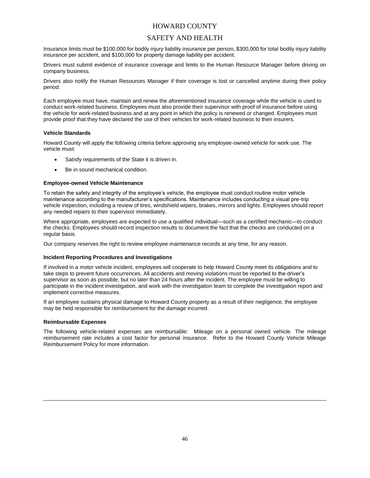## SAFETY AND HEALTH

Insurance limits must be \$100,000 for bodily injury liability insurance per person, \$300,000 for total bodily injury liability insurance per accident, and \$100,000 for property damage liability per accident.

Drivers must submit evidence of insurance coverage and limits to the Human Resource Manager before driving on company business.

Drivers also notify the Human Resources Manager if their coverage is lost or cancelled anytime during their policy period.

Each employee must have, maintain and renew the aforementioned insurance coverage while the vehicle is used to conduct work-related business. Employees must also provide their supervisor with proof of insurance before using the vehicle for work-related business and at any point in which the policy is renewed or changed. Employees must provide proof that they have declared the use of their vehicles for work-related business to their insurers.

#### **Vehicle Standards**

Howard County will apply the following criteria before approving any employee-owned vehicle for work use. The vehicle must:

- Satisfy requirements of the State it is driven in.
- Be in sound mechanical condition.

#### **Employee-owned Vehicle Maintenance**

To retain the safety and integrity of the employee's vehicle, the employee must conduct routine motor vehicle maintenance according to the manufacturer's specifications. Maintenance includes conducting a visual pre-trip vehicle inspection, including a review of tires, windshield wipers, brakes, mirrors and lights. Employees should report any needed repairs to their supervisor immediately.

Where appropriate, employees are expected to use a qualified individual—such as a certified mechanic—to conduct the checks. Employees should record inspection results to document the fact that the checks are conducted on a regular basis.

Our company reserves the right to review employee maintenance records at any time, for any reason.

#### **Incident Reporting Procedures and Investigations**

If involved in a motor vehicle incident, employees will cooperate to help Howard County meet its obligations and to take steps to prevent future occurrences. All accidents and moving violations must be reported to the driver's supervisor as soon as possible, but no later than 24 hours after the incident. The employee must be willing to participate in the incident investigation, and work with the investigation team to complete the investigation report and implement corrective measures.

If an employee sustains physical damage to Howard County property as a result of their negligence, the employee may be held responsible for reimbursement for the damage incurred.

#### **Reimbursable Expenses**

The following vehicle-related expenses are reimbursable: Mileage on a personal owned vehicle. The mileage reimbursement rate includes a cost factor for personal insurance. Refer to the Howard County Vehicle Mileage Reimbursement Policy for more information.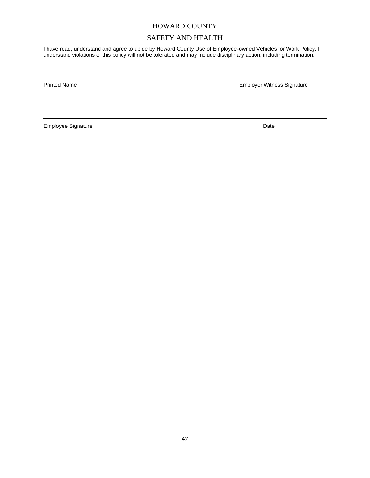## SAFETY AND HEALTH

I have read, understand and agree to abide by Howard County Use of Employee-owned Vehicles for Work Policy. I understand violations of this policy will not be tolerated and may include disciplinary action, including termination.

Printed Name **Employer Witness Signature** 

Employee Signature Date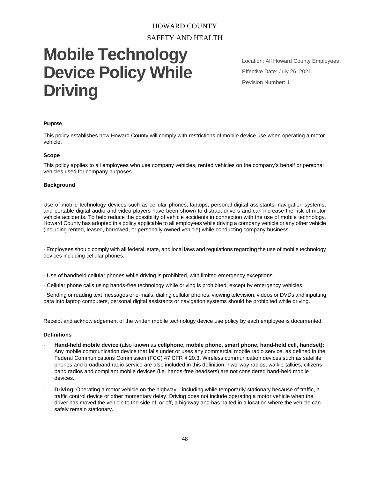# HOWARD COUNTY SAFETY AND HEALTH

# **Mobile Technology Device Policy While Driving**

Location: All Howard County Employees Effective Date: July 26, 2021 Revision Number: 1

#### **Purpose**

This policy establishes how Howard County will comply with restrictions of mobile device use when operating a motor vehicle.

#### **Scope**

This policy applies to all employees who use company vehicles, rented vehicles on the company's behalf or personal vehicles used for company purposes.

#### **Background**

Use of mobile technology devices such as cellular phones, laptops, personal digital assistants, navigation systems, and portable digital audio and video players have been shown to distract drivers and can increase the risk of motor vehicle accidents. To help reduce the possibility of vehicle accidents in connection with the use of mobile technology, Howard County has adopted this policy applicable to all employees while driving a company vehicle or any other vehicle (including rented, leased, borrowed, or personally owned vehicle) while conducting company business.

· Employees should comply with all federal, state, and local laws and regulations regarding the use of mobile technology devices including cellular phones.

- · Use of handheld cellular phones while driving is prohibited, with limited emergency exceptions.
- · Cellular phone calls using hands-free technology while driving is prohibited, except by emergency vehicles.

· Sending or reading text messages or e-mails, dialing cellular phones, viewing television, videos or DVDs and inputting data into laptop computers, personal digital assistants or navigation systems should be prohibited while driving.

Receipt and acknowledgement of the written mobile technology device use policy by each employee is documented.

#### **Definitions**

- **Hand-held mobile device (**also known as **cellphone, mobile phone, smart phone, hand-held cell, handset):** Any mobile communication device that falls under or uses any commercial mobile radio service, as defined in the Federal Communications Commission (FCC) 47 CFR § 20.3. Wireless communication devices such as satellite phones and broadband radio service are also included in this definition. Two-way radios, walkie-talkies, citizens band radios and compliant mobile devices (i.e. hands-free headsets) are not considered hand-held mobile devices.
- **Driving**: Operating a motor vehicle on the highway—including while temporarily stationary because of traffic, a traffic control device or other momentary delay. Driving does not include operating a motor vehicle when the driver has moved the vehicle to the side of, or off, a highway and has halted in a location where the vehicle can safely remain stationary.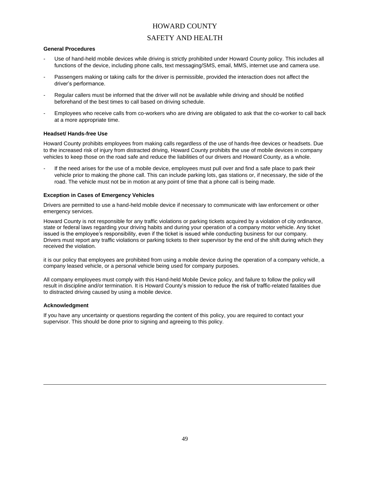## SAFETY AND HEALTH

#### **General Procedures**

- Use of hand-held mobile devices while driving is strictly prohibited under Howard County policy. This includes all functions of the device, including phone calls, text messaging/SMS, email, MMS, internet use and camera use.
- Passengers making or taking calls for the driver is permissible, provided the interaction does not affect the driver's performance.
- Regular callers must be informed that the driver will not be available while driving and should be notified beforehand of the best times to call based on driving schedule.
- Employees who receive calls from co-workers who are driving are obligated to ask that the co-worker to call back at a more appropriate time.

#### **Headset/ Hands-free Use**

Howard County prohibits employees from making calls regardless of the use of hands-free devices or headsets. Due to the increased risk of injury from distracted driving, Howard County prohibits the use of mobile devices in company vehicles to keep those on the road safe and reduce the liabilities of our drivers and Howard County, as a whole.

If the need arises for the use of a mobile device, employees must pull over and find a safe place to park their vehicle prior to making the phone call. This can include parking lots, gas stations or, if necessary, the side of the road. The vehicle must not be in motion at any point of time that a phone call is being made.

#### **Exception in Cases of Emergency Vehicles**

Drivers are permitted to use a hand-held mobile device if necessary to communicate with law enforcement or other emergency services.

Howard County is not responsible for any traffic violations or parking tickets acquired by a violation of city ordinance, state or federal laws regarding your driving habits and during your operation of a company motor vehicle. Any ticket issued is the employee's responsibility, even if the ticket is issued while conducting business for our company. Drivers must report any traffic violations or parking tickets to their supervisor by the end of the shift during which they received the violation.

it is our policy that employees are prohibited from using a mobile device during the operation of a company vehicle, a company leased vehicle, or a personal vehicle being used for company purposes.

All company employees must comply with this Hand-held Mobile Device policy, and failure to follow the policy will result in discipline and/or termination. It is Howard County's mission to reduce the risk of traffic-related fatalities due to distracted driving caused by using a mobile device.

#### **Acknowledgment**

If you have any uncertainty or questions regarding the content of this policy, you are required to contact your supervisor. This should be done prior to signing and agreeing to this policy.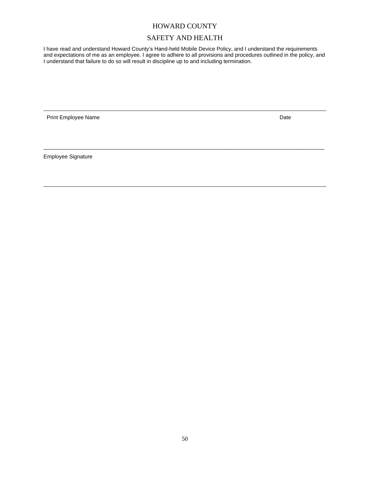## SAFETY AND HEALTH

I have read and understand Howard County's Hand-held Mobile Device Policy, and I understand the requirements and expectations of me as an employee. I agree to adhere to all provisions and procedures outlined in the policy, and I understand that failure to do so will result in discipline up to and including termination.

 $\overline{a}$  , and the state of the state of the state of the state of the state of the state of the state of the state of the state of the state of the state of the state of the state of the state of the state of the state o

Print Employee Name **Date** Date of Print Employee Name **Date** Date of Print Employee Name **Date** 

Employee Signature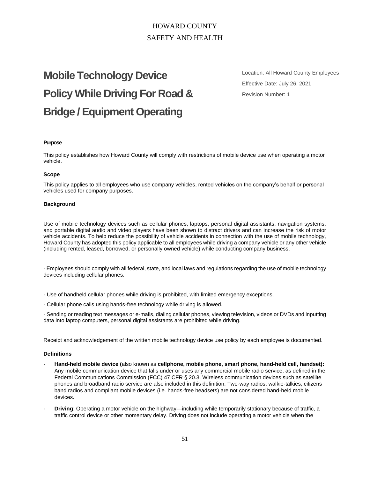## HOWARD COUNTY SAFETY AND HEALTH

# **Mobile Technology Device Policy While Driving For Road & Bridge / Equipment Operating**

Location: All Howard County Employees Effective Date: July 26, 2021 Revision Number: 1

#### **Purpose**

This policy establishes how Howard County will comply with restrictions of mobile device use when operating a motor vehicle.

#### **Scope**

This policy applies to all employees who use company vehicles, rented vehicles on the company's behalf or personal vehicles used for company purposes.

#### **Background**

Use of mobile technology devices such as cellular phones, laptops, personal digital assistants, navigation systems, and portable digital audio and video players have been shown to distract drivers and can increase the risk of motor vehicle accidents. To help reduce the possibility of vehicle accidents in connection with the use of mobile technology, Howard County has adopted this policy applicable to all employees while driving a company vehicle or any other vehicle (including rented, leased, borrowed, or personally owned vehicle) while conducting company business.

· Employees should comply with all federal, state, and local laws and regulations regarding the use of mobile technology devices including cellular phones.

· Use of handheld cellular phones while driving is prohibited, with limited emergency exceptions.

· Cellular phone calls using hands-free technology while driving is allowed.

· Sending or reading text messages or e-mails, dialing cellular phones, viewing television, videos or DVDs and inputting data into laptop computers, personal digital assistants are prohibited while driving.

Receipt and acknowledgement of the written mobile technology device use policy by each employee is documented.

#### **Definitions**

- **Hand-held mobile device (**also known as **cellphone, mobile phone, smart phone, hand-held cell, handset):** Any mobile communication device that falls under or uses any commercial mobile radio service, as defined in the Federal Communications Commission (FCC) 47 CFR § 20.3. Wireless communication devices such as satellite phones and broadband radio service are also included in this definition. Two-way radios, walkie-talkies, citizens band radios and compliant mobile devices (i.e. hands-free headsets) are not considered hand-held mobile devices.
- **Driving**: Operating a motor vehicle on the highway—including while temporarily stationary because of traffic, a traffic control device or other momentary delay. Driving does not include operating a motor vehicle when the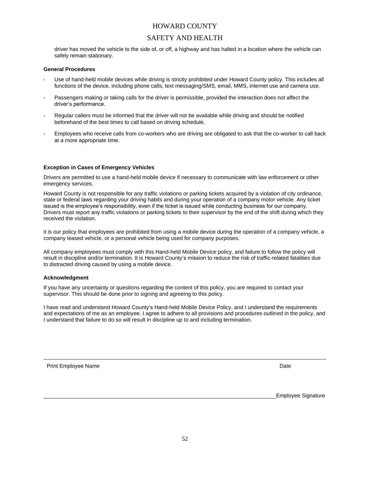## SAFETY AND HEALTH

driver has moved the vehicle to the side of, or off, a highway and has halted in a location where the vehicle can safely remain stationary.

#### **General Procedures**

- Use of hand-held mobile devices while driving is strictly prohibited under Howard County policy. This includes all functions of the device, including phone calls, text messaging/SMS, email, MMS, internet use and camera use.
- Passengers making or taking calls for the driver is permissible, provided the interaction does not affect the driver's performance.
- Regular callers must be informed that the driver will not be available while driving and should be notified beforehand of the best times to call based on driving schedule.
- Employees who receive calls from co-workers who are driving are obligated to ask that the co-worker to call back at a more appropriate time.

#### **Exception in Cases of Emergency Vehicles**

Drivers are permitted to use a hand-held mobile device if necessary to communicate with law enforcement or other emergency services.

Howard County is not responsible for any traffic violations or parking tickets acquired by a violation of city ordinance, state or federal laws regarding your driving habits and during your operation of a company motor vehicle. Any ticket issued is the employee's responsibility, even if the ticket is issued while conducting business for our company. Drivers must report any traffic violations or parking tickets to their supervisor by the end of the shift during which they received the violation.

it is our policy that employees are prohibited from using a mobile device during the operation of a company vehicle, a company leased vehicle, or a personal vehicle being used for company purposes.

All company employees must comply with this Hand-held Mobile Device policy, and failure to follow the policy will result in discipline and/or termination. It is Howard County's mission to reduce the risk of traffic-related fatalities due to distracted driving caused by using a mobile device.

#### **Acknowledgment**

If you have any uncertainty or questions regarding the content of this policy, you are required to contact your supervisor. This should be done prior to signing and agreeing to this policy.

I have read and understand Howard County's Hand-held Mobile Device Policy, and I understand the requirements and expectations of me as an employee. I agree to adhere to all provisions and procedures outlined in the policy, and I understand that failure to do so will result in discipline up to and including termination.

| <b>Print Emplovee Name</b> | Date |
|----------------------------|------|
|----------------------------|------|

Employee Signature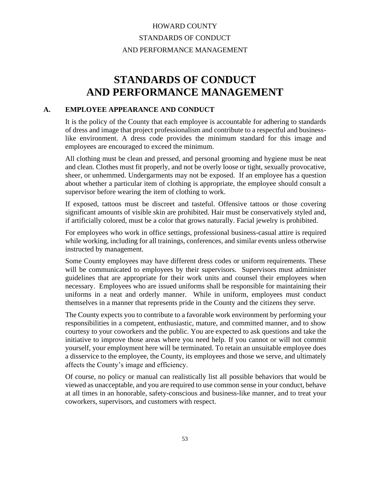# HOWARD COUNTY STANDARDS OF CONDUCT AND PERFORMANCE MANAGEMENT

# **STANDARDS OF CONDUCT AND PERFORMANCE MANAGEMENT**

## **A. EMPLOYEE APPEARANCE AND CONDUCT**

It is the policy of the County that each employee is accountable for adhering to standards of dress and image that project professionalism and contribute to a respectful and businesslike environment. A dress code provides the minimum standard for this image and employees are encouraged to exceed the minimum.

All clothing must be clean and pressed, and personal grooming and hygiene must be neat and clean. Clothes must fit properly, and not be overly loose or tight, sexually provocative, sheer, or unhemmed. Undergarments may not be exposed. If an employee has a question about whether a particular item of clothing is appropriate, the employee should consult a supervisor before wearing the item of clothing to work.

If exposed, tattoos must be discreet and tasteful. Offensive tattoos or those covering significant amounts of visible skin are prohibited. Hair must be conservatively styled and, if artificially colored, must be a color that grows naturally. Facial jewelry is prohibited.

For employees who work in office settings, professional business-casual attire is required while working, including for all trainings, conferences, and similar events unless otherwise instructed by management.

Some County employees may have different dress codes or uniform requirements. These will be communicated to employees by their supervisors. Supervisors must administer guidelines that are appropriate for their work units and counsel their employees when necessary. Employees who are issued uniforms shall be responsible for maintaining their uniforms in a neat and orderly manner. While in uniform, employees must conduct themselves in a manner that represents pride in the County and the citizens they serve.

The County expects you to contribute to a favorable work environment by performing your responsibilities in a competent, enthusiastic, mature, and committed manner, and to show courtesy to your coworkers and the public. You are expected to ask questions and take the initiative to improve those areas where you need help. If you cannot or will not commit yourself, your employment here will be terminated. To retain an unsuitable employee does a disservice to the employee, the County, its employees and those we serve, and ultimately affects the County's image and efficiency.

Of course, no policy or manual can realistically list all possible behaviors that would be viewed as unacceptable, and you are required to use common sense in your conduct, behave at all times in an honorable, safety-conscious and business-like manner, and to treat your coworkers, supervisors, and customers with respect.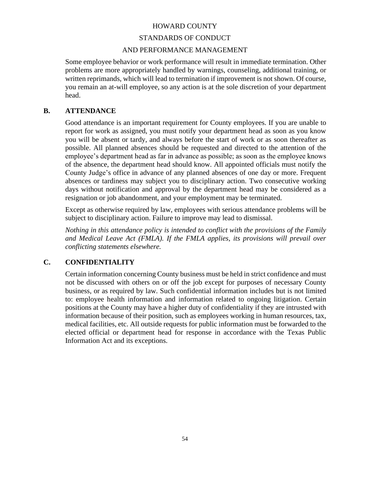## STANDARDS OF CONDUCT

## AND PERFORMANCE MANAGEMENT

Some employee behavior or work performance will result in immediate termination. Other problems are more appropriately handled by warnings, counseling, additional training, or written reprimands, which will lead to termination if improvement is not shown. Of course, you remain an at-will employee, so any action is at the sole discretion of your department head.

## **B. ATTENDANCE**

Good attendance is an important requirement for County employees. If you are unable to report for work as assigned, you must notify your department head as soon as you know you will be absent or tardy, and always before the start of work or as soon thereafter as possible. All planned absences should be requested and directed to the attention of the employee's department head as far in advance as possible; as soon as the employee knows of the absence, the department head should know. All appointed officials must notify the County Judge's office in advance of any planned absences of one day or more. Frequent absences or tardiness may subject you to disciplinary action. Two consecutive working days without notification and approval by the department head may be considered as a resignation or job abandonment, and your employment may be terminated.

Except as otherwise required by law, employees with serious attendance problems will be subject to disciplinary action. Failure to improve may lead to dismissal.

*Nothing in this attendance policy is intended to conflict with the provisions of the Family and Medical Leave Act (FMLA). If the FMLA applies, its provisions will prevail over conflicting statements elsewhere.*

## **C. CONFIDENTIALITY**

Certain information concerning County business must be held in strict confidence and must not be discussed with others on or off the job except for purposes of necessary County business, or as required by law. Such confidential information includes but is not limited to: employee health information and information related to ongoing litigation. Certain positions at the County may have a higher duty of confidentiality if they are intrusted with information because of their position, such as employees working in human resources, tax, medical facilities, etc. All outside requests for public information must be forwarded to the elected official or department head for response in accordance with the Texas Public Information Act and its exceptions.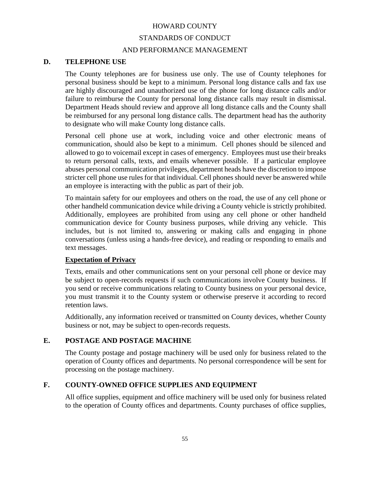### STANDARDS OF CONDUCT

### AND PERFORMANCE MANAGEMENT

## **D. TELEPHONE USE**

The County telephones are for business use only. The use of County telephones for personal business should be kept to a minimum. Personal long distance calls and fax use are highly discouraged and unauthorized use of the phone for long distance calls and/or failure to reimburse the County for personal long distance calls may result in dismissal. Department Heads should review and approve all long distance calls and the County shall be reimbursed for any personal long distance calls. The department head has the authority to designate who will make County long distance calls.

Personal cell phone use at work, including voice and other electronic means of communication, should also be kept to a minimum. Cell phones should be silenced and allowed to go to voicemail except in cases of emergency. Employees must use their breaks to return personal calls, texts, and emails whenever possible. If a particular employee abuses personal communication privileges, department heads have the discretion to impose stricter cell phone use rules for that individual. Cell phones should never be answered while an employee is interacting with the public as part of their job.

To maintain safety for our employees and others on the road, the use of any cell phone or other handheld communication device while driving a County vehicle is strictly prohibited. Additionally, employees are prohibited from using any cell phone or other handheld communication device for County business purposes, while driving any vehicle. This includes, but is not limited to, answering or making calls and engaging in phone conversations (unless using a hands-free device), and reading or responding to emails and text messages.

#### **Expectation of Privacy**

Texts, emails and other communications sent on your personal cell phone or device may be subject to open-records requests if such communications involve County business. If you send or receive communications relating to County business on your personal device, you must transmit it to the County system or otherwise preserve it according to record retention laws.

Additionally, any information received or transmitted on County devices, whether County business or not, may be subject to open-records requests.

## **E. POSTAGE AND POSTAGE MACHINE**

The County postage and postage machinery will be used only for business related to the operation of County offices and departments. No personal correspondence will be sent for processing on the postage machinery.

## **F. COUNTY-OWNED OFFICE SUPPLIES AND EQUIPMENT**

All office supplies, equipment and office machinery will be used only for business related to the operation of County offices and departments. County purchases of office supplies,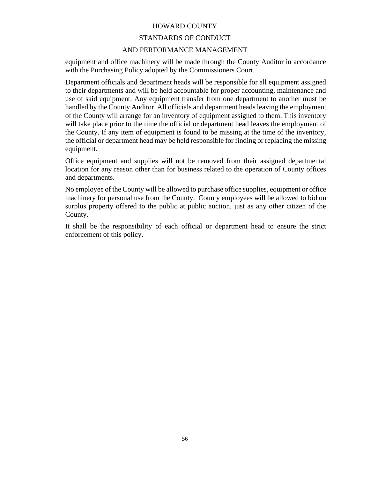## STANDARDS OF CONDUCT

## AND PERFORMANCE MANAGEMENT

equipment and office machinery will be made through the County Auditor in accordance with the Purchasing Policy adopted by the Commissioners Court.

Department officials and department heads will be responsible for all equipment assigned to their departments and will be held accountable for proper accounting, maintenance and use of said equipment. Any equipment transfer from one department to another must be handled by the County Auditor. All officials and department heads leaving the employment of the County will arrange for an inventory of equipment assigned to them. This inventory will take place prior to the time the official or department head leaves the employment of the County. If any item of equipment is found to be missing at the time of the inventory, the official or department head may be held responsible for finding or replacing the missing equipment.

Office equipment and supplies will not be removed from their assigned departmental location for any reason other than for business related to the operation of County offices and departments.

No employee of the County will be allowed to purchase office supplies, equipment or office machinery for personal use from the County. County employees will be allowed to bid on surplus property offered to the public at public auction, just as any other citizen of the County.

It shall be the responsibility of each official or department head to ensure the strict enforcement of this policy.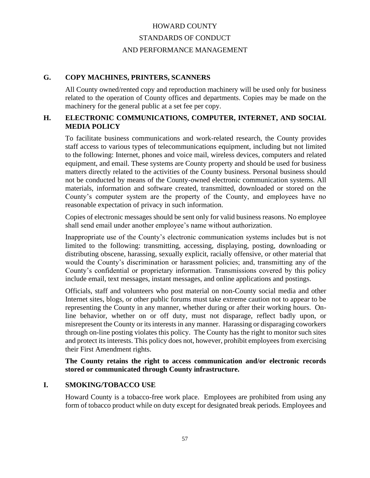# HOWARD COUNTY STANDARDS OF CONDUCT AND PERFORMANCE MANAGEMENT

## **G. COPY MACHINES, PRINTERS, SCANNERS**

All County owned/rented copy and reproduction machinery will be used only for business related to the operation of County offices and departments. Copies may be made on the machinery for the general public at a set fee per copy.

## **H. ELECTRONIC COMMUNICATIONS, COMPUTER, INTERNET, AND SOCIAL MEDIA POLICY**

To facilitate business communications and work-related research, the County provides staff access to various types of telecommunications equipment, including but not limited to the following: Internet, phones and voice mail, wireless devices, computers and related equipment, and email. These systems are County property and should be used for business matters directly related to the activities of the County business. Personal business should not be conducted by means of the County-owned electronic communication systems. All materials, information and software created, transmitted, downloaded or stored on the County's computer system are the property of the County, and employees have no reasonable expectation of privacy in such information.

Copies of electronic messages should be sent only for valid business reasons. No employee shall send email under another employee's name without authorization.

Inappropriate use of the County's electronic communication systems includes but is not limited to the following: transmitting, accessing, displaying, posting, downloading or distributing obscene, harassing, sexually explicit, racially offensive, or other material that would the County's discrimination or harassment policies; and, transmitting any of the County's confidential or proprietary information. Transmissions covered by this policy include email, text messages, instant messages, and online applications and postings.

Officials, staff and volunteers who post material on non-County social media and other Internet sites, blogs, or other public forums must take extreme caution not to appear to be representing the County in any manner, whether during or after their working hours. Online behavior, whether on or off duty, must not disparage, reflect badly upon, or misrepresent the County or its interests in any manner. Harassing or disparaging coworkers through on-line posting violates this policy. The County has the right to monitor such sites and protect its interests. This policy does not, however, prohibit employees from exercising their First Amendment rights.

**The County retains the right to access communication and/or electronic records stored or communicated through County infrastructure.**

## **I. SMOKING/TOBACCO USE**

Howard County is a tobacco-free work place. Employees are prohibited from using any form of tobacco product while on duty except for designated break periods. Employees and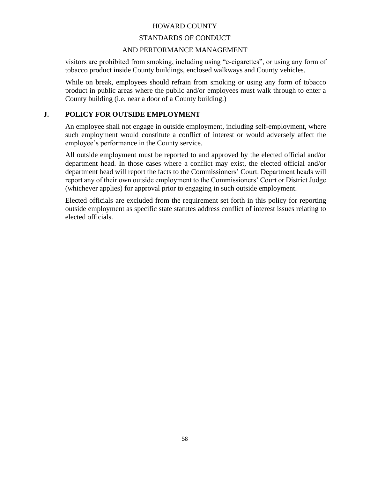## STANDARDS OF CONDUCT

## AND PERFORMANCE MANAGEMENT

visitors are prohibited from smoking, including using "e-cigarettes", or using any form of tobacco product inside County buildings, enclosed walkways and County vehicles.

While on break, employees should refrain from smoking or using any form of tobacco product in public areas where the public and/or employees must walk through to enter a County building (i.e. near a door of a County building.)

## **J. POLICY FOR OUTSIDE EMPLOYMENT**

An employee shall not engage in outside employment, including self-employment, where such employment would constitute a conflict of interest or would adversely affect the employee's performance in the County service.

All outside employment must be reported to and approved by the elected official and/or department head. In those cases where a conflict may exist, the elected official and/or department head will report the facts to the Commissioners' Court. Department heads will report any of their own outside employment to the Commissioners' Court or District Judge (whichever applies) for approval prior to engaging in such outside employment.

Elected officials are excluded from the requirement set forth in this policy for reporting outside employment as specific state statutes address conflict of interest issues relating to elected officials.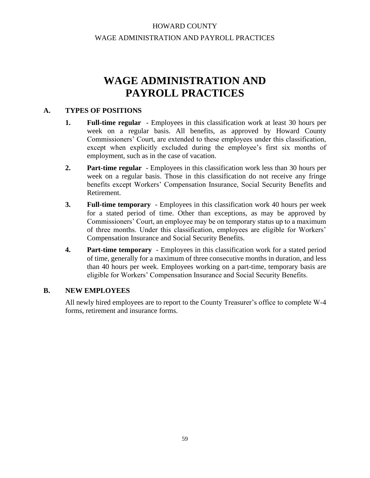## HOWARD COUNTY WAGE ADMINISTRATION AND PAYROLL PRACTICES

# **WAGE ADMINISTRATION AND PAYROLL PRACTICES**

## **A. TYPES OF POSITIONS**

- **1. Full-time regular** Employees in this classification work at least 30 hours per week on a regular basis. All benefits, as approved by Howard County Commissioners' Court, are extended to these employees under this classification, except when explicitly excluded during the employee's first six months of employment, such as in the case of vacation.
- **2. Part-time regular** Employees in this classification work less than 30 hours per week on a regular basis. Those in this classification do not receive any fringe benefits except Workers' Compensation Insurance, Social Security Benefits and Retirement.
- **3. Full-time temporary** Employees in this classification work 40 hours per week for a stated period of time. Other than exceptions, as may be approved by Commissioners' Court, an employee may be on temporary status up to a maximum of three months. Under this classification, employees are eligible for Workers' Compensation Insurance and Social Security Benefits.
- **4. Part-time temporary** Employees in this classification work for a stated period of time, generally for a maximum of three consecutive months in duration, and less than 40 hours per week. Employees working on a part-time, temporary basis are eligible for Workers' Compensation Insurance and Social Security Benefits.

## **B. NEW EMPLOYEES**

All newly hired employees are to report to the County Treasurer's office to complete W-4 forms, retirement and insurance forms.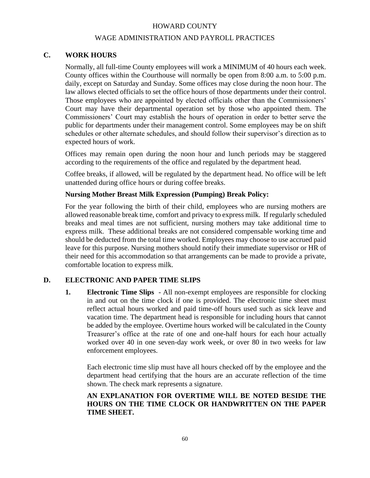## WAGE ADMINISTRATION AND PAYROLL PRACTICES

## **C. WORK HOURS**

Normally, all full-time County employees will work a MINIMUM of 40 hours each week. County offices within the Courthouse will normally be open from 8:00 a.m. to 5:00 p.m. daily, except on Saturday and Sunday. Some offices may close during the noon hour. The law allows elected officials to set the office hours of those departments under their control. Those employees who are appointed by elected officials other than the Commissioners' Court may have their departmental operation set by those who appointed them. The Commissioners' Court may establish the hours of operation in order to better serve the public for departments under their management control. Some employees may be on shift schedules or other alternate schedules, and should follow their supervisor's direction as to expected hours of work.

Offices may remain open during the noon hour and lunch periods may be staggered according to the requirements of the office and regulated by the department head.

Coffee breaks, if allowed, will be regulated by the department head. No office will be left unattended during office hours or during coffee breaks.

### **Nursing Mother Breast Milk Expression (Pumping) Break Policy:**

For the year following the birth of their child, employees who are nursing mothers are allowed reasonable break time, comfort and privacy to express milk. If regularly scheduled breaks and meal times are not sufficient, nursing mothers may take additional time to express milk. These additional breaks are not considered compensable working time and should be deducted from the total time worked. Employees may choose to use accrued paid leave for this purpose. Nursing mothers should notify their immediate supervisor or HR of their need for this accommodation so that arrangements can be made to provide a private, comfortable location to express milk.

## **D. ELECTRONIC AND PAPER TIME SLIPS**

**1. Electronic Time Slips** - All non-exempt employees are responsible for clocking in and out on the time clock if one is provided. The electronic time sheet must reflect actual hours worked and paid time-off hours used such as sick leave and vacation time. The department head is responsible for including hours that cannot be added by the employee. Overtime hours worked will be calculated in the County Treasurer's office at the rate of one and one-half hours for each hour actually worked over 40 in one seven-day work week, or over 80 in two weeks for law enforcement employees.

Each electronic time slip must have all hours checked off by the employee and the department head certifying that the hours are an accurate reflection of the time shown. The check mark represents a signature.

## **AN EXPLANATION FOR OVERTIME WILL BE NOTED BESIDE THE HOURS ON THE TIME CLOCK OR HANDWRITTEN ON THE PAPER TIME SHEET.**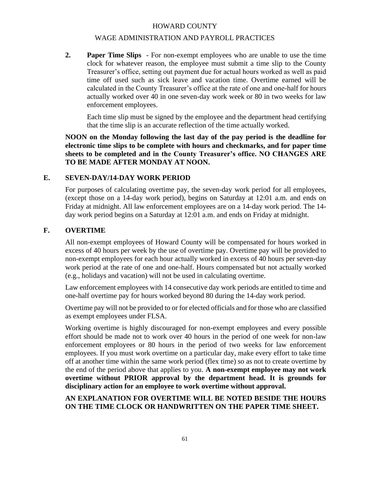## WAGE ADMINISTRATION AND PAYROLL PRACTICES

**2. Paper Time Slips** - For non-exempt employees who are unable to use the time clock for whatever reason, the employee must submit a time slip to the County Treasurer's office, setting out payment due for actual hours worked as well as paid time off used such as sick leave and vacation time. Overtime earned will be calculated in the County Treasurer's office at the rate of one and one-half for hours actually worked over 40 in one seven-day work week or 80 in two weeks for law enforcement employees.

Each time slip must be signed by the employee and the department head certifying that the time slip is an accurate reflection of the time actually worked.

**NOON on the Monday following the last day of the pay period is the deadline for electronic time slips to be complete with hours and checkmarks, and for paper time sheets to be completed and in the County Treasurer's office. NO CHANGES ARE TO BE MADE AFTER MONDAY AT NOON.**

## **E. SEVEN-DAY/14-DAY WORK PERIOD**

For purposes of calculating overtime pay, the seven-day work period for all employees, (except those on a 14-day work period), begins on Saturday at 12:01 a.m. and ends on Friday at midnight. All law enforcement employees are on a 14-day work period. The 14 day work period begins on a Saturday at 12:01 a.m. and ends on Friday at midnight.

## **F. OVERTIME**

All non-exempt employees of Howard County will be compensated for hours worked in excess of 40 hours per week by the use of overtime pay. Overtime pay will be provided to non-exempt employees for each hour actually worked in excess of 40 hours per seven-day work period at the rate of one and one-half. Hours compensated but not actually worked (e.g., holidays and vacation) will not be used in calculating overtime.

Law enforcement employees with 14 consecutive day work periods are entitled to time and one-half overtime pay for hours worked beyond 80 during the 14-day work period.

Overtime pay will not be provided to or for elected officials and for those who are classified as exempt employees under FLSA.

Working overtime is highly discouraged for non-exempt employees and every possible effort should be made not to work over 40 hours in the period of one week for non-law enforcement employees or 80 hours in the period of two weeks for law enforcement employees. If you must work overtime on a particular day, make every effort to take time off at another time within the same work period (flex time) so as not to create overtime by the end of the period above that applies to you. **A non-exempt employee may not work overtime without PRIOR approval by the department head. It is grounds for disciplinary action for an employee to work overtime without approval.** 

## **AN EXPLANATION FOR OVERTIME WILL BE NOTED BESIDE THE HOURS ON THE TIME CLOCK OR HANDWRITTEN ON THE PAPER TIME SHEET.**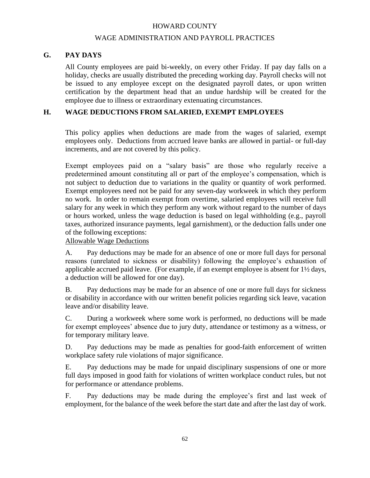## WAGE ADMINISTRATION AND PAYROLL PRACTICES

## **G. PAY DAYS**

All County employees are paid bi-weekly, on every other Friday. If pay day falls on a holiday, checks are usually distributed the preceding working day. Payroll checks will not be issued to any employee except on the designated payroll dates, or upon written certification by the department head that an undue hardship will be created for the employee due to illness or extraordinary extenuating circumstances.

## **H. WAGE DEDUCTIONS FROM SALARIED, EXEMPT EMPLOYEES**

This policy applies when deductions are made from the wages of salaried, exempt employees only. Deductions from accrued leave banks are allowed in partial- or full-day increments, and are not covered by this policy.

Exempt employees paid on a "salary basis" are those who regularly receive a predetermined amount constituting all or part of the employee's compensation, which is not subject to deduction due to variations in the quality or quantity of work performed. Exempt employees need not be paid for any seven-day workweek in which they perform no work. In order to remain exempt from overtime, salaried employees will receive full salary for any week in which they perform any work without regard to the number of days or hours worked, unless the wage deduction is based on legal withholding (e.g., payroll taxes, authorized insurance payments, legal garnishment), or the deduction falls under one of the following exceptions:

## Allowable Wage Deductions

A. Pay deductions may be made for an absence of one or more full days for personal reasons (unrelated to sickness or disability) following the employee's exhaustion of applicable accrued paid leave. (For example, if an exempt employee is absent for 1½ days, a deduction will be allowed for one day).

B. Pay deductions may be made for an absence of one or more full days for sickness or disability in accordance with our written benefit policies regarding sick leave, vacation leave and/or disability leave.

C. During a workweek where some work is performed, no deductions will be made for exempt employees' absence due to jury duty, attendance or testimony as a witness, or for temporary military leave.

D. Pay deductions may be made as penalties for good-faith enforcement of written workplace safety rule violations of major significance.

E. Pay deductions may be made for unpaid disciplinary suspensions of one or more full days imposed in good faith for violations of written workplace conduct rules, but not for performance or attendance problems.

F. Pay deductions may be made during the employee's first and last week of employment, for the balance of the week before the start date and after the last day of work.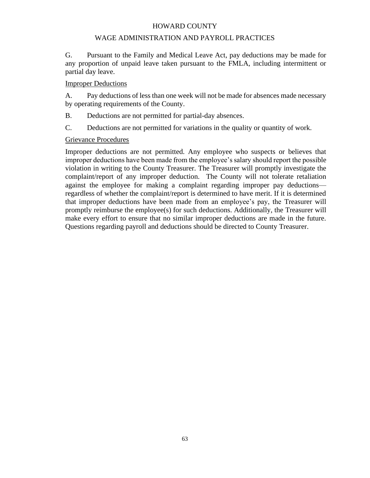## WAGE ADMINISTRATION AND PAYROLL PRACTICES

G. Pursuant to the Family and Medical Leave Act, pay deductions may be made for any proportion of unpaid leave taken pursuant to the FMLA, including intermittent or partial day leave.

## Improper Deductions

A. Pay deductions of less than one week will not be made for absences made necessary by operating requirements of the County.

B. Deductions are not permitted for partial-day absences.

C. Deductions are not permitted for variations in the quality or quantity of work.

## Grievance Procedures

Improper deductions are not permitted. Any employee who suspects or believes that improper deductions have been made from the employee's salary should report the possible violation in writing to the County Treasurer. The Treasurer will promptly investigate the complaint/report of any improper deduction. The County will not tolerate retaliation against the employee for making a complaint regarding improper pay deductions regardless of whether the complaint/report is determined to have merit. If it is determined that improper deductions have been made from an employee's pay, the Treasurer will promptly reimburse the employee(s) for such deductions. Additionally, the Treasurer will make every effort to ensure that no similar improper deductions are made in the future. Questions regarding payroll and deductions should be directed to County Treasurer.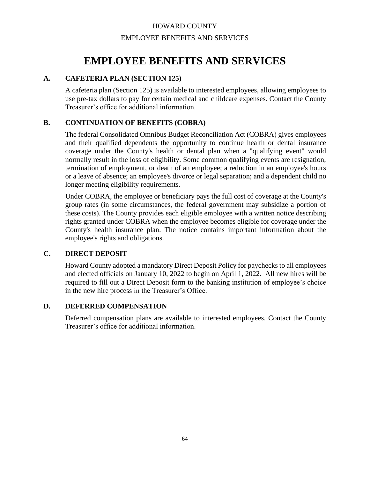## HOWARD COUNTY EMPLOYEE BENEFITS AND SERVICES

# **EMPLOYEE BENEFITS AND SERVICES**

## **A. CAFETERIA PLAN (SECTION 125)**

A cafeteria plan (Section 125) is available to interested employees, allowing employees to use pre-tax dollars to pay for certain medical and childcare expenses. Contact the County Treasurer's office for additional information.

## **B. CONTINUATION OF BENEFITS (COBRA)**

The federal Consolidated Omnibus Budget Reconciliation Act (COBRA) gives employees and their qualified dependents the opportunity to continue health or dental insurance coverage under the County's health or dental plan when a "qualifying event" would normally result in the loss of eligibility. Some common qualifying events are resignation, termination of employment, or death of an employee; a reduction in an employee's hours or a leave of absence; an employee's divorce or legal separation; and a dependent child no longer meeting eligibility requirements.

Under COBRA, the employee or beneficiary pays the full cost of coverage at the County's group rates (in some circumstances, the federal government may subsidize a portion of these costs). The County provides each eligible employee with a written notice describing rights granted under COBRA when the employee becomes eligible for coverage under the County's health insurance plan. The notice contains important information about the employee's rights and obligations.

## **C. DIRECT DEPOSIT**

Howard County adopted a mandatory Direct Deposit Policy for paychecks to all employees and elected officials on January 10, 2022 to begin on April 1, 2022. All new hires will be required to fill out a Direct Deposit form to the banking institution of employee's choice in the new hire process in the Treasurer's Office.

## **D. DEFERRED COMPENSATION**

Deferred compensation plans are available to interested employees. Contact the County Treasurer's office for additional information.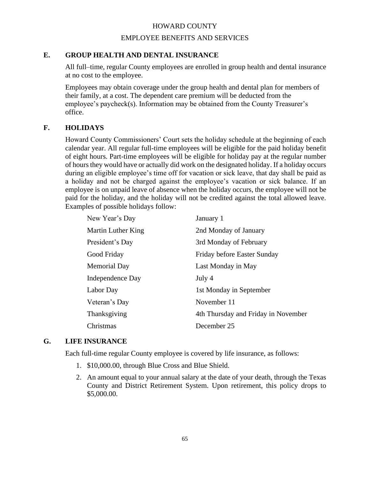## EMPLOYEE BENEFITS AND SERVICES

## **E. GROUP HEALTH AND DENTAL INSURANCE**

All full–time, regular County employees are enrolled in group health and dental insurance at no cost to the employee.

Employees may obtain coverage under the group health and dental plan for members of their family, at a cost. The dependent care premium will be deducted from the employee's paycheck(s). Information may be obtained from the County Treasurer's office.

## **F. HOLIDAYS**

Howard County Commissioners' Court sets the holiday schedule at the beginning of each calendar year. All regular full-time employees will be eligible for the paid holiday benefit of eight hours. Part-time employees will be eligible for holiday pay at the regular number of hours they would have or actually did work on the designated holiday. If a holiday occurs during an eligible employee's time off for vacation or sick leave, that day shall be paid as a holiday and not be charged against the employee's vacation or sick balance. If an employee is on unpaid leave of absence when the holiday occurs, the employee will not be paid for the holiday, and the holiday will not be credited against the total allowed leave. Examples of possible holidays follow:

| New Year's Day      | January 1                           |
|---------------------|-------------------------------------|
| Martin Luther King  | 2nd Monday of January               |
| President's Day     | 3rd Monday of February              |
| Good Friday         | Friday before Easter Sunday         |
| <b>Memorial Day</b> | Last Monday in May                  |
| Independence Day    | July 4                              |
| Labor Day           | 1st Monday in September             |
| Veteran's Day       | November 11                         |
| Thanksgiving        | 4th Thursday and Friday in November |
| Christmas           | December 25                         |

## **G. LIFE INSURANCE**

Each full-time regular County employee is covered by life insurance, as follows:

- 1. \$10,000.00, through Blue Cross and Blue Shield.
- 2. An amount equal to your annual salary at the date of your death, through the Texas County and District Retirement System. Upon retirement, this policy drops to \$5,000.00.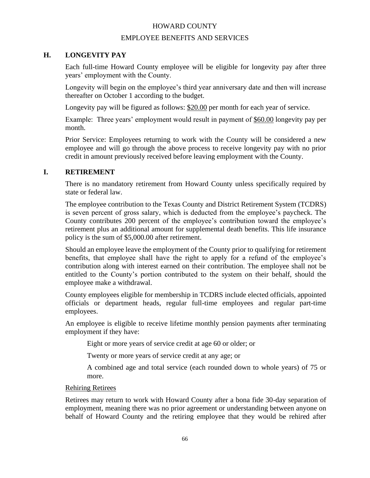## EMPLOYEE BENEFITS AND SERVICES

## **H. LONGEVITY PAY**

Each full-time Howard County employee will be eligible for longevity pay after three years' employment with the County.

Longevity will begin on the employee's third year anniversary date and then will increase thereafter on October 1 according to the budget.

Longevity pay will be figured as follows: \$20.00 per month for each year of service.

Example: Three years' employment would result in payment of \$60.00 longevity pay per month.

Prior Service: Employees returning to work with the County will be considered a new employee and will go through the above process to receive longevity pay with no prior credit in amount previously received before leaving employment with the County.

## **I. RETIREMENT**

There is no mandatory retirement from Howard County unless specifically required by state or federal law.

The employee contribution to the Texas County and District Retirement System (TCDRS) is seven percent of gross salary, which is deducted from the employee's paycheck. The County contributes 200 percent of the employee's contribution toward the employee's retirement plus an additional amount for supplemental death benefits. This life insurance policy is the sum of \$5,000.00 after retirement.

Should an employee leave the employment of the County prior to qualifying for retirement benefits, that employee shall have the right to apply for a refund of the employee's contribution along with interest earned on their contribution. The employee shall not be entitled to the County's portion contributed to the system on their behalf, should the employee make a withdrawal.

County employees eligible for membership in TCDRS include elected officials, appointed officials or department heads, regular full-time employees and regular part-time employees.

An employee is eligible to receive lifetime monthly pension payments after terminating employment if they have:

Eight or more years of service credit at age 60 or older; or

Twenty or more years of service credit at any age; or

A combined age and total service (each rounded down to whole years) of 75 or more.

## Rehiring Retirees

Retirees may return to work with Howard County after a bona fide 30-day separation of employment, meaning there was no prior agreement or understanding between anyone on behalf of Howard County and the retiring employee that they would be rehired after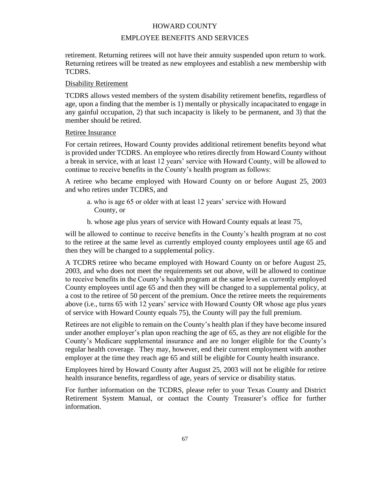## EMPLOYEE BENEFITS AND SERVICES

retirement. Returning retirees will not have their annuity suspended upon return to work. Returning retirees will be treated as new employees and establish a new membership with TCDRS.

## Disability Retirement

TCDRS allows vested members of the system disability retirement benefits, regardless of age, upon a finding that the member is 1) mentally or physically incapacitated to engage in any gainful occupation, 2) that such incapacity is likely to be permanent, and 3) that the member should be retired.

## Retiree Insurance

For certain retirees, Howard County provides additional retirement benefits beyond what is provided under TCDRS. An employee who retires directly from Howard County without a break in service, with at least 12 years' service with Howard County, will be allowed to continue to receive benefits in the County's health program as follows:

A retiree who became employed with Howard County on or before August 25, 2003 and who retires under TCDRS, and

- a. who is age 65 or older with at least 12 years' service with Howard County, or
- b. whose age plus years of service with Howard County equals at least 75,

will be allowed to continue to receive benefits in the County's health program at no cost to the retiree at the same level as currently employed county employees until age 65 and then they will be changed to a supplemental policy.

A TCDRS retiree who became employed with Howard County on or before August 25, 2003, and who does not meet the requirements set out above, will be allowed to continue to receive benefits in the County's health program at the same level as currently employed County employees until age 65 and then they will be changed to a supplemental policy, at a cost to the retiree of 50 percent of the premium. Once the retiree meets the requirements above (i.e., turns 65 with 12 years' service with Howard County OR whose age plus years of service with Howard County equals 75), the County will pay the full premium.

Retirees are not eligible to remain on the County's health plan if they have become insured under another employer's plan upon reaching the age of 65, as they are not eligible for the County's Medicare supplemental insurance and are no longer eligible for the County's regular health coverage. They may, however, end their current employment with another employer at the time they reach age 65 and still be eligible for County health insurance.

Employees hired by Howard County after August 25, 2003 will not be eligible for retiree health insurance benefits, regardless of age, years of service or disability status.

For further information on the TCDRS, please refer to your Texas County and District Retirement System Manual, or contact the County Treasurer's office for further information.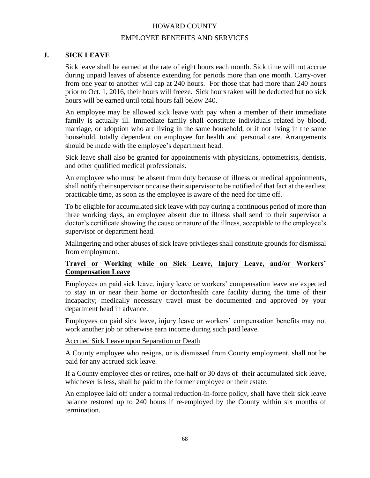## EMPLOYEE BENEFITS AND SERVICES

## **J. SICK LEAVE**

Sick leave shall be earned at the rate of eight hours each month. Sick time will not accrue during unpaid leaves of absence extending for periods more than one month. Carry-over from one year to another will cap at 240 hours. For those that had more than 240 hours prior to Oct. 1, 2016, their hours will freeze. Sick hours taken will be deducted but no sick hours will be earned until total hours fall below 240.

An employee may be allowed sick leave with pay when a member of their immediate family is actually ill. Immediate family shall constitute individuals related by blood, marriage, or adoption who are living in the same household, or if not living in the same household, totally dependent on employee for health and personal care. Arrangements should be made with the employee's department head.

Sick leave shall also be granted for appointments with physicians, optometrists, dentists, and other qualified medical professionals.

An employee who must be absent from duty because of illness or medical appointments, shall notify their supervisor or cause their supervisor to be notified of that fact at the earliest practicable time, as soon as the employee is aware of the need for time off.

To be eligible for accumulated sick leave with pay during a continuous period of more than three working days, an employee absent due to illness shall send to their supervisor a doctor's certificate showing the cause or nature of the illness, acceptable to the employee's supervisor or department head.

Malingering and other abuses of sick leave privileges shall constitute grounds for dismissal from employment.

# **Travel or Working while on Sick Leave, Injury Leave, and/or Workers' Compensation Leave**

Employees on paid sick leave, injury leave or workers' compensation leave are expected to stay in or near their home or doctor/health care facility during the time of their incapacity; medically necessary travel must be documented and approved by your department head in advance.

Employees on paid sick leave, injury leave or workers' compensation benefits may not work another job or otherwise earn income during such paid leave.

#### Accrued Sick Leave upon Separation or Death

A County employee who resigns, or is dismissed from County employment, shall not be paid for any accrued sick leave.

If a County employee dies or retires, one-half or 30 days of their accumulated sick leave, whichever is less, shall be paid to the former employee or their estate.

An employee laid off under a formal reduction-in-force policy, shall have their sick leave balance restored up to 240 hours if re-employed by the County within six months of termination.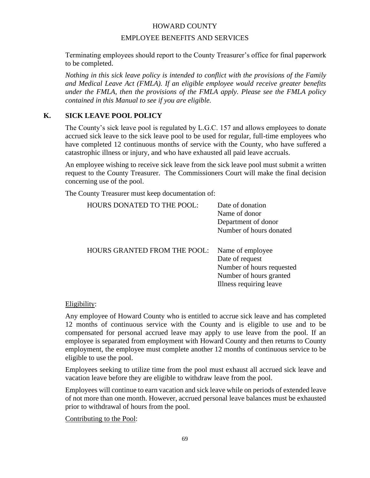## EMPLOYEE BENEFITS AND SERVICES

Terminating employees should report to the County Treasurer's office for final paperwork to be completed.

*Nothing in this sick leave policy is intended to conflict with the provisions of the Family and Medical Leave Act (FMLA). If an eligible employee would receive greater benefits under the FMLA, then the provisions of the FMLA apply. Please see the FMLA policy contained in this Manual to see if you are eligible.*

# **K. SICK LEAVE POOL POLICY**

The County's sick leave pool is regulated by L.G.C. 157 and allows employees to donate accrued sick leave to the sick leave pool to be used for regular, full-time employees who have completed 12 continuous months of service with the County, who have suffered a catastrophic illness or injury, and who have exhausted all paid leave accruals.

An employee wishing to receive sick leave from the sick leave pool must submit a written request to the County Treasurer. The Commissioners Court will make the final decision concerning use of the pool.

The County Treasurer must keep documentation of:

| <b>HOURS DONATED TO THE POOL:</b>   | Date of donation<br>Name of donor<br>Department of donor<br>Number of hours donated                                    |
|-------------------------------------|------------------------------------------------------------------------------------------------------------------------|
| <b>HOURS GRANTED FROM THE POOL:</b> | Name of employee<br>Date of request<br>Number of hours requested<br>Number of hours granted<br>Illness requiring leave |

## Eligibility:

Any employee of Howard County who is entitled to accrue sick leave and has completed 12 months of continuous service with the County and is eligible to use and to be compensated for personal accrued leave may apply to use leave from the pool. If an employee is separated from employment with Howard County and then returns to County employment, the employee must complete another 12 months of continuous service to be eligible to use the pool.

Employees seeking to utilize time from the pool must exhaust all accrued sick leave and vacation leave before they are eligible to withdraw leave from the pool.

Employees will continue to earn vacation and sick leave while on periods of extended leave of not more than one month. However, accrued personal leave balances must be exhausted prior to withdrawal of hours from the pool.

Contributing to the Pool: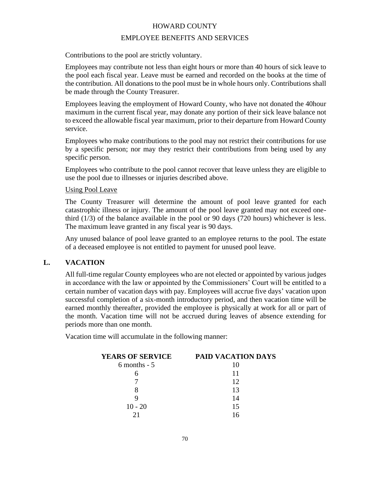## EMPLOYEE BENEFITS AND SERVICES

Contributions to the pool are strictly voluntary.

Employees may contribute not less than eight hours or more than 40 hours of sick leave to the pool each fiscal year. Leave must be earned and recorded on the books at the time of the contribution. All donations to the pool must be in whole hours only. Contributions shall be made through the County Treasurer.

Employees leaving the employment of Howard County, who have not donated the 40hour maximum in the current fiscal year, may donate any portion of their sick leave balance not to exceed the allowable fiscal year maximum, prior to their departure from Howard County service.

Employees who make contributions to the pool may not restrict their contributions for use by a specific person; nor may they restrict their contributions from being used by any specific person.

Employees who contribute to the pool cannot recover that leave unless they are eligible to use the pool due to illnesses or injuries described above.

#### Using Pool Leave

The County Treasurer will determine the amount of pool leave granted for each catastrophic illness or injury. The amount of the pool leave granted may not exceed onethird (1/3) of the balance available in the pool or 90 days (720 hours) whichever is less. The maximum leave granted in any fiscal year is 90 days.

Any unused balance of pool leave granted to an employee returns to the pool. The estate of a deceased employee is not entitled to payment for unused pool leave.

## **L. VACATION**

All full-time regular County employees who are not elected or appointed by various judges in accordance with the law or appointed by the Commissioners' Court will be entitled to a certain number of vacation days with pay. Employees will accrue five days' vacation upon successful completion of a six-month introductory period, and then vacation time will be earned monthly thereafter, provided the employee is physically at work for all or part of the month. Vacation time will not be accrued during leaves of absence extending for periods more than one month.

Vacation time will accumulate in the following manner:

| <b>YEARS OF SERVICE</b> | <b>PAID VACATION DAYS</b> |
|-------------------------|---------------------------|
| $6$ months - $5$        | 10                        |
|                         | 11                        |
|                         | 12                        |
|                         | 13                        |
|                         | 14                        |
| $10 - 20$               | 15                        |
|                         | 16                        |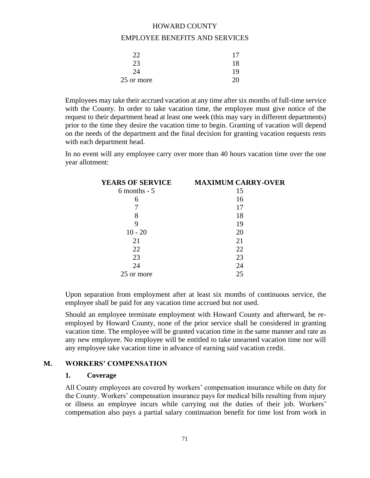#### EMPLOYEE BENEFITS AND SERVICES

| 22         | 17 |
|------------|----|
| 23         | 18 |
| 24         | 19 |
| 25 or more |    |

Employees may take their accrued vacation at any time after six months of full-time service with the County. In order to take vacation time, the employee must give notice of the request to their department head at least one week (this may vary in different departments) prior to the time they desire the vacation time to begin. Granting of vacation will depend on the needs of the department and the final decision for granting vacation requests rests with each department head.

In no event will any employee carry over more than 40 hours vacation time over the one year allotment:

| <b>YEARS OF SERVICE</b> | <b>MAXIMUM CARRY-OVER</b> |
|-------------------------|---------------------------|
| $6$ months - $5$        | 15                        |
| 6                       | 16                        |
|                         | 17                        |
| 8                       | 18                        |
| 9                       | 19                        |
| $10 - 20$               | 20                        |
| 21                      | 21                        |
| 22                      | 22                        |
| 23                      | 23                        |
| 24                      | 24                        |
| 25 or more              | 25                        |

Upon separation from employment after at least six months of continuous service, the employee shall be paid for any vacation time accrued but not used.

Should an employee terminate employment with Howard County and afterward, be reemployed by Howard County, none of the prior service shall be considered in granting vacation time. The employee will be granted vacation time in the same manner and rate as any new employee. No employee will be entitled to take unearned vacation time nor will any employee take vacation time in advance of earning said vacation credit.

#### **M. WORKERS' COMPENSATION**

#### **1. Coverage**

All County employees are covered by workers' compensation insurance while on duty for the County. Workers' compensation insurance pays for medical bills resulting from injury or illness an employee incurs while carrying out the duties of their job. Workers' compensation also pays a partial salary continuation benefit for time lost from work in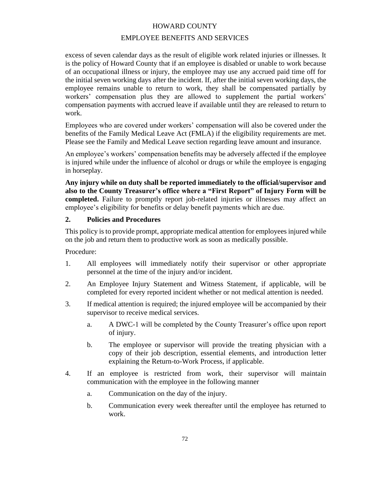## EMPLOYEE BENEFITS AND SERVICES

excess of seven calendar days as the result of eligible work related injuries or illnesses. It is the policy of Howard County that if an employee is disabled or unable to work because of an occupational illness or injury, the employee may use any accrued paid time off for the initial seven working days after the incident. If, after the initial seven working days, the employee remains unable to return to work, they shall be compensated partially by workers' compensation plus they are allowed to supplement the partial workers' compensation payments with accrued leave if available until they are released to return to work.

Employees who are covered under workers' compensation will also be covered under the benefits of the Family Medical Leave Act (FMLA) if the eligibility requirements are met. Please see the Family and Medical Leave section regarding leave amount and insurance.

An employee's workers' compensation benefits may be adversely affected if the employee is injured while under the influence of alcohol or drugs or while the employee is engaging in horseplay.

**Any injury while on duty shall be reported immediately to the official/supervisor and also to the County Treasurer's office where a "First Report" of Injury Form will be completed.** Failure to promptly report job-related injuries or illnesses may affect an employee's eligibility for benefits or delay benefit payments which are due.

## **2. Policies and Procedures**

This policy is to provide prompt, appropriate medical attention for employees injured while on the job and return them to productive work as soon as medically possible.

Procedure:

- 1. All employees will immediately notify their supervisor or other appropriate personnel at the time of the injury and/or incident.
- 2. An Employee Injury Statement and Witness Statement, if applicable, will be completed for every reported incident whether or not medical attention is needed.
- 3. If medical attention is required; the injured employee will be accompanied by their supervisor to receive medical services.
	- a. A DWC-1 will be completed by the County Treasurer's office upon report of injury.
	- b. The employee or supervisor will provide the treating physician with a copy of their job description, essential elements, and introduction letter explaining the Return-to-Work Process, if applicable.
- 4. If an employee is restricted from work, their supervisor will maintain communication with the employee in the following manner
	- a. Communication on the day of the injury.
	- b. Communication every week thereafter until the employee has returned to work.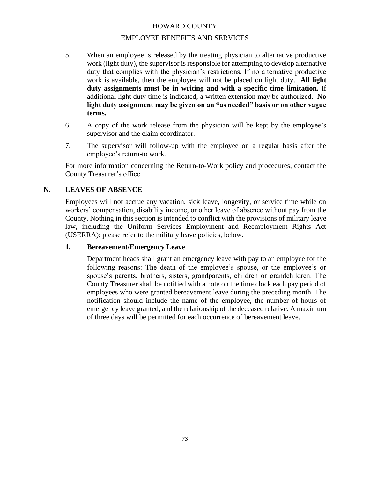## EMPLOYEE BENEFITS AND SERVICES

- 5. When an employee is released by the treating physician to alternative productive work (light duty), the supervisor is responsible for attempting to develop alternative duty that complies with the physician's restrictions. If no alternative productive work is available, then the employee will not be placed on light duty. **All light duty assignments must be in writing and with a specific time limitation.** If additional light duty time is indicated, a written extension may be authorized. **No light duty assignment may be given on an "as needed" basis or on other vague terms.**
- 6. A copy of the work release from the physician will be kept by the employee's supervisor and the claim coordinator.
- 7. The supervisor will follow-up with the employee on a regular basis after the employee's return-to work.

For more information concerning the Return-to-Work policy and procedures, contact the County Treasurer's office.

## **N. LEAVES OF ABSENCE**

Employees will not accrue any vacation, sick leave, longevity, or service time while on workers' compensation, disability income, or other leave of absence without pay from the County. Nothing in this section is intended to conflict with the provisions of military leave law, including the Uniform Services Employment and Reemployment Rights Act (USERRA); please refer to the military leave policies, below.

## **1. Bereavement/Emergency Leave**

Department heads shall grant an emergency leave with pay to an employee for the following reasons: The death of the employee's spouse, or the employee's or spouse's parents, brothers, sisters, grandparents, children or grandchildren. The County Treasurer shall be notified with a note on the time clock each pay period of employees who were granted bereavement leave during the preceding month. The notification should include the name of the employee, the number of hours of emergency leave granted, and the relationship of the deceased relative. A maximum of three days will be permitted for each occurrence of bereavement leave.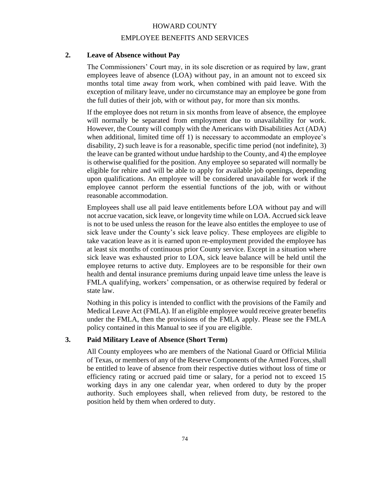## EMPLOYEE BENEFITS AND SERVICES

## **2. Leave of Absence without Pay**

The Commissioners' Court may, in its sole discretion or as required by law, grant employees leave of absence (LOA) without pay, in an amount not to exceed six months total time away from work, when combined with paid leave. With the exception of military leave, under no circumstance may an employee be gone from the full duties of their job, with or without pay, for more than six months.

If the employee does not return in six months from leave of absence, the employee will normally be separated from employment due to unavailability for work. However, the County will comply with the Americans with Disabilities Act (ADA) when additional, limited time off 1) is necessary to accommodate an employee's disability, 2) such leave is for a reasonable, specific time period (not indefinite), 3) the leave can be granted without undue hardship to the County, and 4) the employee is otherwise qualified for the position. Any employee so separated will normally be eligible for rehire and will be able to apply for available job openings, depending upon qualifications. An employee will be considered unavailable for work if the employee cannot perform the essential functions of the job, with or without reasonable accommodation.

Employees shall use all paid leave entitlements before LOA without pay and will not accrue vacation, sick leave, or longevity time while on LOA. Accrued sick leave is not to be used unless the reason for the leave also entitles the employee to use of sick leave under the County's sick leave policy. These employees are eligible to take vacation leave as it is earned upon re-employment provided the employee has at least six months of continuous prior County service. Except in a situation where sick leave was exhausted prior to LOA, sick leave balance will be held until the employee returns to active duty. Employees are to be responsible for their own health and dental insurance premiums during unpaid leave time unless the leave is FMLA qualifying, workers' compensation, or as otherwise required by federal or state law.

Nothing in this policy is intended to conflict with the provisions of the Family and Medical Leave Act (FMLA). If an eligible employee would receive greater benefits under the FMLA, then the provisions of the FMLA apply. Please see the FMLA policy contained in this Manual to see if you are eligible.

#### **3. Paid Military Leave of Absence (Short Term)**

All County employees who are members of the National Guard or Official Militia of Texas, or members of any of the Reserve Components of the Armed Forces, shall be entitled to leave of absence from their respective duties without loss of time or efficiency rating or accrued paid time or salary, for a period not to exceed 15 working days in any one calendar year, when ordered to duty by the proper authority. Such employees shall, when relieved from duty, be restored to the position held by them when ordered to duty.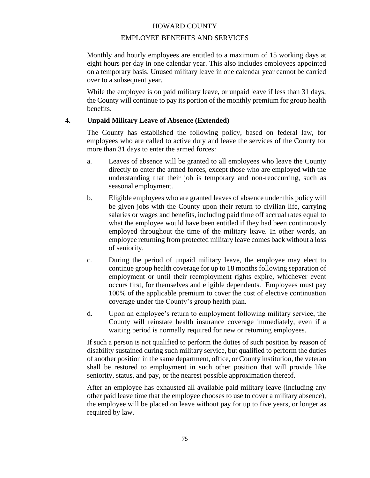### EMPLOYEE BENEFITS AND SERVICES

Monthly and hourly employees are entitled to a maximum of 15 working days at eight hours per day in one calendar year. This also includes employees appointed on a temporary basis. Unused military leave in one calendar year cannot be carried over to a subsequent year.

While the employee is on paid military leave, or unpaid leave if less than 31 days, the County will continue to pay its portion of the monthly premium for group health benefits.

## **4. Unpaid Military Leave of Absence (Extended)**

The County has established the following policy, based on federal law, for employees who are called to active duty and leave the services of the County for more than 31 days to enter the armed forces:

- a. Leaves of absence will be granted to all employees who leave the County directly to enter the armed forces, except those who are employed with the understanding that their job is temporary and non-reoccurring, such as seasonal employment.
- b. Eligible employees who are granted leaves of absence under this policy will be given jobs with the County upon their return to civilian life, carrying salaries or wages and benefits, including paid time off accrual rates equal to what the employee would have been entitled if they had been continuously employed throughout the time of the military leave. In other words, an employee returning from protected military leave comes back without a loss of seniority.
- c. During the period of unpaid military leave, the employee may elect to continue group health coverage for up to 18 months following separation of employment or until their reemployment rights expire, whichever event occurs first, for themselves and eligible dependents. Employees must pay 100% of the applicable premium to cover the cost of elective continuation coverage under the County's group health plan.
- d. Upon an employee's return to employment following military service, the County will reinstate health insurance coverage immediately, even if a waiting period is normally required for new or returning employees.

If such a person is not qualified to perform the duties of such position by reason of disability sustained during such military service, but qualified to perform the duties of another position in the same department, office, or County institution, the veteran shall be restored to employment in such other position that will provide like seniority, status, and pay, or the nearest possible approximation thereof.

After an employee has exhausted all available paid military leave (including any other paid leave time that the employee chooses to use to cover a military absence), the employee will be placed on leave without pay for up to five years, or longer as required by law.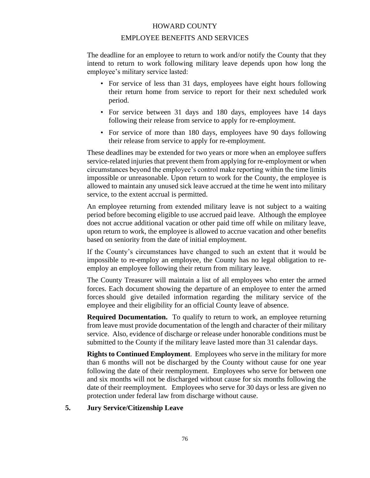#### EMPLOYEE BENEFITS AND SERVICES

The deadline for an employee to return to work and/or notify the County that they intend to return to work following military leave depends upon how long the employee's military service lasted:

- For service of less than 31 days, employees have eight hours following their return home from service to report for their next scheduled work period.
- For service between 31 days and 180 days, employees have 14 days following their release from service to apply for re-employment.
- For service of more than 180 days, employees have 90 days following their release from service to apply for re-employment.

These deadlines may be extended for two years or more when an employee suffers service-related injuries that prevent them from applying for re-employment or when circumstances beyond the employee's control make reporting within the time limits impossible or unreasonable. Upon return to work for the County, the employee is allowed to maintain any unused sick leave accrued at the time he went into military service, to the extent accrual is permitted.

An employee returning from extended military leave is not subject to a waiting period before becoming eligible to use accrued paid leave. Although the employee does not accrue additional vacation or other paid time off while on military leave, upon return to work, the employee is allowed to accrue vacation and other benefits based on seniority from the date of initial employment.

If the County's circumstances have changed to such an extent that it would be impossible to re-employ an employee, the County has no legal obligation to reemploy an employee following their return from military leave.

The County Treasurer will maintain a list of all employees who enter the armed forces. Each document showing the departure of an employee to enter the armed forces should give detailed information regarding the military service of the employee and their eligibility for an official County leave of absence.

**Required Documentation.** To qualify to return to work, an employee returning from leave must provide documentation of the length and character of their military service. Also, evidence of discharge or release under honorable conditions must be submitted to the County if the military leave lasted more than 31 calendar days.

**Rights to Continued Employment**. Employees who serve in the military for more than 6 months will not be discharged by the County without cause for one year following the date of their reemployment. Employees who serve for between one and six months will not be discharged without cause for six months following the date of their reemployment. Employees who serve for 30 days or less are given no protection under federal law from discharge without cause.

#### **5. Jury Service/Citizenship Leave**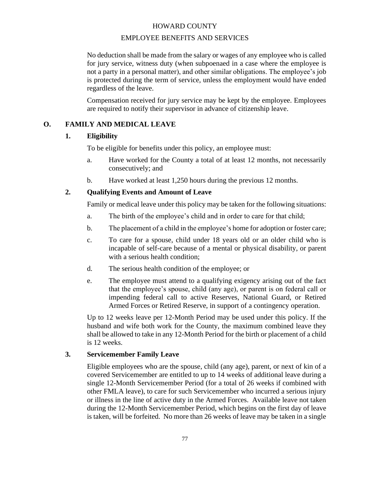## EMPLOYEE BENEFITS AND SERVICES

No deduction shall be made from the salary or wages of any employee who is called for jury service, witness duty (when subpoenaed in a case where the employee is not a party in a personal matter), and other similar obligations. The employee's job is protected during the term of service, unless the employment would have ended regardless of the leave.

Compensation received for jury service may be kept by the employee. Employees are required to notify their supervisor in advance of citizenship leave.

## **O. FAMILY AND MEDICAL LEAVE**

## **1. Eligibility**

To be eligible for benefits under this policy, an employee must:

- a. Have worked for the County a total of at least 12 months, not necessarily consecutively; and
- b. Have worked at least 1,250 hours during the previous 12 months.

## **2. Qualifying Events and Amount of Leave**

Family or medical leave under this policy may be taken for the following situations:

- a. The birth of the employee's child and in order to care for that child;
- b. The placement of a child in the employee's home for adoption or foster care;
- c. To care for a spouse, child under 18 years old or an older child who is incapable of self-care because of a mental or physical disability, or parent with a serious health condition:
- d. The serious health condition of the employee; or
- e. The employee must attend to a qualifying exigency arising out of the fact that the employee's spouse, child (any age), or parent is on federal call or impending federal call to active Reserves, National Guard, or Retired Armed Forces or Retired Reserve, in support of a contingency operation.

Up to 12 weeks leave per 12-Month Period may be used under this policy. If the husband and wife both work for the County, the maximum combined leave they shall be allowed to take in any 12-Month Period for the birth or placement of a child is 12 weeks.

## **3. Servicemember Family Leave**

Eligible employees who are the spouse, child (any age), parent, or next of kin of a covered Servicemember are entitled to up to 14 weeks of additional leave during a single 12-Month Servicemember Period (for a total of 26 weeks if combined with other FMLA leave), to care for such Servicemember who incurred a serious injury or illness in the line of active duty in the Armed Forces. Available leave not taken during the 12-Month Servicemember Period, which begins on the first day of leave is taken, will be forfeited. No more than 26 weeks of leave may be taken in a single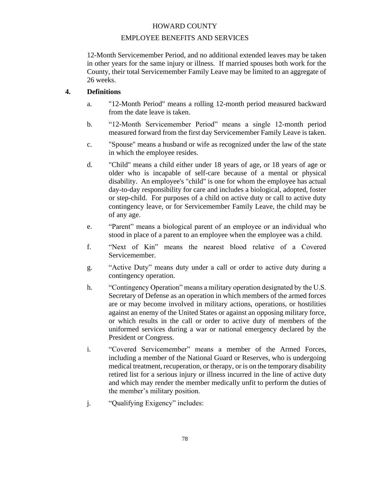# EMPLOYEE BENEFITS AND SERVICES

12-Month Servicemember Period, and no additional extended leaves may be taken in other years for the same injury or illness. If married spouses both work for the County, their total Servicemember Family Leave may be limited to an aggregate of 26 weeks.

# **4. Definitions**

- a. "12-Month Period" means a rolling 12-month period measured backward from the date leave is taken.
- b. "12-Month Servicemember Period" means a single 12-month period measured forward from the first day Servicemember Family Leave is taken.
- c. "Spouse" means a husband or wife as recognized under the law of the state in which the employee resides.
- d. "Child" means a child either under 18 years of age, or 18 years of age or older who is incapable of self-care because of a mental or physical disability. An employee's "child" is one for whom the employee has actual day-to-day responsibility for care and includes a biological, adopted, foster or step-child. For purposes of a child on active duty or call to active duty contingency leave, or for Servicemember Family Leave, the child may be of any age.
- e. "Parent" means a biological parent of an employee or an individual who stood in place of a parent to an employee when the employee was a child.
- f. "Next of Kin" means the nearest blood relative of a Covered Servicemember.
- g. "Active Duty" means duty under a call or order to active duty during a contingency operation.
- h. "Contingency Operation" means a military operation designated by the U.S. Secretary of Defense as an operation in which members of the armed forces are or may become involved in military actions, operations, or hostilities against an enemy of the United States or against an opposing military force, or which results in the call or order to active duty of members of the uniformed services during a war or national emergency declared by the President or Congress.
- i. "Covered Servicemember" means a member of the Armed Forces, including a member of the National Guard or Reserves, who is undergoing medical treatment, recuperation, or therapy, or is on the temporary disability retired list for a serious injury or illness incurred in the line of active duty and which may render the member medically unfit to perform the duties of the member's military position.
- j. "Qualifying Exigency" includes: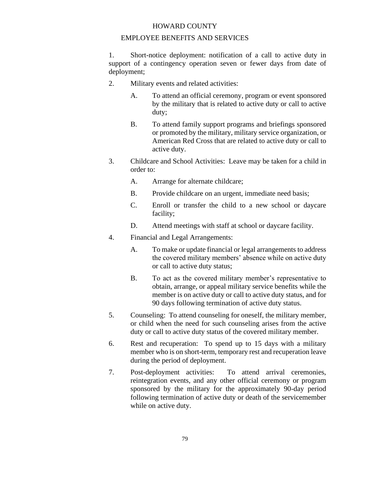#### EMPLOYEE BENEFITS AND SERVICES

1. Short-notice deployment: notification of a call to active duty in support of a contingency operation seven or fewer days from date of deployment;

- 2. Military events and related activities:
	- A. To attend an official ceremony, program or event sponsored by the military that is related to active duty or call to active duty;
	- B. To attend family support programs and briefings sponsored or promoted by the military, military service organization, or American Red Cross that are related to active duty or call to active duty.
- 3. Childcare and School Activities: Leave may be taken for a child in order to:
	- A. Arrange for alternate childcare;
	- B. Provide childcare on an urgent, immediate need basis;
	- C. Enroll or transfer the child to a new school or daycare facility;
	- D. Attend meetings with staff at school or daycare facility.
- 4. Financial and Legal Arrangements:
	- A. To make or update financial or legal arrangements to address the covered military members' absence while on active duty or call to active duty status;
	- B. To act as the covered military member's representative to obtain, arrange, or appeal military service benefits while the member is on active duty or call to active duty status, and for 90 days following termination of active duty status.
- 5. Counseling: To attend counseling for oneself, the military member, or child when the need for such counseling arises from the active duty or call to active duty status of the covered military member.
- 6. Rest and recuperation: To spend up to 15 days with a military member who is on short-term, temporary rest and recuperation leave during the period of deployment.
- 7. Post-deployment activities: To attend arrival ceremonies, reintegration events, and any other official ceremony or program sponsored by the military for the approximately 90-day period following termination of active duty or death of the servicemember while on active duty.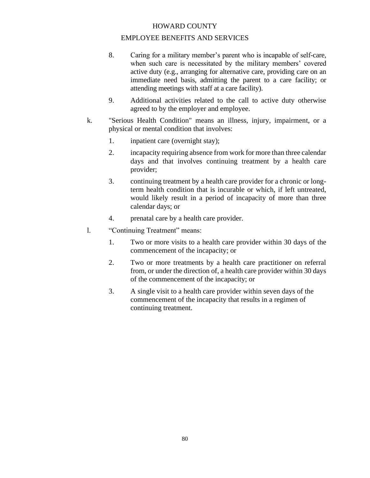## EMPLOYEE BENEFITS AND SERVICES

- 8. Caring for a military member's parent who is incapable of self-care, when such care is necessitated by the military members' covered active duty (e.g., arranging for alternative care, providing care on an immediate need basis, admitting the parent to a care facility; or attending meetings with staff at a care facility).
- 9. Additional activities related to the call to active duty otherwise agreed to by the employer and employee.
- k. "Serious Health Condition" means an illness, injury, impairment, or a physical or mental condition that involves:
	- 1. inpatient care (overnight stay);
	- 2. incapacity requiring absence from work for more than three calendar days and that involves continuing treatment by a health care provider;
	- 3. continuing treatment by a health care provider for a chronic or longterm health condition that is incurable or which, if left untreated, would likely result in a period of incapacity of more than three calendar days; or
	- 4. prenatal care by a health care provider.
- l. "Continuing Treatment" means:
	- 1. Two or more visits to a health care provider within 30 days of the commencement of the incapacity; or
	- 2. Two or more treatments by a health care practitioner on referral from, or under the direction of, a health care provider within 30 days of the commencement of the incapacity; or
	- 3. A single visit to a health care provider within seven days of the commencement of the incapacity that results in a regimen of continuing treatment.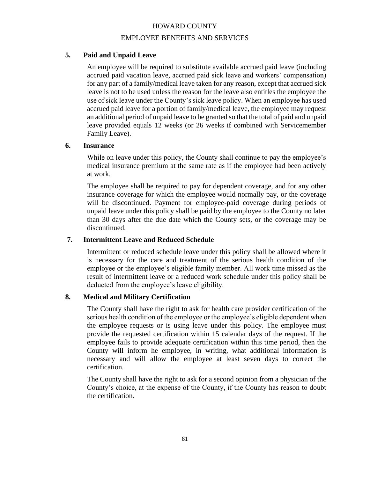## EMPLOYEE BENEFITS AND SERVICES

# **5. Paid and Unpaid Leave**

An employee will be required to substitute available accrued paid leave (including accrued paid vacation leave, accrued paid sick leave and workers' compensation) for any part of a family/medical leave taken for any reason, except that accrued sick leave is not to be used unless the reason for the leave also entitles the employee the use of sick leave under the County's sick leave policy. When an employee has used accrued paid leave for a portion of family/medical leave, the employee may request an additional period of unpaid leave to be granted so that the total of paid and unpaid leave provided equals 12 weeks (or 26 weeks if combined with Servicemember Family Leave).

## **6. Insurance**

While on leave under this policy, the County shall continue to pay the employee's medical insurance premium at the same rate as if the employee had been actively at work.

The employee shall be required to pay for dependent coverage, and for any other insurance coverage for which the employee would normally pay, or the coverage will be discontinued. Payment for employee-paid coverage during periods of unpaid leave under this policy shall be paid by the employee to the County no later than 30 days after the due date which the County sets, or the coverage may be discontinued.

## **7. Intermittent Leave and Reduced Schedule**

Intermittent or reduced schedule leave under this policy shall be allowed where it is necessary for the care and treatment of the serious health condition of the employee or the employee's eligible family member. All work time missed as the result of intermittent leave or a reduced work schedule under this policy shall be deducted from the employee's leave eligibility.

## **8. Medical and Military Certification**

The County shall have the right to ask for health care provider certification of the serious health condition of the employee or the employee's eligible dependent when the employee requests or is using leave under this policy. The employee must provide the requested certification within 15 calendar days of the request. If the employee fails to provide adequate certification within this time period, then the County will inform he employee, in writing, what additional information is necessary and will allow the employee at least seven days to correct the certification.

The County shall have the right to ask for a second opinion from a physician of the County's choice, at the expense of the County, if the County has reason to doubt the certification.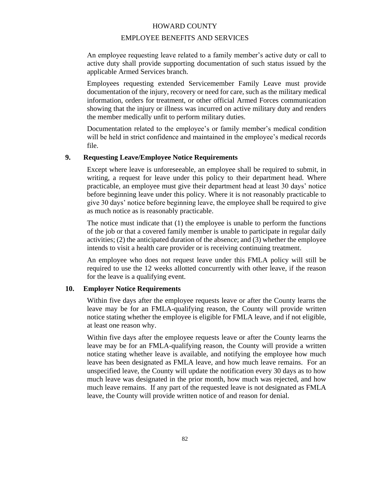## EMPLOYEE BENEFITS AND SERVICES

An employee requesting leave related to a family member's active duty or call to active duty shall provide supporting documentation of such status issued by the applicable Armed Services branch.

Employees requesting extended Servicemember Family Leave must provide documentation of the injury, recovery or need for care, such as the military medical information, orders for treatment, or other official Armed Forces communication showing that the injury or illness was incurred on active military duty and renders the member medically unfit to perform military duties.

Documentation related to the employee's or family member's medical condition will be held in strict confidence and maintained in the employee's medical records file.

#### **9. Requesting Leave/Employee Notice Requirements**

Except where leave is unforeseeable, an employee shall be required to submit, in writing, a request for leave under this policy to their department head. Where practicable, an employee must give their department head at least 30 days' notice before beginning leave under this policy. Where it is not reasonably practicable to give 30 days' notice before beginning leave, the employee shall be required to give as much notice as is reasonably practicable.

The notice must indicate that  $(1)$  the employee is unable to perform the functions of the job or that a covered family member is unable to participate in regular daily activities; (2) the anticipated duration of the absence; and (3) whether the employee intends to visit a health care provider or is receiving continuing treatment.

An employee who does not request leave under this FMLA policy will still be required to use the 12 weeks allotted concurrently with other leave, if the reason for the leave is a qualifying event.

## **10. Employer Notice Requirements**

Within five days after the employee requests leave or after the County learns the leave may be for an FMLA-qualifying reason, the County will provide written notice stating whether the employee is eligible for FMLA leave, and if not eligible, at least one reason why.

Within five days after the employee requests leave or after the County learns the leave may be for an FMLA-qualifying reason, the County will provide a written notice stating whether leave is available, and notifying the employee how much leave has been designated as FMLA leave, and how much leave remains. For an unspecified leave, the County will update the notification every 30 days as to how much leave was designated in the prior month, how much was rejected, and how much leave remains. If any part of the requested leave is not designated as FMLA leave, the County will provide written notice of and reason for denial.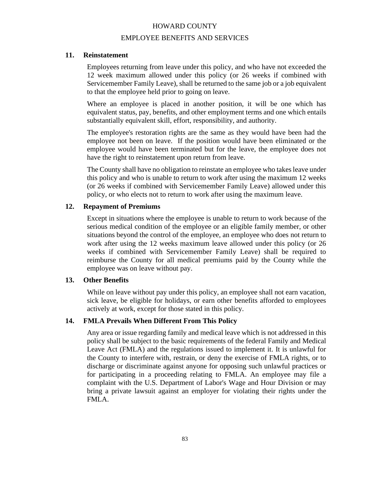#### EMPLOYEE BENEFITS AND SERVICES

#### **11. Reinstatement**

Employees returning from leave under this policy, and who have not exceeded the 12 week maximum allowed under this policy (or 26 weeks if combined with Servicemember Family Leave), shall be returned to the same job or a job equivalent to that the employee held prior to going on leave.

Where an employee is placed in another position, it will be one which has equivalent status, pay, benefits, and other employment terms and one which entails substantially equivalent skill, effort, responsibility, and authority.

The employee's restoration rights are the same as they would have been had the employee not been on leave. If the position would have been eliminated or the employee would have been terminated but for the leave, the employee does not have the right to reinstatement upon return from leave.

The County shall have no obligation to reinstate an employee who takes leave under this policy and who is unable to return to work after using the maximum 12 weeks (or 26 weeks if combined with Servicemember Family Leave) allowed under this policy, or who elects not to return to work after using the maximum leave.

#### **12. Repayment of Premiums**

Except in situations where the employee is unable to return to work because of the serious medical condition of the employee or an eligible family member, or other situations beyond the control of the employee, an employee who does not return to work after using the 12 weeks maximum leave allowed under this policy (or 26 weeks if combined with Servicemember Family Leave) shall be required to reimburse the County for all medical premiums paid by the County while the employee was on leave without pay.

#### **13. Other Benefits**

While on leave without pay under this policy, an employee shall not earn vacation, sick leave, be eligible for holidays, or earn other benefits afforded to employees actively at work, except for those stated in this policy.

#### **14. FMLA Prevails When Different From This Policy**

Any area or issue regarding family and medical leave which is not addressed in this policy shall be subject to the basic requirements of the federal Family and Medical Leave Act (FMLA) and the regulations issued to implement it. It is unlawful for the County to interfere with, restrain, or deny the exercise of FMLA rights, or to discharge or discriminate against anyone for opposing such unlawful practices or for participating in a proceeding relating to FMLA. An employee may file a complaint with the U.S. Department of Labor's Wage and Hour Division or may bring a private lawsuit against an employer for violating their rights under the FMLA.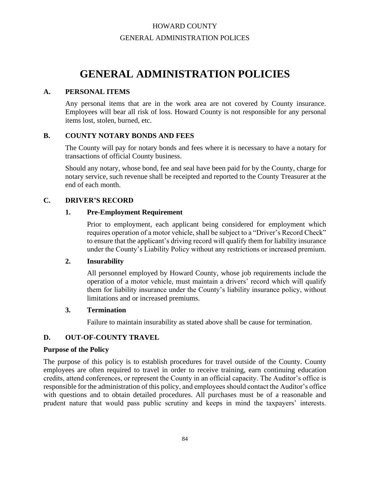# HOWARD COUNTY GENERAL ADMINISTRATION POLICES

# **GENERAL ADMINISTRATION POLICIES**

## **A. PERSONAL ITEMS**

Any personal items that are in the work area are not covered by County insurance. Employees will bear all risk of loss. Howard County is not responsible for any personal items lost, stolen, burned, etc.

## **B. COUNTY NOTARY BONDS AND FEES**

The County will pay for notary bonds and fees where it is necessary to have a notary for transactions of official County business.

Should any notary, whose bond, fee and seal have been paid for by the County, charge for notary service, such revenue shall be receipted and reported to the County Treasurer at the end of each month.

## **C. DRIVER'S RECORD**

## **1. Pre-Employment Requirement**

Prior to employment, each applicant being considered for employment which requires operation of a motor vehicle, shall be subject to a "Driver's Record Check" to ensure that the applicant's driving record will qualify them for liability insurance under the County's Liability Policy without any restrictions or increased premium.

## **2. Insurability**

All personnel employed by Howard County, whose job requirements include the operation of a motor vehicle, must maintain a drivers' record which will qualify them for liability insurance under the County's liability insurance policy, without limitations and or increased premiums.

## **3. Termination**

Failure to maintain insurability as stated above shall be cause for termination.

# **D. OUT-OF-COUNTY TRAVEL**

## **Purpose of the Policy**

The purpose of this policy is to establish procedures for travel outside of the County. County employees are often required to travel in order to receive training, earn continuing education credits, attend conferences, or represent the County in an official capacity. The Auditor's office is responsible for the administration of this policy, and employees should contact the Auditor's office with questions and to obtain detailed procedures. All purchases must be of a reasonable and prudent nature that would pass public scrutiny and keeps in mind the taxpayers' interests.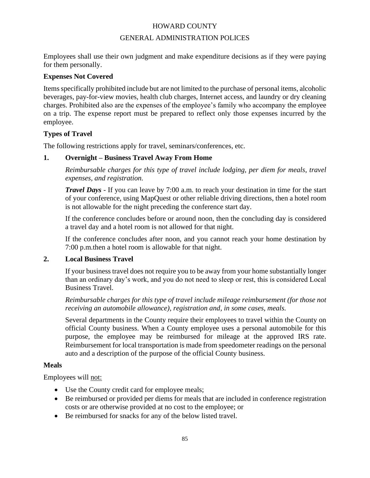## GENERAL ADMINISTRATION POLICES

Employees shall use their own judgment and make expenditure decisions as if they were paying for them personally.

## **Expenses Not Covered**

Items specifically prohibited include but are not limited to the purchase of personal items, alcoholic beverages, pay-for-view movies, health club charges, Internet access, and laundry or dry cleaning charges. Prohibited also are the expenses of the employee's family who accompany the employee on a trip. The expense report must be prepared to reflect only those expenses incurred by the employee.

# **Types of Travel**

The following restrictions apply for travel, seminars/conferences, etc.

## **1. Overnight – Business Travel Away From Home**

*Reimbursable charges for this type of travel include lodging, per diem for meals, travel expenses, and registration.*

*Travel Days -* If you can leave by 7:00 a.m. to reach your destination in time for the start of your conference, using MapQuest or other reliable driving directions, then a hotel room is not allowable for the night preceding the conference start day.

If the conference concludes before or around noon, then the concluding day is considered a travel day and a hotel room is not allowed for that night.

If the conference concludes after noon, and you cannot reach your home destination by 7:00 p.m.then a hotel room is allowable for that night.

# **2. Local Business Travel**

If your business travel does not require you to be away from your home substantially longer than an ordinary day's work, and you do not need to sleep or rest, this is considered Local Business Travel.

*Reimbursable charges for this type of travel include mileage reimbursement (for those not receiving an automobile allowance), registration and, in some cases, meals.*

Several departments in the County require their employees to travel within the County on official County business. When a County employee uses a personal automobile for this purpose, the employee may be reimbursed for mileage at the approved IRS rate. Reimbursement for local transportation is made from speedometer readings on the personal auto and a description of the purpose of the official County business.

## **Meals**

Employees will not:

- Use the County credit card for employee meals;
- Be reimbursed or provided per diems for meals that are included in conference registration costs or are otherwise provided at no cost to the employee; or
- Be reimbursed for snacks for any of the below listed travel.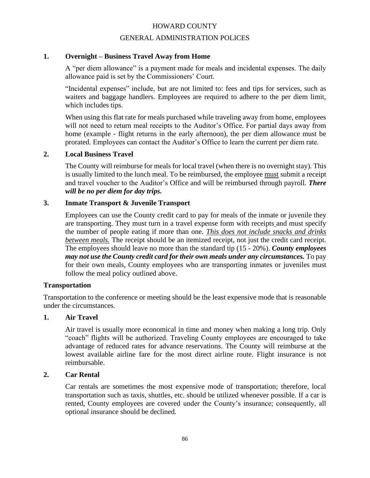#### GENERAL ADMINISTRATION POLICES

## **1. Overnight – Business Travel Away from Home**

A "per diem allowance" is a payment made for meals and incidental expenses. The daily allowance paid is set by the Commissioners' Court.

"Incidental expenses" include, but are not limited to: fees and tips for services, such as waiters and baggage handlers. Employees are required to adhere to the per diem limit, which includes tips.

When using this flat rate for meals purchased while traveling away from home, employees will not need to return meal receipts to the Auditor's Office. For partial days away from home (example - flight returns in the early afternoon), the per diem allowance must be prorated. Employees can contact the Auditor's Office to learn the current per diem rate.

#### **2. Local Business Travel**

The County will reimburse for meals for local travel (when there is no overnight stay). This is usually limited to the lunch meal. To be reimbursed, the employee must submit a receipt and travel voucher to the Auditor's Office and will be reimbursed through payroll. *There will be no per diem for day trips.*

#### **3. Inmate Transport & Juvenile Transport**

Employees can use the County credit card to pay for meals of the inmate or juvenile they are transporting. They must turn in a travel expense form with receipts and must specify the number of people eating if more than one. *This does not include snacks and drinks between meals.* The receipt should be an itemized receipt, not just the credit card receipt. The employees should leave no more than the standard tip (15 - 20%). *County employees may not use the County credit card for their own meals under any circumstances.* To pay for their own meals, County employees who are transporting inmates or juveniles must follow the meal policy outlined above.

#### **Transportation**

Transportation to the conference or meeting should be the least expensive mode that is reasonable under the circumstances.

#### **1. Air Travel**

Air travel is usually more economical in time and money when making a long trip. Only "coach" flights will be authorized. Traveling County employees are encouraged to take advantage of reduced rates for advance reservations. The County will reimburse at the lowest available airline fare for the most direct airline route. Flight insurance is not reimbursable.

#### **2. Car Rental**

Car rentals are sometimes the most expensive mode of transportation; therefore, local transportation such as taxis, shuttles, etc. should be utilized whenever possible. If a car is rented, County employees are covered under the County's insurance; consequently, all optional insurance should be declined.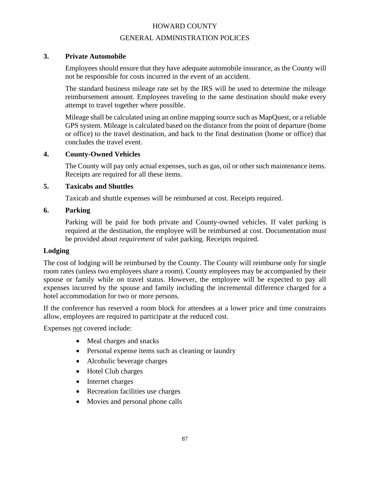## GENERAL ADMINISTRATION POLICES

# **3. Private Automobile**

Employees should ensure that they have adequate automobile insurance, as the County will not be responsible for costs incurred in the event of an accident.

The standard business mileage rate set by the IRS will be used to determine the mileage reimbursement amount. Employees traveling to the same destination should make every attempt to travel together where possible.

Mileage shall be calculated using an online mapping source such as MapQuest, or a reliable GPS system. Mileage is calculated based on the distance from the point of departure (home or office) to the travel destination, and back to the final destination (home or office) that concludes the travel event.

## **4. County-Owned Vehicles**

The County will pay only actual expenses, such as gas, oil or other such maintenance items. Receipts are required for all these items.

## **5. Taxicabs and Shuttles**

Taxicab and shuttle expenses will be reimbursed at cost. Receipts required.

## **6. Parking**

Parking will be paid for both private and County-owned vehicles. If valet parking is required at the destination, the employee will be reimbursed at cost. Documentation must be provided about *requirement* of valet parking. Receipts required.

# **Lodging**

The cost of lodging will be reimbursed by the County. The County will reimburse only for single room rates (unless two employees share a room). County employees may be accompanied by their spouse or family while on travel status. However, the employee will be expected to pay all expenses incurred by the spouse and family including the incremental difference charged for a hotel accommodation for two or more persons.

If the conference has reserved a room block for attendees at a lower price and time constraints allow, employees are required to participate at the reduced cost.

Expenses *not* covered include:

- Meal charges and snacks
- Personal expense items such as cleaning or laundry
- Alcoholic beverage charges
- Hotel Club charges
- Internet charges
- Recreation facilities use charges
- Movies and personal phone calls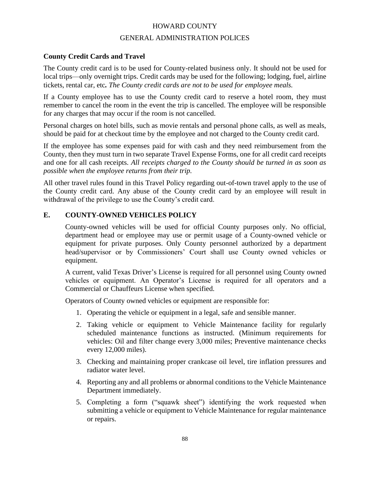## GENERAL ADMINISTRATION POLICES

## **County Credit Cards and Travel**

The County credit card is to be used for County-related business only. It should not be used for local trips—only overnight trips. Credit cards may be used for the following; lodging, fuel, airline tickets, rental car, etc*. The County credit cards are not to be used for employee meals.*

If a County employee has to use the County credit card to reserve a hotel room, they must remember to cancel the room in the event the trip is cancelled. The employee will be responsible for any charges that may occur if the room is not cancelled.

Personal charges on hotel bills, such as movie rentals and personal phone calls, as well as meals, should be paid for at checkout time by the employee and not charged to the County credit card.

If the employee has some expenses paid for with cash and they need reimbursement from the County, then they must turn in two separate Travel Expense Forms, one for all credit card receipts and one for all cash receipts. *All receipts charged to the County should be turned in as soon as possible when the employee returns from their trip.*

All other travel rules found in this Travel Policy regarding out-of-town travel apply to the use of the County credit card. Any abuse of the County credit card by an employee will result in withdrawal of the privilege to use the County's credit card.

## **E. COUNTY-OWNED VEHICLES POLICY**

County-owned vehicles will be used for official County purposes only. No official, department head or employee may use or permit usage of a County-owned vehicle or equipment for private purposes. Only County personnel authorized by a department head/supervisor or by Commissioners' Court shall use County owned vehicles or equipment.

A current, valid Texas Driver's License is required for all personnel using County owned vehicles or equipment. An Operator's License is required for all operators and a Commercial or Chauffeurs License when specified.

Operators of County owned vehicles or equipment are responsible for:

- 1. Operating the vehicle or equipment in a legal, safe and sensible manner.
- 2. Taking vehicle or equipment to Vehicle Maintenance facility for regularly scheduled maintenance functions as instructed. (Minimum requirements for vehicles: Oil and filter change every 3,000 miles; Preventive maintenance checks every 12,000 miles).
- 3. Checking and maintaining proper crankcase oil level, tire inflation pressures and radiator water level.
- 4. Reporting any and all problems or abnormal conditions to the Vehicle Maintenance Department immediately.
- 5. Completing a form ("squawk sheet") identifying the work requested when submitting a vehicle or equipment to Vehicle Maintenance for regular maintenance or repairs.